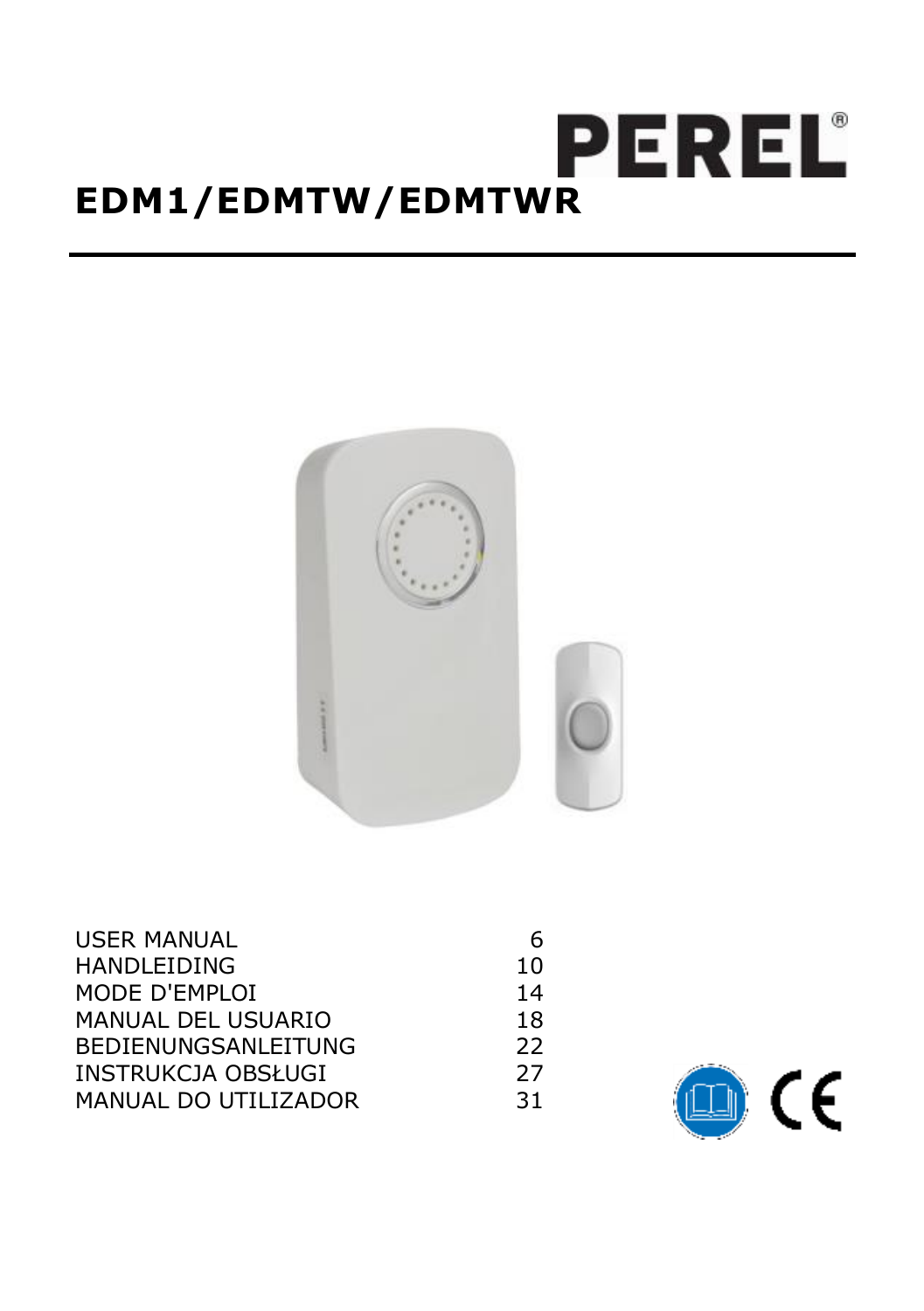# PEREL® **EDM1/EDMTW/EDMTWR**



| <b>USER MANUAL</b>   | 6  |
|----------------------|----|
| <b>HANDLEIDING</b>   | 10 |
| MODE D'EMPLOT        | 14 |
| MANUAL DEL USUARIO   | 18 |
| BEDIENUNGSANLEITUNG  | 22 |
| INSTRUKCJA OBSŁUGI   | 27 |
| MANUAL DO UTILIZADOR | 31 |

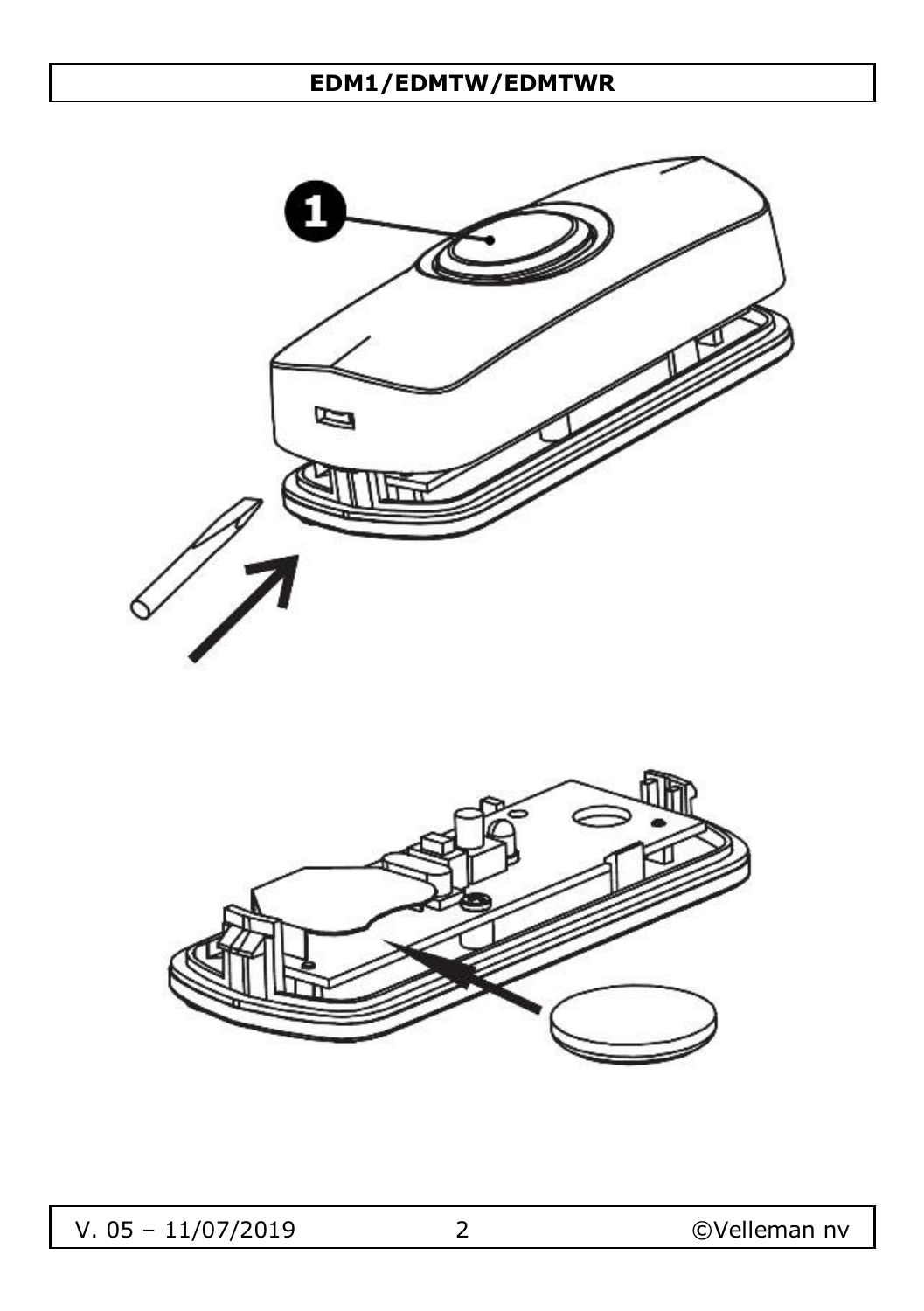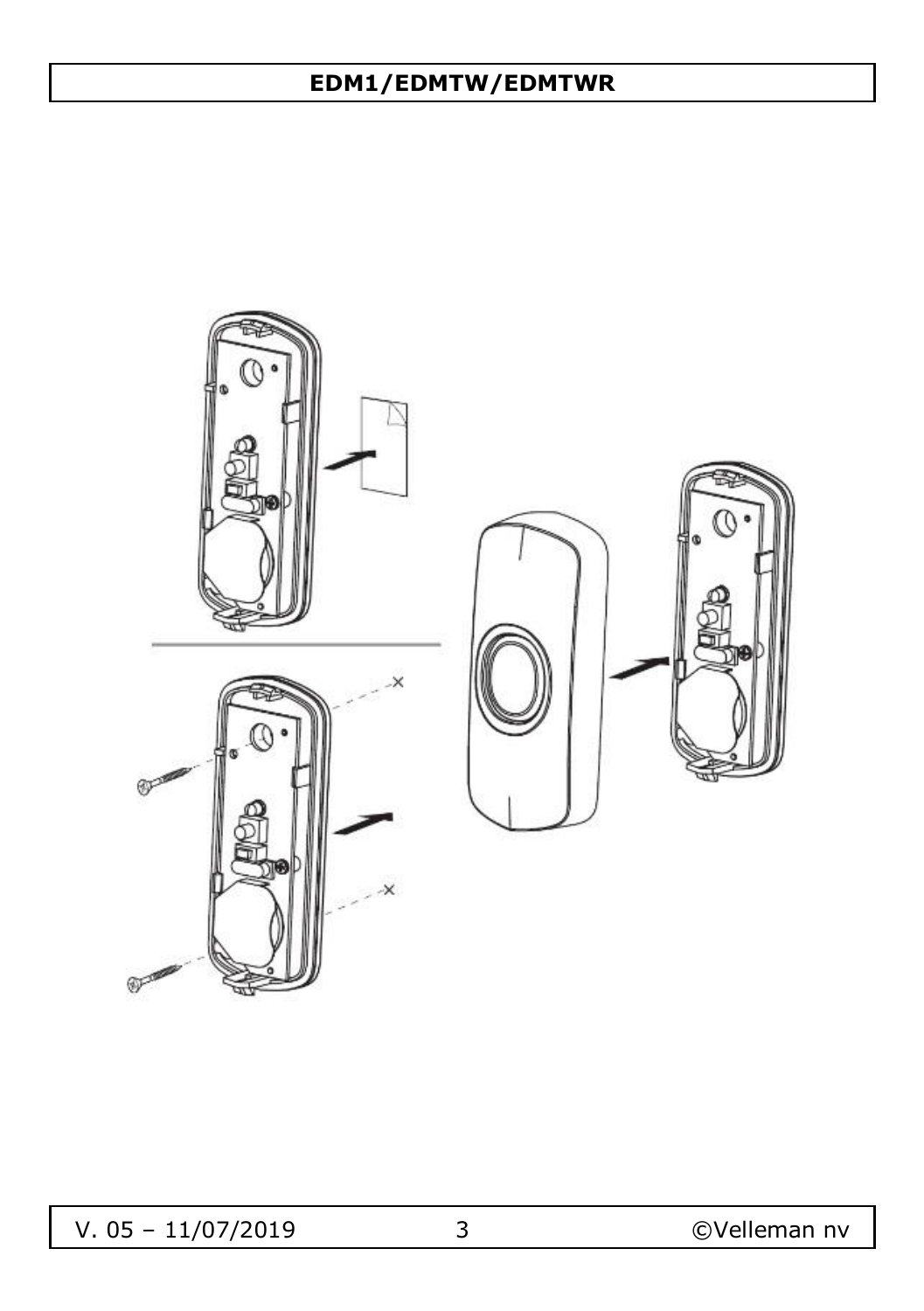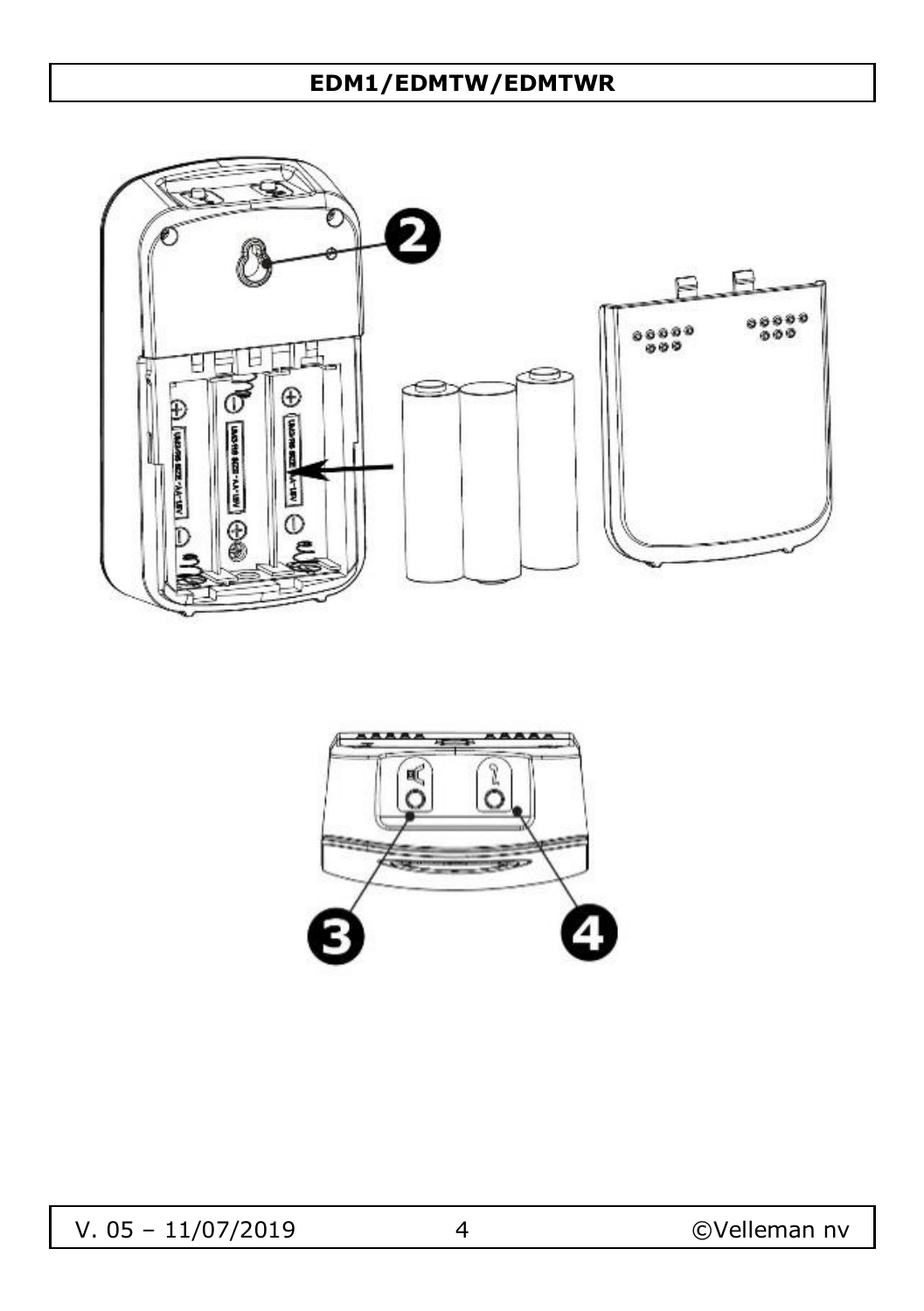

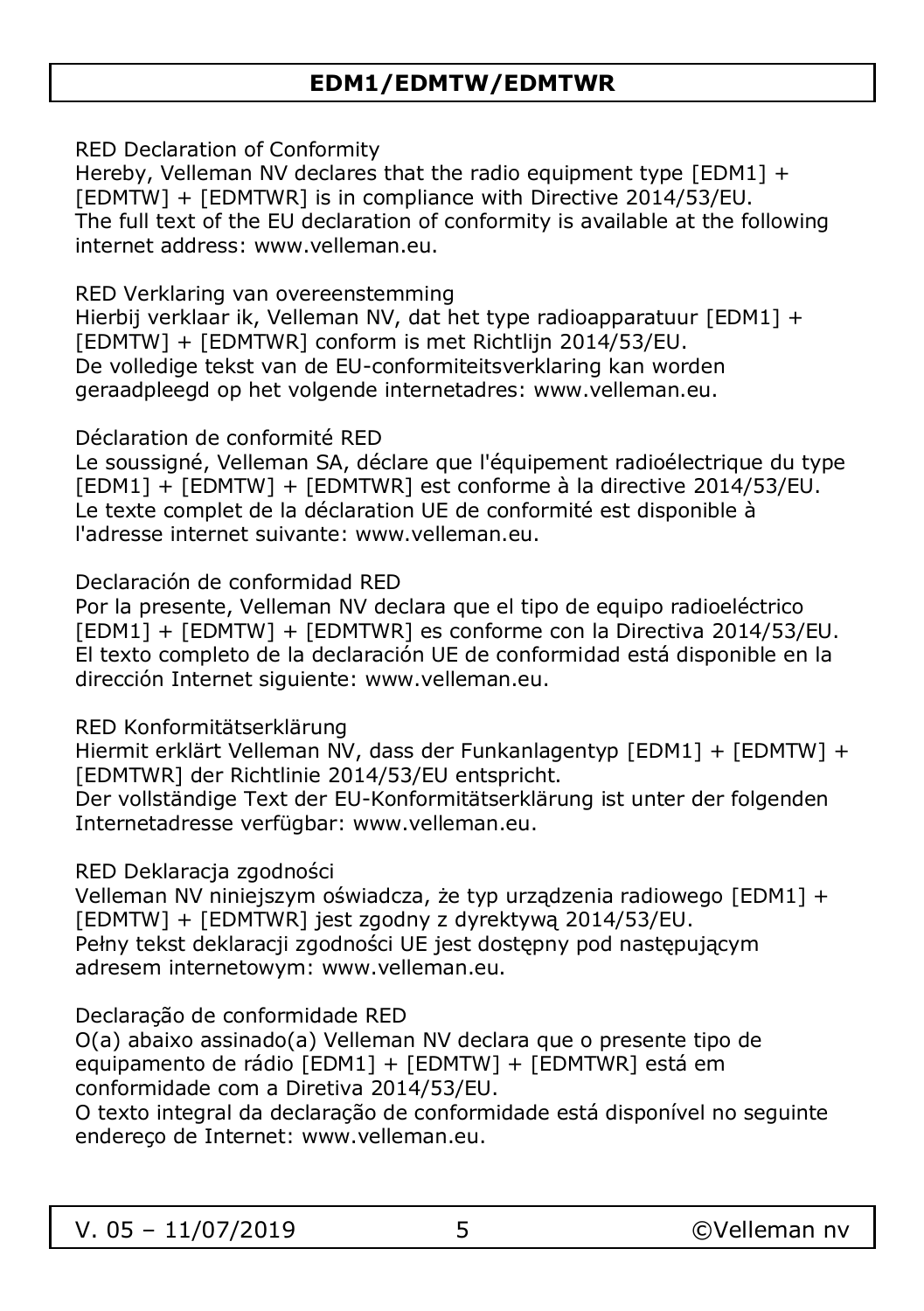### RED Declaration of Conformity

Hereby, Velleman NV declares that the radio equipment type [EDM1] + [EDMTW] + [EDMTWR] is in compliance with Directive 2014/53/EU. The full text of the EU declaration of conformity is available at the following internet address: www.velleman.eu.

### RED Verklaring van overeenstemming

Hierbij verklaar ik, Velleman NV, dat het type radioapparatuur [EDM1] + [EDMTW] + [EDMTWR] conform is met Richtlijn 2014/53/EU. De volledige tekst van de EU-conformiteitsverklaring kan worden geraadpleegd op het volgende internetadres: www.velleman.eu.

### Déclaration de conformité RED

Le soussigné, Velleman SA, déclare que l'équipement radioélectrique du type [EDM1] + [EDMTW] + [EDMTWR] est conforme à la directive 2014/53/EU. Le texte complet de la déclaration UE de conformité est disponible à l'adresse internet suivante: www.velleman.eu.

### Declaración de conformidad RED

Por la presente, Velleman NV declara que el tipo de equipo radioeléctrico [EDM1] + [EDMTW] + [EDMTWR] es conforme con la Directiva 2014/53/EU. El texto completo de la declaración UE de conformidad está disponible en la dirección Internet siguiente: www.velleman.eu.

### RED Konformitätserklärung

Hiermit erklärt Velleman NV, dass der Funkanlagentyp [EDM1] + [EDMTW] + [EDMTWR] der Richtlinie 2014/53/EU entspricht.

Der vollständige Text der EU-Konformitätserklärung ist unter der folgenden Internetadresse verfügbar: www.velleman.eu.

### RED Deklaracja zgodności

Velleman NV niniejszym oświadcza, że typ urządzenia radiowego [EDM1] + [EDMTW] + [EDMTWR] jest zgodny z dyrektywą 2014/53/EU. Pełny tekst deklaracji zgodności UE jest dostępny pod następującym adresem internetowym: www.velleman.eu.

### Declaração de conformidade RED

O(a) abaixo assinado(a) Velleman NV declara que o presente tipo de equipamento de rádio [EDM1] + [EDMTW] + [EDMTWR] está em conformidade com a Diretiva 2014/53/EU.

O texto integral da declaração de conformidade está disponível no seguinte endereço de Internet: www.velleman.eu.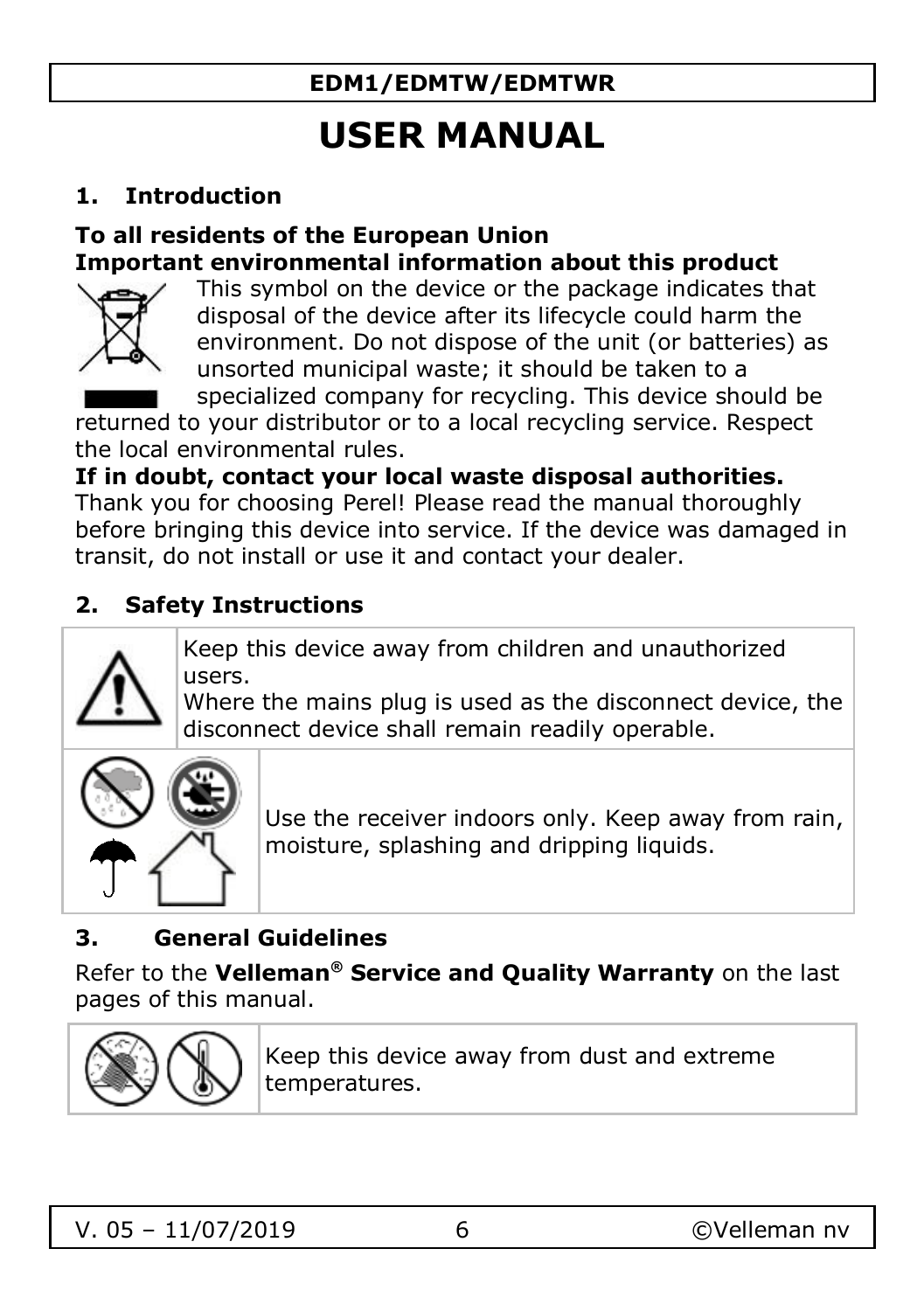# **USER MANUAL**

### <span id="page-5-0"></span>**1. Introduction**

### **To all residents of the European Union Important environmental information about this product**



This symbol on the device or the package indicates that disposal of the device after its lifecycle could harm the environment. Do not dispose of the unit (or batteries) as unsorted municipal waste; it should be taken to a specialized company for recycling. This device should be

returned to your distributor or to a local recycling service. Respect the local environmental rules.

**If in doubt, contact your local waste disposal authorities.** Thank you for choosing Perel! Please read the manual thoroughly before bringing this device into service. If the device was damaged in transit, do not install or use it and contact your dealer.

# **2. Safety Instructions**



Keep this device away from children and unauthorized users.

Where the mains plug is used as the disconnect device, the disconnect device shall remain readily operable.



Use the receiver indoors only. Keep away from rain, moisture, splashing and dripping liquids.

# **3. General Guidelines**

Refer to the **Velleman® Service and Quality Warranty** on the last pages of this manual.



Keep this device away from dust and extreme temperatures.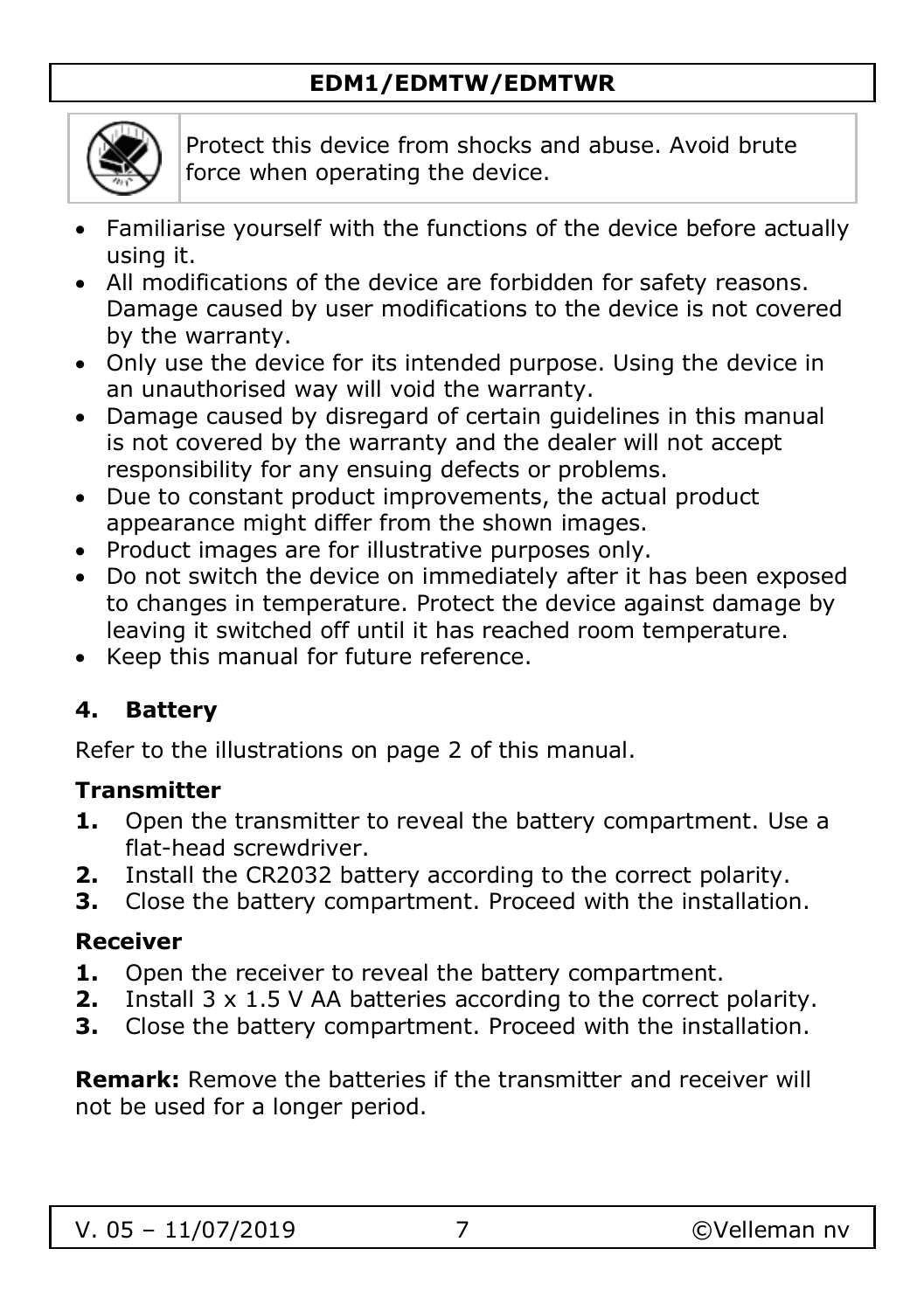

Protect this device from shocks and abuse. Avoid brute force when operating the device.

- Familiarise yourself with the functions of the device before actually using it.
- All modifications of the device are forbidden for safety reasons. Damage caused by user modifications to the device is not covered by the warranty.
- Only use the device for its intended purpose. Using the device in an unauthorised way will void the warranty.
- Damage caused by disregard of certain guidelines in this manual is not covered by the warranty and the dealer will not accept responsibility for any ensuing defects or problems.
- Due to constant product improvements, the actual product appearance might differ from the shown images.
- Product images are for illustrative purposes only.
- Do not switch the device on immediately after it has been exposed to changes in temperature. Protect the device against damage by leaving it switched off until it has reached room temperature.
- Keep this manual for future reference.

### **4. Battery**

Refer to the illustrations on page 2 of this manual.

### **Transmitter**

- **1.** Open the transmitter to reveal the battery compartment. Use a flat-head screwdriver.
- **2.** Install the CR2032 battery according to the correct polarity.
- **3.** Close the battery compartment. Proceed with the installation.

### **Receiver**

- **1.** Open the receiver to reveal the battery compartment.
- **2.** Install 3 x 1.5 V AA batteries according to the correct polarity.
- **3.** Close the battery compartment. Proceed with the installation.

**Remark:** Remove the batteries if the transmitter and receiver will not be used for a longer period.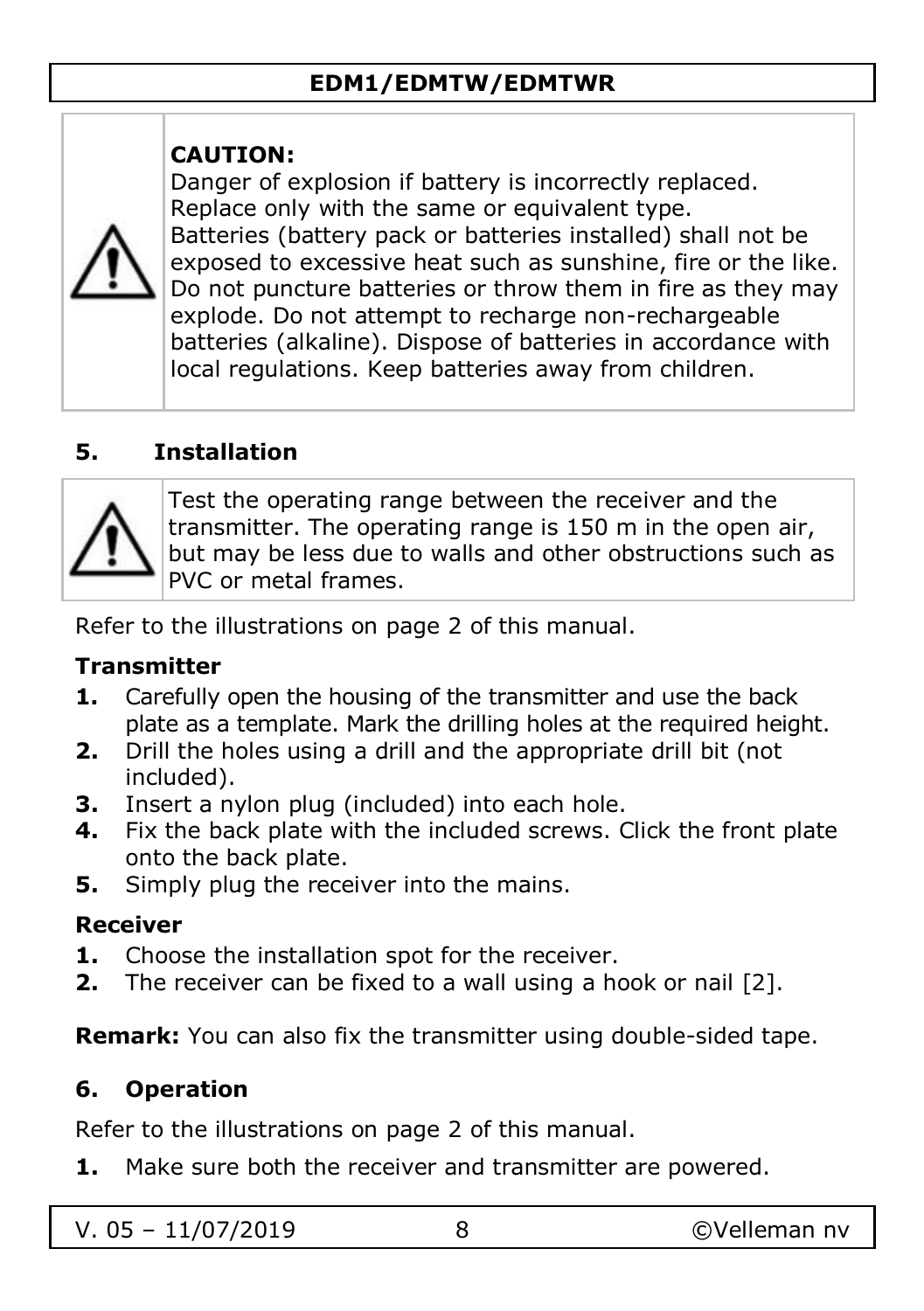### **CAUTION:**



Danger of explosion if battery is incorrectly replaced. Replace only with the same or equivalent type. Batteries (battery pack or batteries installed) shall not be exposed to excessive heat such as sunshine, fire or the like. Do not puncture batteries or throw them in fire as they may explode. Do not attempt to recharge non-rechargeable batteries (alkaline). Dispose of batteries in accordance with local regulations. Keep batteries away from children.

### **5. Installation**



Test the operating range between the receiver and the transmitter. The operating range is 150 m in the open air, but may be less due to walls and other obstructions such as PVC or metal frames.

Refer to the illustrations on page 2 of this manual.

### **Transmitter**

- **1.** Carefully open the housing of the transmitter and use the back plate as a template. Mark the drilling holes at the required height.
- **2.** Drill the holes using a drill and the appropriate drill bit (not included).
- **3.** Insert a nylon plug (included) into each hole.<br>**4.** Fix the back plate with the included screws.
- **4.** Fix the back plate with the included screws. Click the front plate onto the back plate.
- **5.** Simply plug the receiver into the mains.

### **Receiver**

- **1.** Choose the installation spot for the receiver.
- **2.** The receiver can be fixed to a wall using a hook or nail [2].

**Remark:** You can also fix the transmitter using double-sided tape.

### **6. Operation**

Refer to the illustrations on page 2 of this manual.

**1.** Make sure both the receiver and transmitter are powered.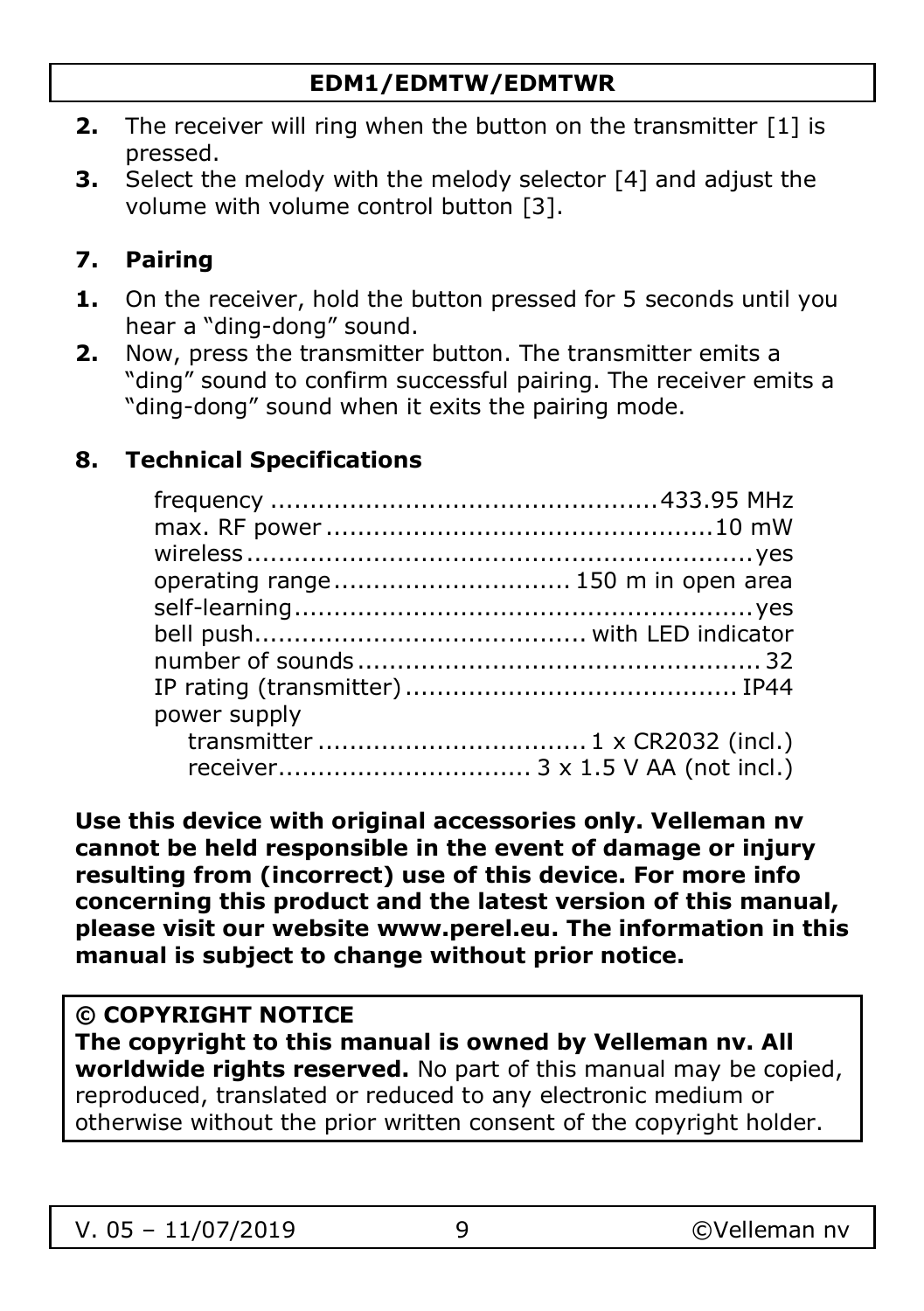- **2.** The receiver will ring when the button on the transmitter [1] is pressed.
- **3.** Select the melody with the melody selector [4] and adjust the volume with volume control button [3].

# **7. Pairing**

- **1.** On the receiver, hold the button pressed for 5 seconds until you hear a "ding-dong" sound.
- **2.** Now, press the transmitter button. The transmitter emits a "ding" sound to confirm successful pairing. The receiver emits a "ding-dong" sound when it exits the pairing mode.

### **8. Technical Specifications**

| operating range 150 m in open area |  |
|------------------------------------|--|
|                                    |  |
|                                    |  |
|                                    |  |
|                                    |  |
| power supply                       |  |
|                                    |  |
|                                    |  |

**Use this device with original accessories only. Velleman nv cannot be held responsible in the event of damage or injury resulting from (incorrect) use of this device. For more info concerning this product and the latest version of this manual, please visit our website www.perel.eu. The information in this manual is subject to change without prior notice.**

### **© COPYRIGHT NOTICE**

**The copyright to this manual is owned by Velleman nv. All worldwide rights reserved.** No part of this manual may be copied, reproduced, translated or reduced to any electronic medium or otherwise without the prior written consent of the copyright holder.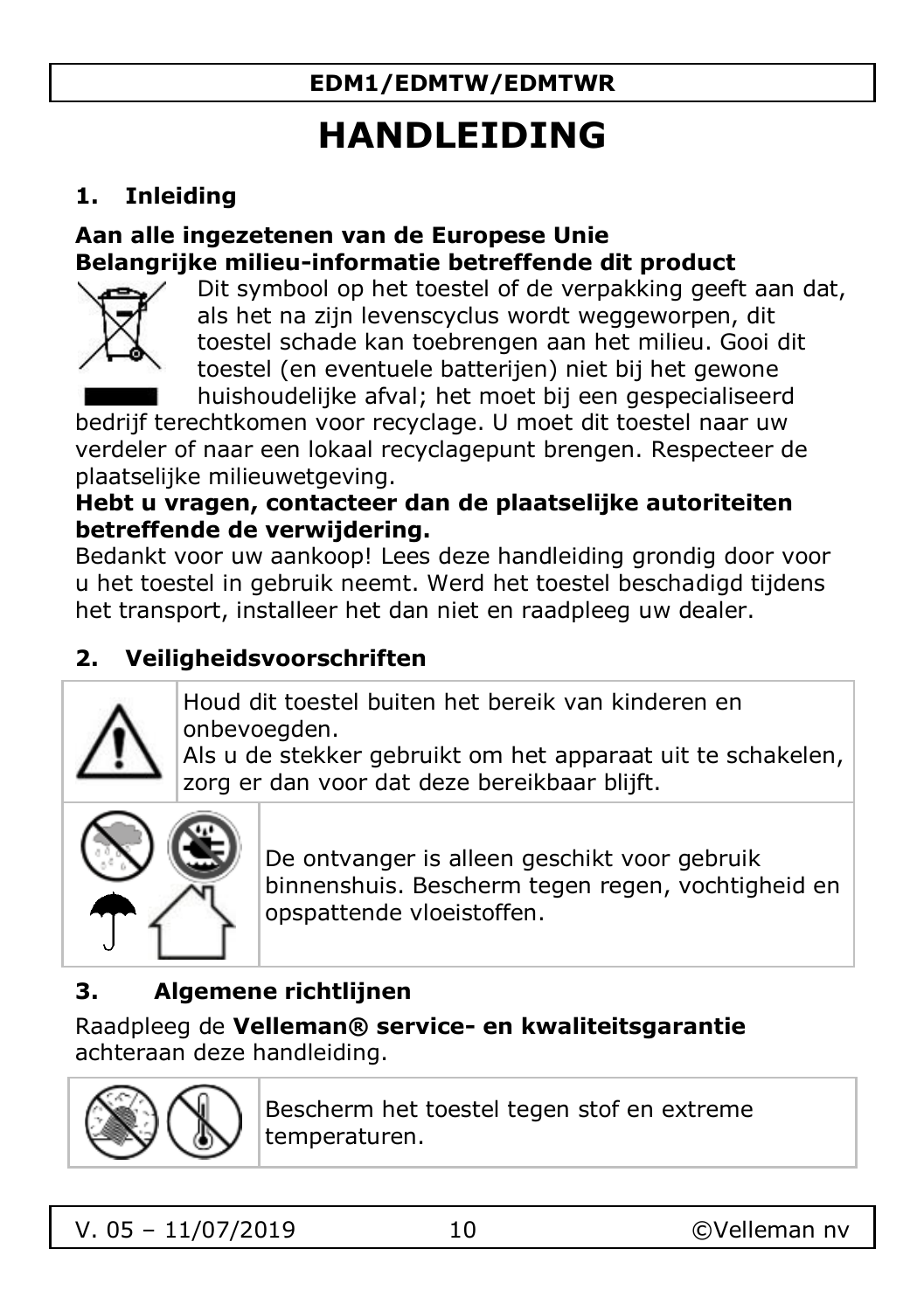# **HANDLEIDING**

## <span id="page-9-0"></span>**1. Inleiding**

### **Aan alle ingezetenen van de Europese Unie Belangrijke milieu-informatie betreffende dit product**



Dit symbool op het toestel of de verpakking geeft aan dat, als het na zijn levenscyclus wordt weggeworpen, dit toestel schade kan toebrengen aan het milieu. Gooi dit toestel (en eventuele batterijen) niet bij het gewone huishoudelijke afval; het moet bij een gespecialiseerd

bedrijf terechtkomen voor recyclage. U moet dit toestel naar uw verdeler of naar een lokaal recyclagepunt brengen. Respecteer de plaatselijke milieuwetgeving.

### **Hebt u vragen, contacteer dan de plaatselijke autoriteiten betreffende de verwijdering.**

Bedankt voor uw aankoop! Lees deze handleiding grondig door voor u het toestel in gebruik neemt. Werd het toestel beschadigd tijdens het transport, installeer het dan niet en raadpleeg uw dealer.

## **2. Veiligheidsvoorschriften**



Houd dit toestel buiten het bereik van kinderen en onbevoegden.

Als u de stekker gebruikt om het apparaat uit te schakelen, zorg er dan voor dat deze bereikbaar blijft.



De ontvanger is alleen geschikt voor gebruik binnenshuis. Bescherm tegen regen, vochtigheid en opspattende vloeistoffen.

# **3. Algemene richtlijnen**

Raadpleeg de **Velleman® service- en kwaliteitsgarantie**  achteraan deze handleiding.



Bescherm het toestel tegen stof en extreme temperaturen.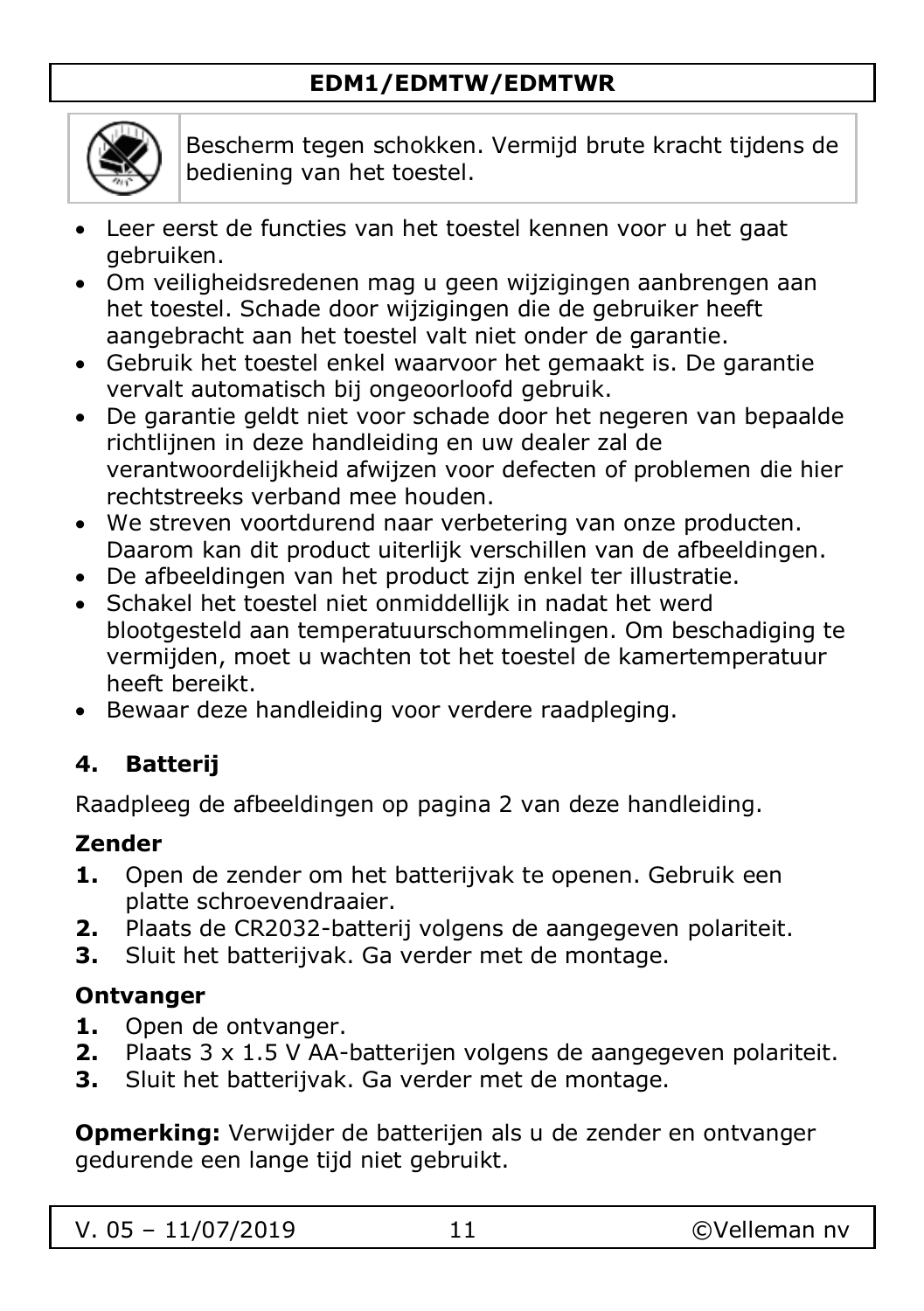

Bescherm tegen schokken. Vermijd brute kracht tijdens de bediening van het toestel.

- Leer eerst de functies van het toestel kennen voor u het gaat gebruiken.
- Om veiligheidsredenen mag u geen wijzigingen aanbrengen aan het toestel. Schade door wijzigingen die de gebruiker heeft aangebracht aan het toestel valt niet onder de garantie.
- Gebruik het toestel enkel waarvoor het gemaakt is. De garantie vervalt automatisch bij ongeoorloofd gebruik.
- De garantie geldt niet voor schade door het negeren van bepaalde richtlijnen in deze handleiding en uw dealer zal de verantwoordelijkheid afwijzen voor defecten of problemen die hier rechtstreeks verband mee houden.
- We streven voortdurend naar verbetering van onze producten. Daarom kan dit product uiterlijk verschillen van de afbeeldingen.
- De afbeeldingen van het product zijn enkel ter illustratie.
- Schakel het toestel niet onmiddellijk in nadat het werd blootgesteld aan temperatuurschommelingen. Om beschadiging te vermijden, moet u wachten tot het toestel de kamertemperatuur heeft bereikt.
- Bewaar deze handleiding voor verdere raadpleging.

### **4. Batterij**

Raadpleeg de afbeeldingen op pagina 2 van deze handleiding.

### **Zender**

- **1.** Open de zender om het batterijvak te openen. Gebruik een platte schroevendraaier.
- **2.** Plaats de CR2032-batterij volgens de aangegeven polariteit.
- **3.** Sluit het batterijvak. Ga verder met de montage.

### **Ontvanger**

- **1.** Open de ontvanger.
- **2.** Plaats 3 x 1.5 V AA-batterijen volgens de aangegeven polariteit.
- **3.** Sluit het batterijvak. Ga verder met de montage.

**Opmerking:** Verwijder de batterijen als u de zender en ontvanger gedurende een lange tijd niet gebruikt.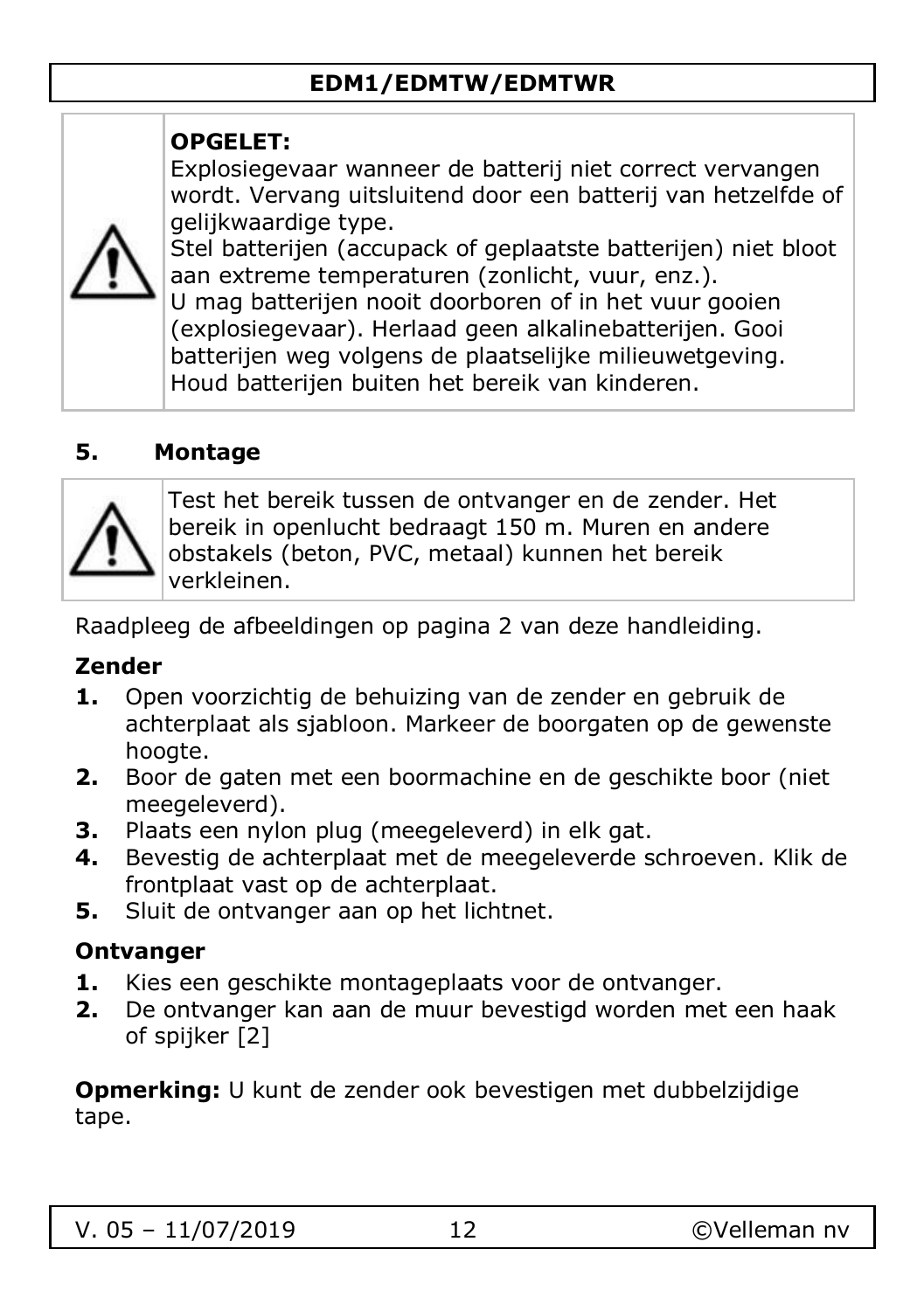### **OPGELET:**

Explosiegevaar wanneer de batterij niet correct vervangen wordt. Vervang uitsluitend door een batterij van hetzelfde of gelijkwaardige type.



Stel batterijen (accupack of geplaatste batterijen) niet bloot aan extreme temperaturen (zonlicht, vuur, enz.).

U mag batterijen nooit doorboren of in het vuur gooien (explosiegevaar). Herlaad geen alkalinebatterijen. Gooi batterijen weg volgens de plaatselijke milieuwetgeving. Houd batterijen buiten het bereik van kinderen.

### **5. Montage**



Test het bereik tussen de ontvanger en de zender. Het bereik in openlucht bedraagt 150 m. Muren en andere obstakels (beton, PVC, metaal) kunnen het bereik verkleinen.

Raadpleeg de afbeeldingen op pagina 2 van deze handleiding.

### **Zender**

- **1.** Open voorzichtig de behuizing van de zender en gebruik de achterplaat als sjabloon. Markeer de boorgaten op de gewenste hoogte.
- **2.** Boor de gaten met een boormachine en de geschikte boor (niet meegeleverd).
- **3.** Plaats een nylon plug (meegeleverd) in elk gat.
- **4.** Bevestig de achterplaat met de meegeleverde schroeven. Klik de frontplaat vast op de achterplaat.
- **5.** Sluit de ontvanger aan op het lichtnet.

### **Ontvanger**

- **1.** Kies een geschikte montageplaats voor de ontvanger.
- **2.** De ontvanger kan aan de muur bevestigd worden met een haak of spijker [2]

**Opmerking:** U kunt de zender ook bevestigen met dubbelzijdige tape.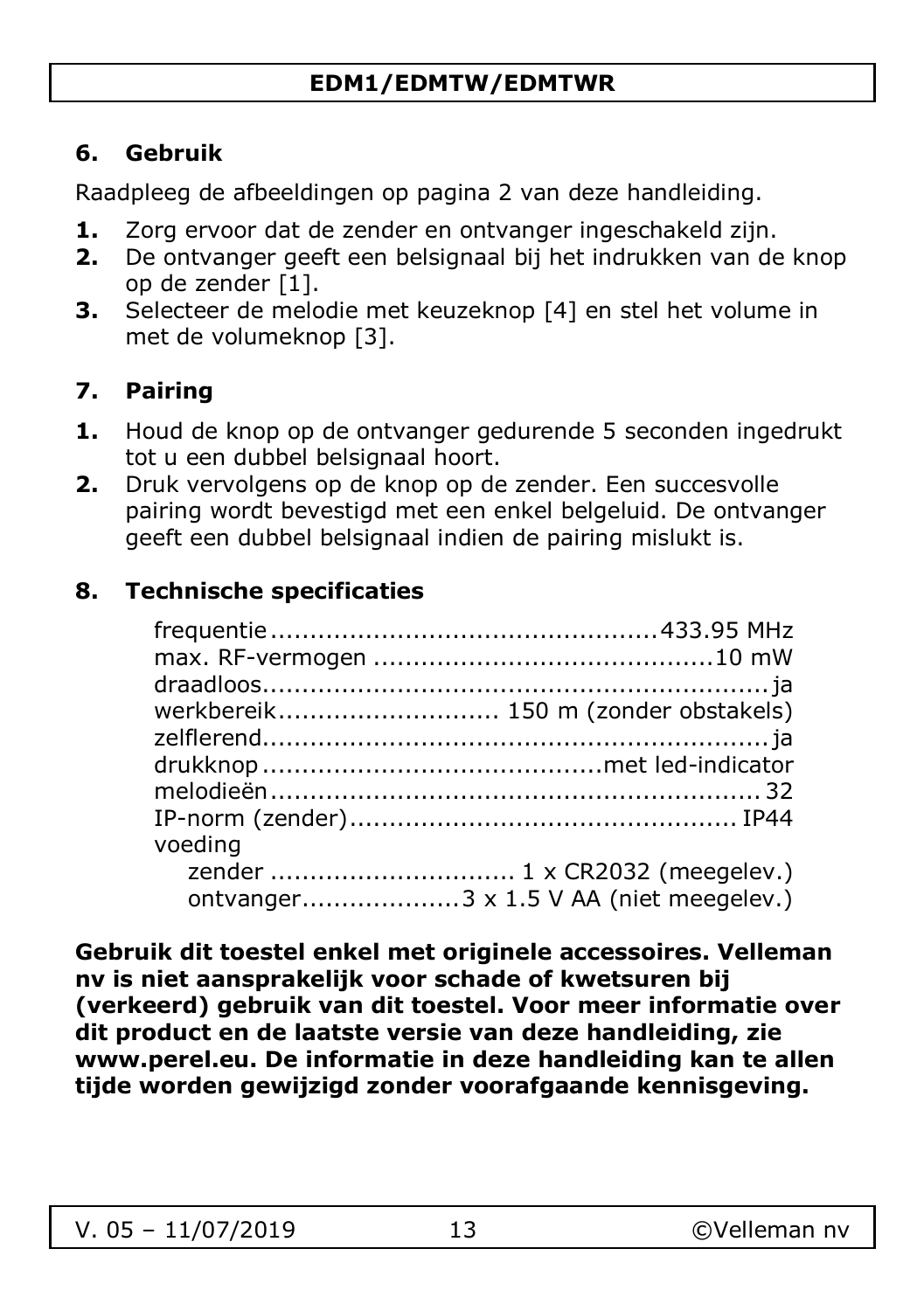### **6. Gebruik**

Raadpleeg de afbeeldingen op pagina 2 van deze handleiding.

- **1.** Zorg ervoor dat de zender en ontvanger ingeschakeld zijn.<br>2. De ontvanger geeft een belsignaal bij het indrukken van de
- **2.** De ontvanger geeft een belsignaal bij het indrukken van de knop op de zender [1].
- **3.** Selecteer de melodie met keuzeknop [4] en stel het volume in met de volumeknop [3].

### **7. Pairing**

- **1.** Houd de knop op de ontvanger gedurende 5 seconden ingedrukt tot u een dubbel belsignaal hoort.
- **2.** Druk vervolgens op de knop op de zender. Een succesvolle pairing wordt bevestigd met een enkel belgeluid. De ontvanger geeft een dubbel belsignaal indien de pairing mislukt is.

### **8. Technische specificaties**

| werkbereik 150 m (zonder obstakels) |  |
|-------------------------------------|--|
|                                     |  |
|                                     |  |
|                                     |  |
|                                     |  |
| voedina                             |  |
| zender  1 x CR2032 (meegeley.)      |  |
|                                     |  |

**Gebruik dit toestel enkel met originele accessoires. Velleman nv is niet aansprakelijk voor schade of kwetsuren bij (verkeerd) gebruik van dit toestel. Voor meer informatie over dit product en de laatste versie van deze handleiding, zie www.perel.eu. De informatie in deze handleiding kan te allen tijde worden gewijzigd zonder voorafgaande kennisgeving.**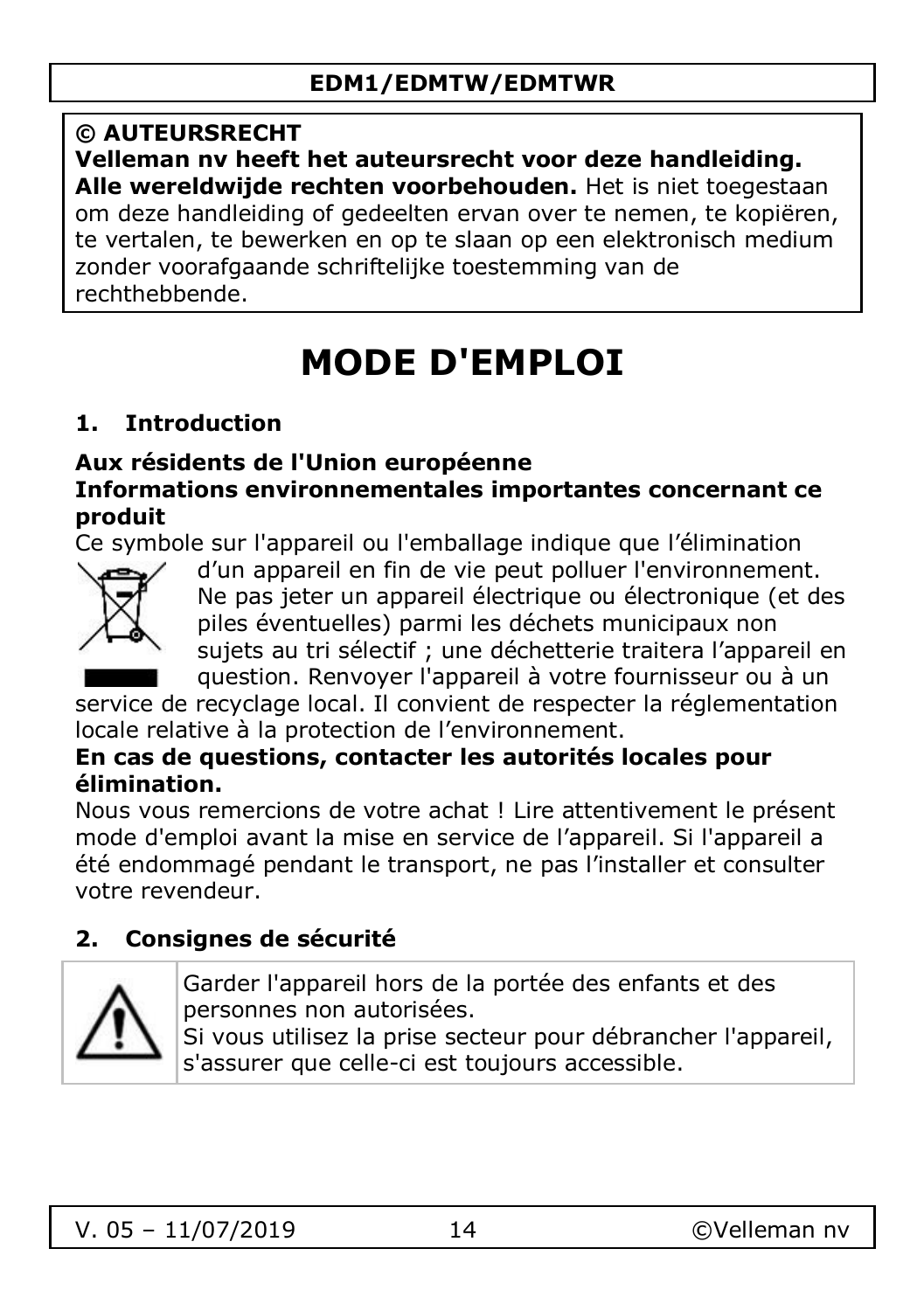### **© AUTEURSRECHT**

### **Velleman nv heeft het auteursrecht voor deze handleiding. Alle wereldwijde rechten voorbehouden.** Het is niet toegestaan

om deze handleiding of gedeelten ervan over te nemen, te kopiëren, te vertalen, te bewerken en op te slaan op een elektronisch medium zonder voorafgaande schriftelijke toestemming van de rechthebbende.

# **MODE D'EMPLOI**

### <span id="page-13-0"></span>**1. Introduction**

### **Aux résidents de l'Union européenne Informations environnementales importantes concernant ce produit**

Ce symbole sur l'appareil ou l'emballage indique que l'élimination



d'un appareil en fin de vie peut polluer l'environnement. Ne pas jeter un appareil électrique ou électronique (et des piles éventuelles) parmi les déchets municipaux non sujets au tri sélectif ; une déchetterie traitera l'annareil en question. Renvoyer l'appareil à votre fournisseur ou à un

service de recyclage local. Il convient de respecter la réglementation locale relative à la protection de l'environnement.

### **En cas de questions, contacter les autorités locales pour élimination.**

Nous vous remercions de votre achat ! Lire attentivement le présent mode d'emploi avant la mise en service de l'appareil. Si l'appareil a été endommagé pendant le transport, ne pas l'installer et consulter votre revendeur.

### **2. Consignes de sécurité**



Garder l'appareil hors de la portée des enfants et des personnes non autorisées.

Si vous utilisez la prise secteur pour débrancher l'appareil, s'assurer que celle-ci est toujours accessible.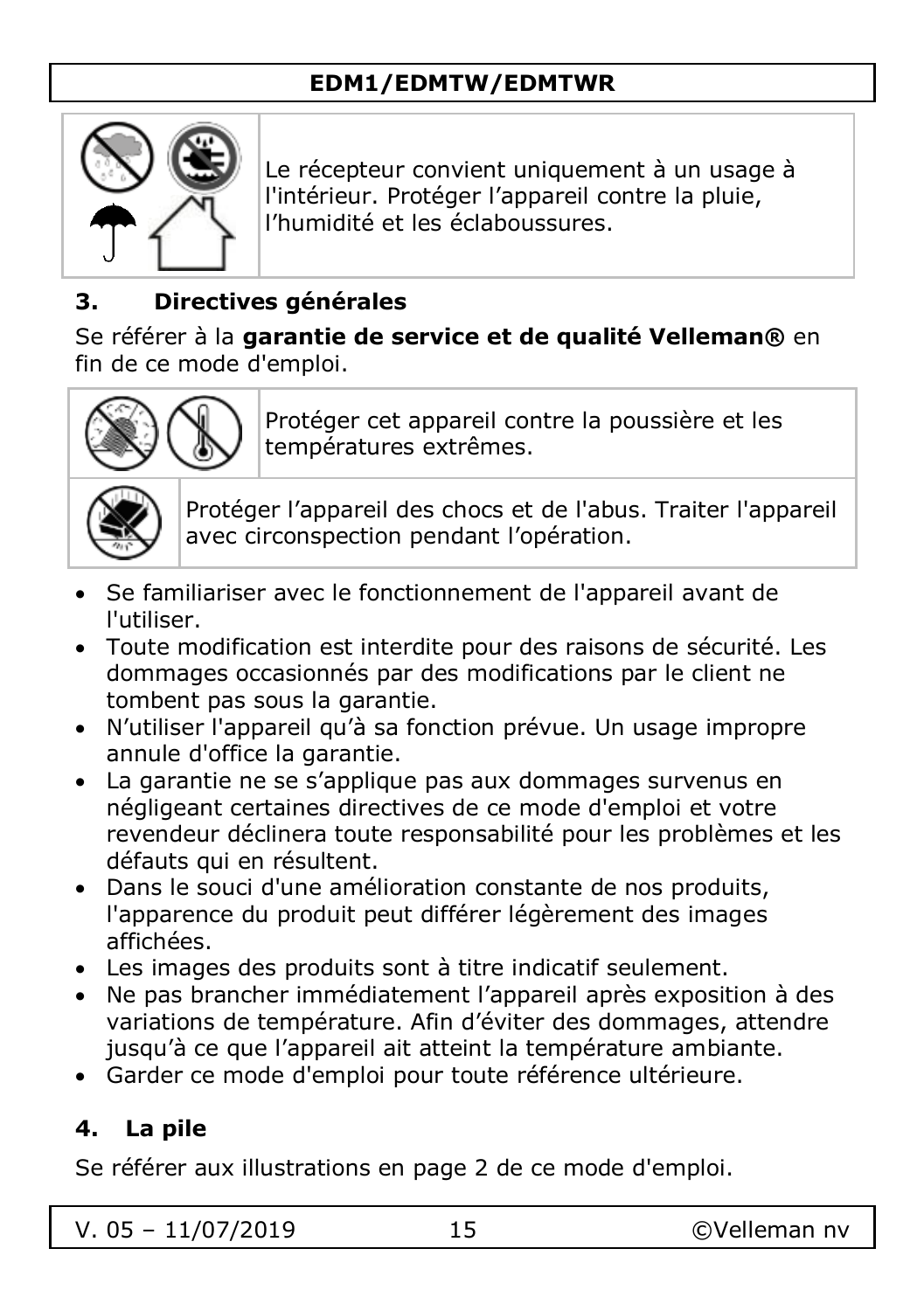

Le récepteur convient uniquement à un usage à l'intérieur. Protéger l'appareil contre la pluie, l'humidité et les éclaboussures.

# **3. Directives générales**

Se référer à la **garantie de service et de qualité Velleman®** en fin de ce mode d'emploi.



Protéger cet appareil contre la poussière et les températures extrêmes.



Protéger l'appareil des chocs et de l'abus. Traiter l'appareil avec circonspection pendant l'opération.

- Se familiariser avec le fonctionnement de l'appareil avant de l'utiliser.
- Toute modification est interdite pour des raisons de sécurité. Les dommages occasionnés par des modifications par le client ne tombent pas sous la garantie.
- N'utiliser l'appareil qu'à sa fonction prévue. Un usage impropre annule d'office la garantie.
- La garantie ne se s'applique pas aux dommages survenus en négligeant certaines directives de ce mode d'emploi et votre revendeur déclinera toute responsabilité pour les problèmes et les défauts qui en résultent.
- Dans le souci d'une amélioration constante de nos produits, l'apparence du produit peut différer légèrement des images affichées.
- Les images des produits sont à titre indicatif seulement.
- Ne pas brancher immédiatement l'appareil après exposition à des variations de température. Afin d'éviter des dommages, attendre jusqu'à ce que l'appareil ait atteint la température ambiante.
- Garder ce mode d'emploi pour toute référence ultérieure.

### **4. La pile**

Se référer aux illustrations en page 2 de ce mode d'emploi.

| $V. 05 - 11/07/2019$ |  | ©Velleman nv |
|----------------------|--|--------------|
|----------------------|--|--------------|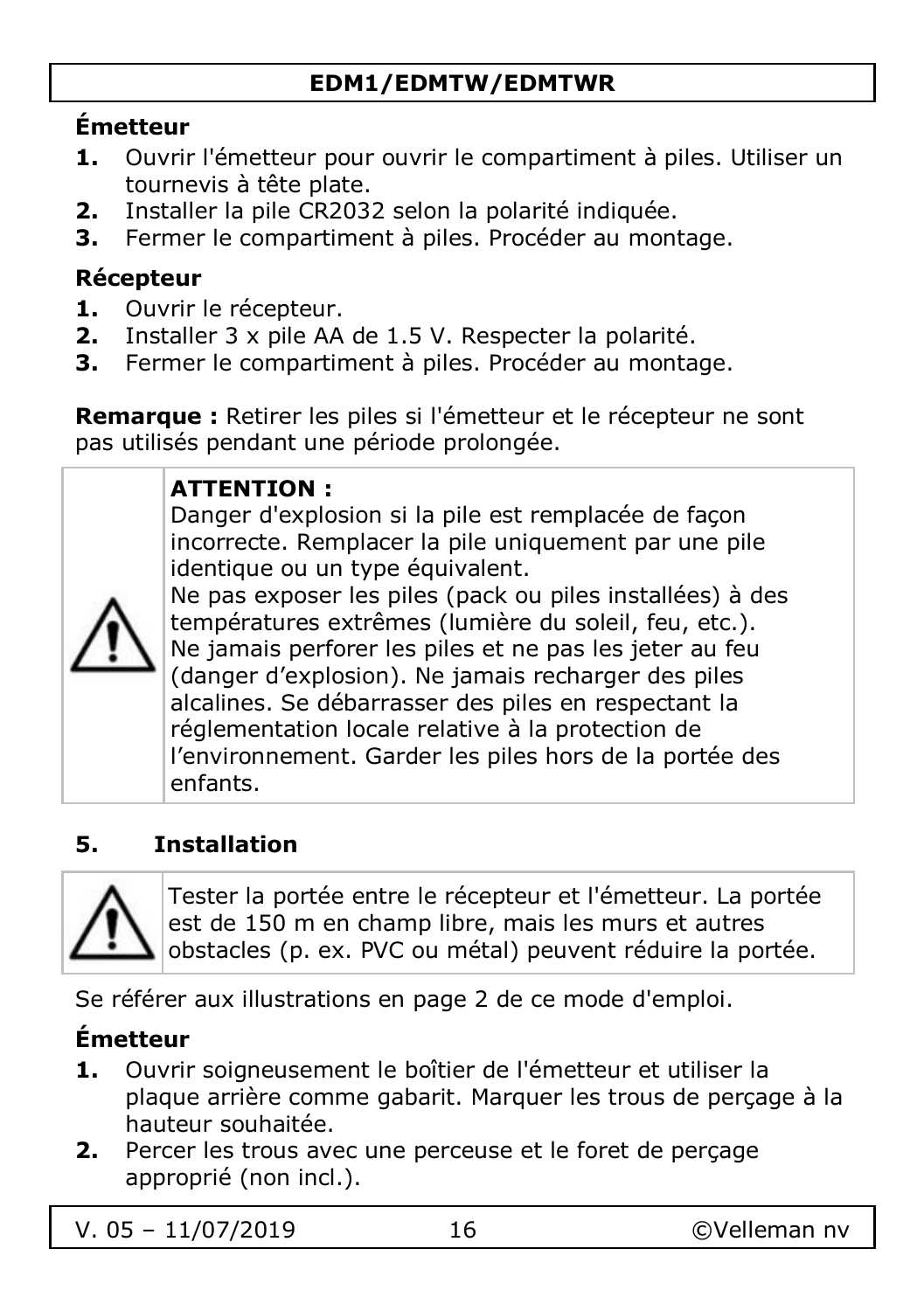# **Émetteur**

- **1.** Ouvrir l'émetteur pour ouvrir le compartiment à piles. Utiliser un tournevis à tête plate.
- **2.** Installer la pile CR2032 selon la polarité indiquée.<br>**2.** Eermer le compartiment à piles, Procéder au mont
- **3.** Fermer le compartiment à piles. Procéder au montage.

### **Récepteur**

- **1.** Ouvrir le récepteur.
- **2.** Installer 3 x pile AA de 1.5 V. Respecter la polarité.
- **3.** Fermer le compartiment à piles. Procéder au montage.

**Remarque :** Retirer les piles si l'émetteur et le récepteur ne sont pas utilisés pendant une période prolongée.

## **ATTENTION :**

Danger d'explosion si la pile est remplacée de façon incorrecte. Remplacer la pile uniquement par une pile identique ou un type équivalent.



Ne pas exposer les piles (pack ou piles installées) à des températures extrêmes (lumière du soleil, feu, etc.). Ne jamais perforer les piles et ne pas les jeter au feu (danger d'explosion). Ne jamais recharger des piles alcalines. Se débarrasser des piles en respectant la réglementation locale relative à la protection de l'environnement. Garder les piles hors de la portée des enfants.

### **5. Installation**



Tester la portée entre le récepteur et l'émetteur. La portée est de 150 m en champ libre, mais les murs et autres obstacles (p. ex. PVC ou métal) peuvent réduire la portée.

Se référer aux illustrations en page 2 de ce mode d'emploi.

# **Émetteur**

- **1.** Ouvrir soigneusement le boîtier de l'émetteur et utiliser la plaque arrière comme gabarit. Marquer les trous de perçage à la hauteur souhaitée.
- **2.** Percer les trous avec une perceuse et le foret de perçage approprié (non incl.).

V. 05 – 11/07/2019 16 ©Velleman nv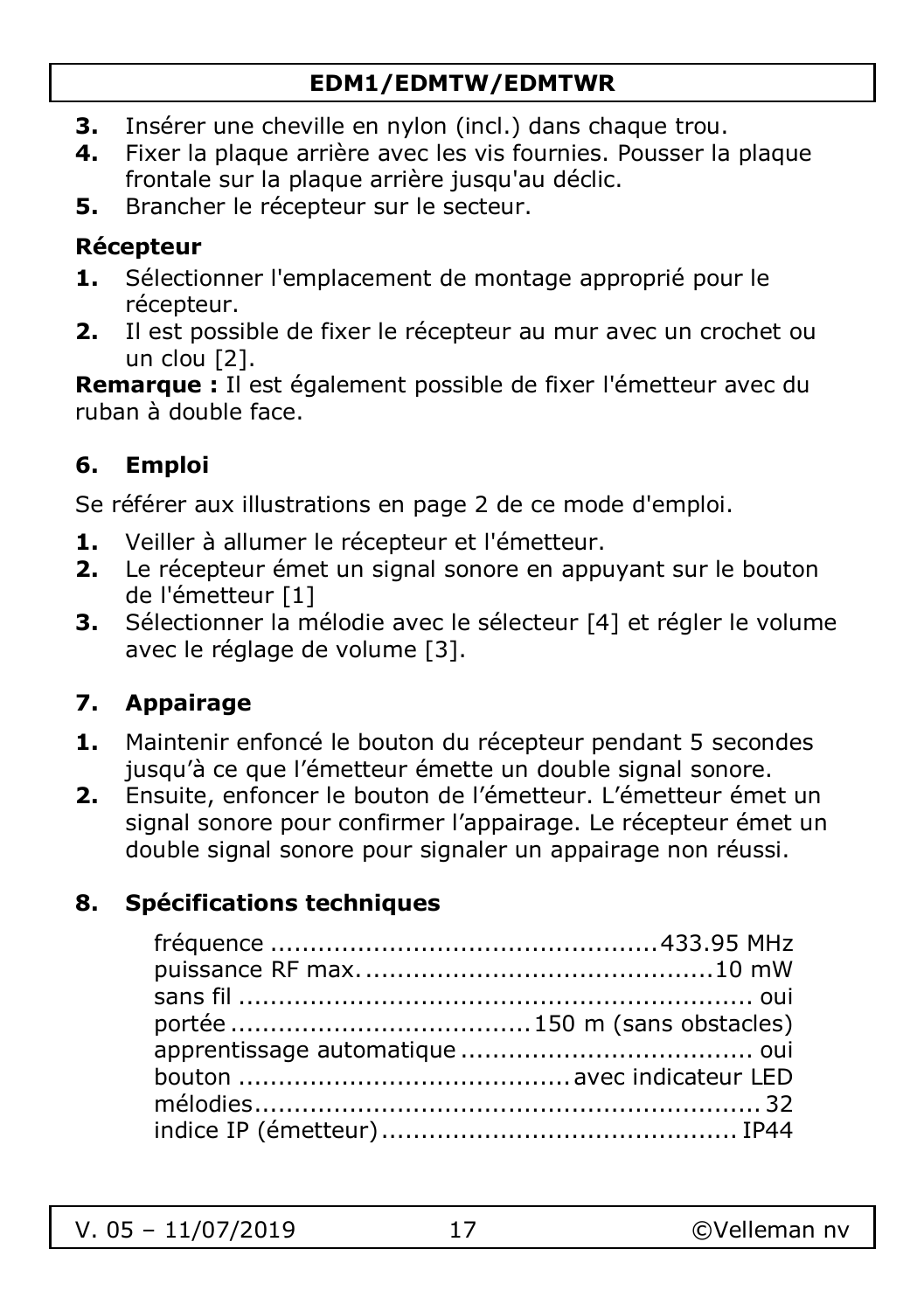- **3.** Insérer une cheville en nylon (incl.) dans chaque trou.
- **4.** Fixer la plaque arrière avec les vis fournies. Pousser la plaque frontale sur la plaque arrière jusqu'au déclic.
- **5.** Brancher le récepteur sur le secteur.

### **Récepteur**

- **1.** Sélectionner l'emplacement de montage approprié pour le récepteur.
- **2.** Il est possible de fixer le récepteur au mur avec un crochet ou un clou [2].

**Remarque :** Il est également possible de fixer l'émetteur avec du ruban à double face.

### **6. Emploi**

Se référer aux illustrations en page 2 de ce mode d'emploi.

- **1.** Veiller à allumer le récepteur et l'émetteur.
- **2.** Le récepteur émet un signal sonore en appuyant sur le bouton de l'émetteur [1]
- **3.** Sélectionner la mélodie avec le sélecteur [4] et régler le volume avec le réglage de volume [3].

# **7. Appairage**

- **1.** Maintenir enfoncé le bouton du récepteur pendant 5 secondes jusqu'à ce que l'émetteur émette un double signal sonore.
- **2.** Ensuite, enfoncer le bouton de l'émetteur. L'émetteur émet un signal sonore pour confirmer l'appairage. Le récepteur émet un double signal sonore pour signaler un appairage non réussi.

# **8. Spécifications techniques**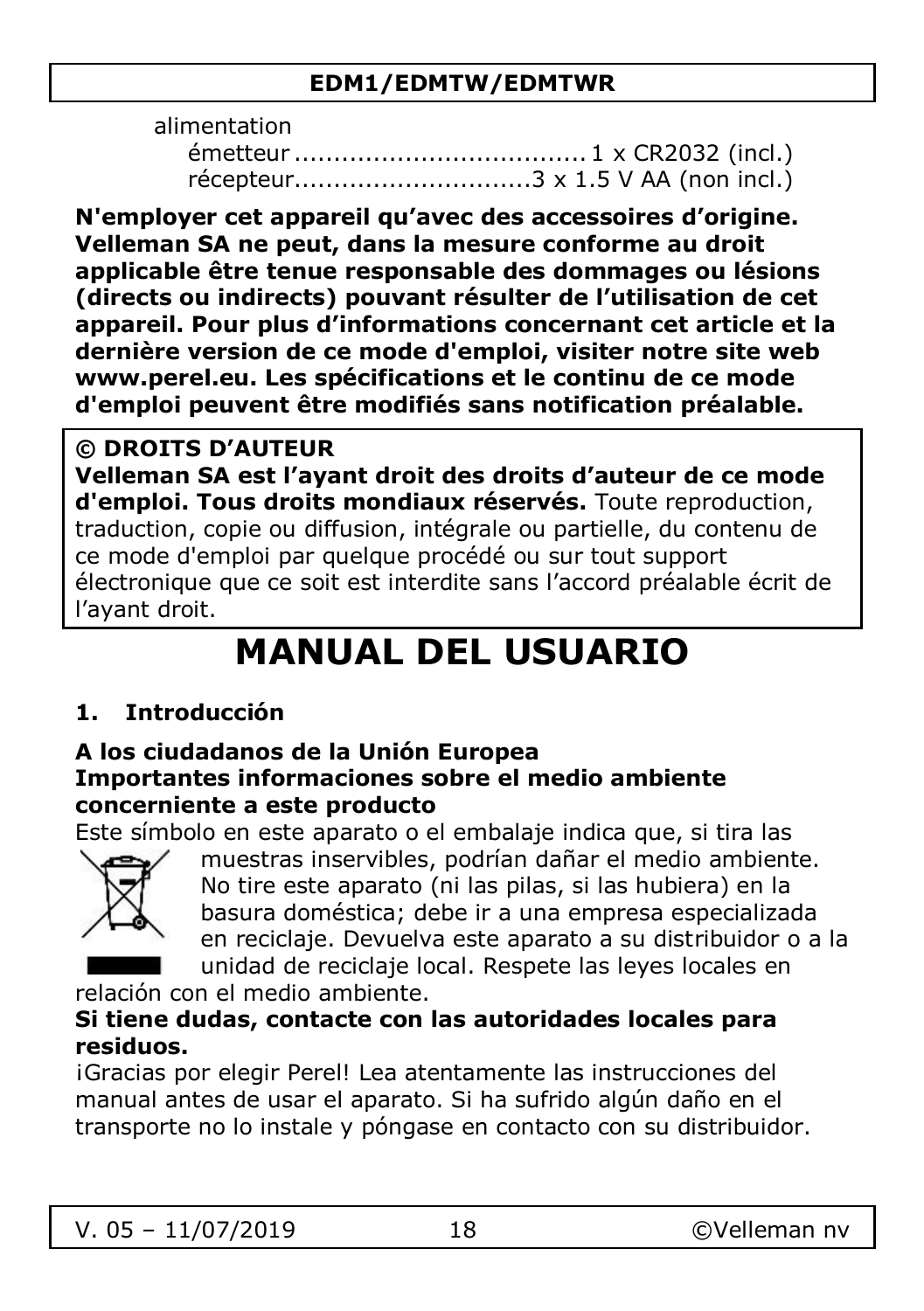| alimentation |  |
|--------------|--|
|              |  |
|              |  |

**N'employer cet appareil qu'avec des accessoires d'origine. Velleman SA ne peut, dans la mesure conforme au droit applicable être tenue responsable des dommages ou lésions (directs ou indirects) pouvant résulter de l'utilisation de cet appareil. Pour plus d'informations concernant cet article et la dernière version de ce mode d'emploi, visiter notre site web www.perel.eu. Les spécifications et le continu de ce mode d'emploi peuvent être modifiés sans notification préalable.**

### **© DROITS D'AUTEUR**

**Velleman SA est l'ayant droit des droits d'auteur de ce mode d'emploi. Tous droits mondiaux réservés.** Toute reproduction, traduction, copie ou diffusion, intégrale ou partielle, du contenu de ce mode d'emploi par quelque procédé ou sur tout support électronique que ce soit est interdite sans l'accord préalable écrit de l'ayant droit.

# **MANUAL DEL USUARIO**

### <span id="page-17-0"></span>**1. Introducción**

### **A los ciudadanos de la Unión Europea Importantes informaciones sobre el medio ambiente concerniente a este producto**

Este símbolo en este aparato o el embalaje indica que, si tira las



muestras inservibles, podrían dañar el medio ambiente. No tire este aparato (ni las pilas, si las hubiera) en la basura doméstica; debe ir a una empresa especializada en reciclaje. Devuelva este aparato a su distribuidor o a la unidad de reciclaje local. Respete las leyes locales en relación con el medio ambiente.

**Si tiene dudas, contacte con las autoridades locales para** 

### **residuos.**

¡Gracias por elegir Perel! Lea atentamente las instrucciones del manual antes de usar el aparato. Si ha sufrido algún daño en el transporte no lo instale y póngase en contacto con su distribuidor.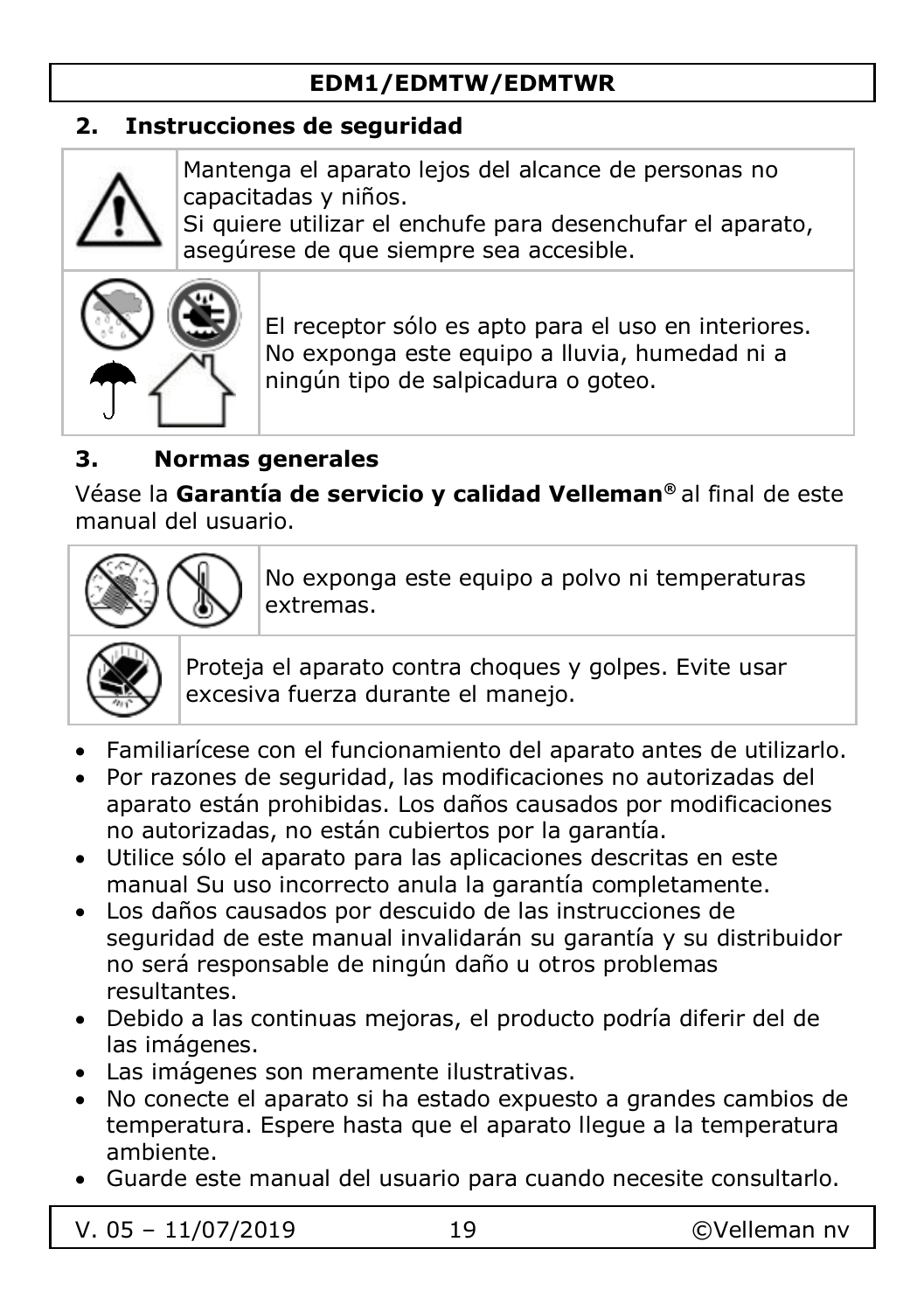### **2. Instrucciones de seguridad**



Mantenga el aparato lejos del alcance de personas no capacitadas y niños.

Si quiere utilizar el enchufe para desenchufar el aparato, asegúrese de que siempre sea accesible.



El receptor sólo es apto para el uso en interiores. No exponga este equipo a lluvia, humedad ni a ningún tipo de salpicadura o goteo.

### **3. Normas generales**

Véase la **Garantía de servicio y calidad Velleman®** al final de este manual del usuario.



No exponga este equipo a polvo ni temperaturas extremas.



Proteja el aparato contra choques y golpes. Evite usar excesiva fuerza durante el manejo.

- Familiarícese con el funcionamiento del aparato antes de utilizarlo.
- Por razones de seguridad, las modificaciones no autorizadas del aparato están prohibidas. Los daños causados por modificaciones no autorizadas, no están cubiertos por la garantía.
- Utilice sólo el aparato para las aplicaciones descritas en este manual Su uso incorrecto anula la garantía completamente.
- Los daños causados por descuido de las instrucciones de seguridad de este manual invalidarán su garantía y su distribuidor no será responsable de ningún daño u otros problemas resultantes.
- Debido a las continuas mejoras, el producto podría diferir del de las imágenes.
- Las imágenes son meramente ilustrativas.
- No conecte el aparato si ha estado expuesto a grandes cambios de temperatura. Espere hasta que el aparato llegue a la temperatura ambiente.
- Guarde este manual del usuario para cuando necesite consultarlo.

V. 05 – 11/07/2019 19 ©Velleman nv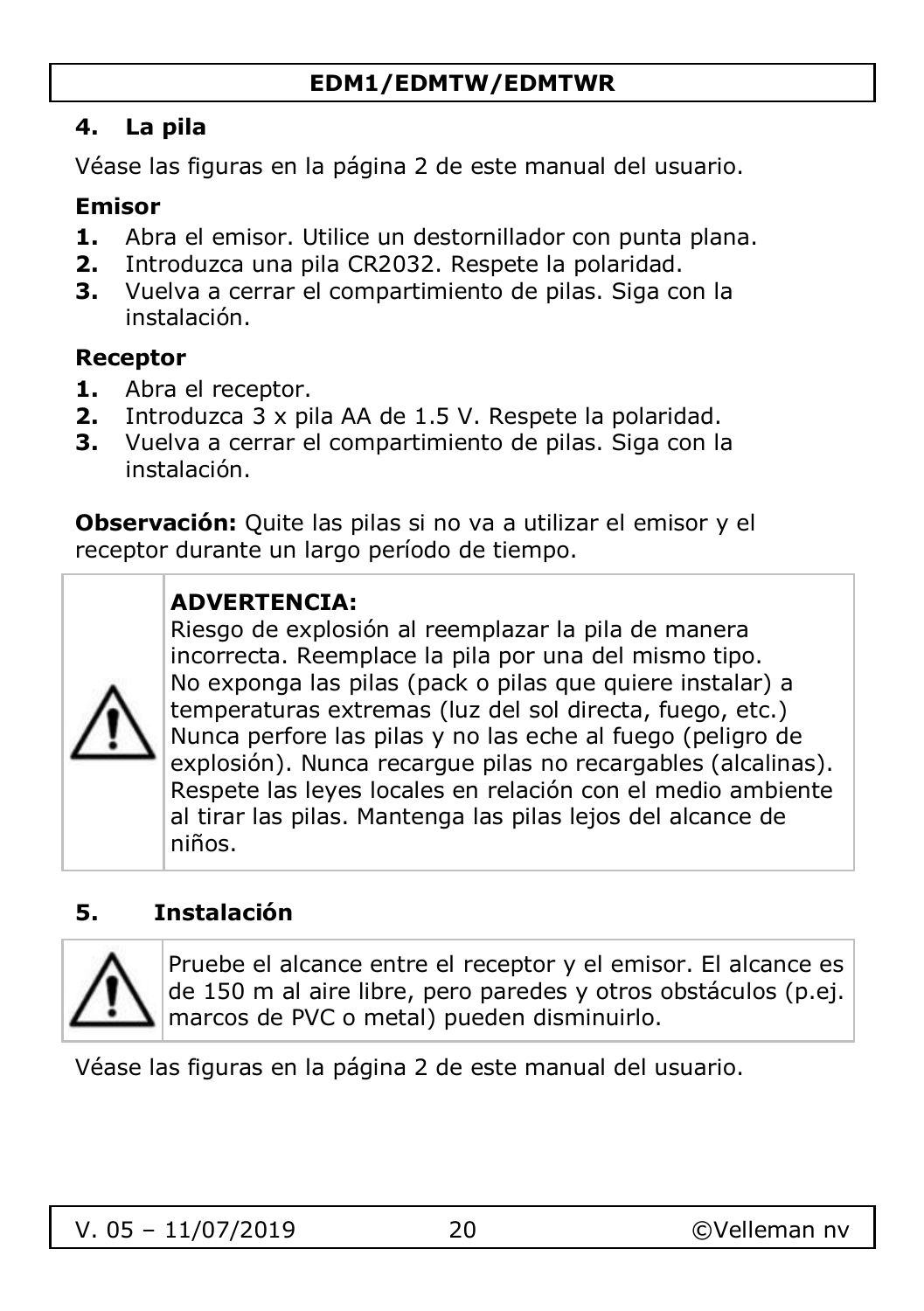### **4. La pila**

Véase las figuras en la página 2 de este manual del usuario.

### **Emisor**

- **1.** Abra el emisor. Utilice un destornillador con punta plana.
- **2.** Introduzca una pila CR2032. Respete la polaridad.
- **3.** Vuelva a cerrar el compartimiento de pilas. Siga con la instalación.

### **Receptor**

- **1.** Abra el receptor.
- **2.** Introduzca 3 x pila AA de 1.5 V. Respete la polaridad.
- **3.** Vuelva a cerrar el compartimiento de pilas. Siga con la instalación.

**Observación:** Quite las pilas si no va a utilizar el emisor y el receptor durante un largo período de tiempo.

### **ADVERTENCIA:**



Riesgo de explosión al reemplazar la pila de manera incorrecta. Reemplace la pila por una del mismo tipo. No exponga las pilas (pack o pilas que quiere instalar) a temperaturas extremas (luz del sol directa, fuego, etc.) Nunca perfore las pilas y no las eche al fuego (peligro de explosión). Nunca recarque pilas no recargables (alcalinas). Respete las leyes locales en relación con el medio ambiente al tirar las pilas. Mantenga las pilas lejos del alcance de niños.

### **5. Instalación**



Pruebe el alcance entre el receptor y el emisor. El alcance es de 150 m al aire libre, pero paredes y otros obstáculos (p.ej. marcos de PVC o metal) pueden disminuirlo.

Véase las figuras en la página 2 de este manual del usuario.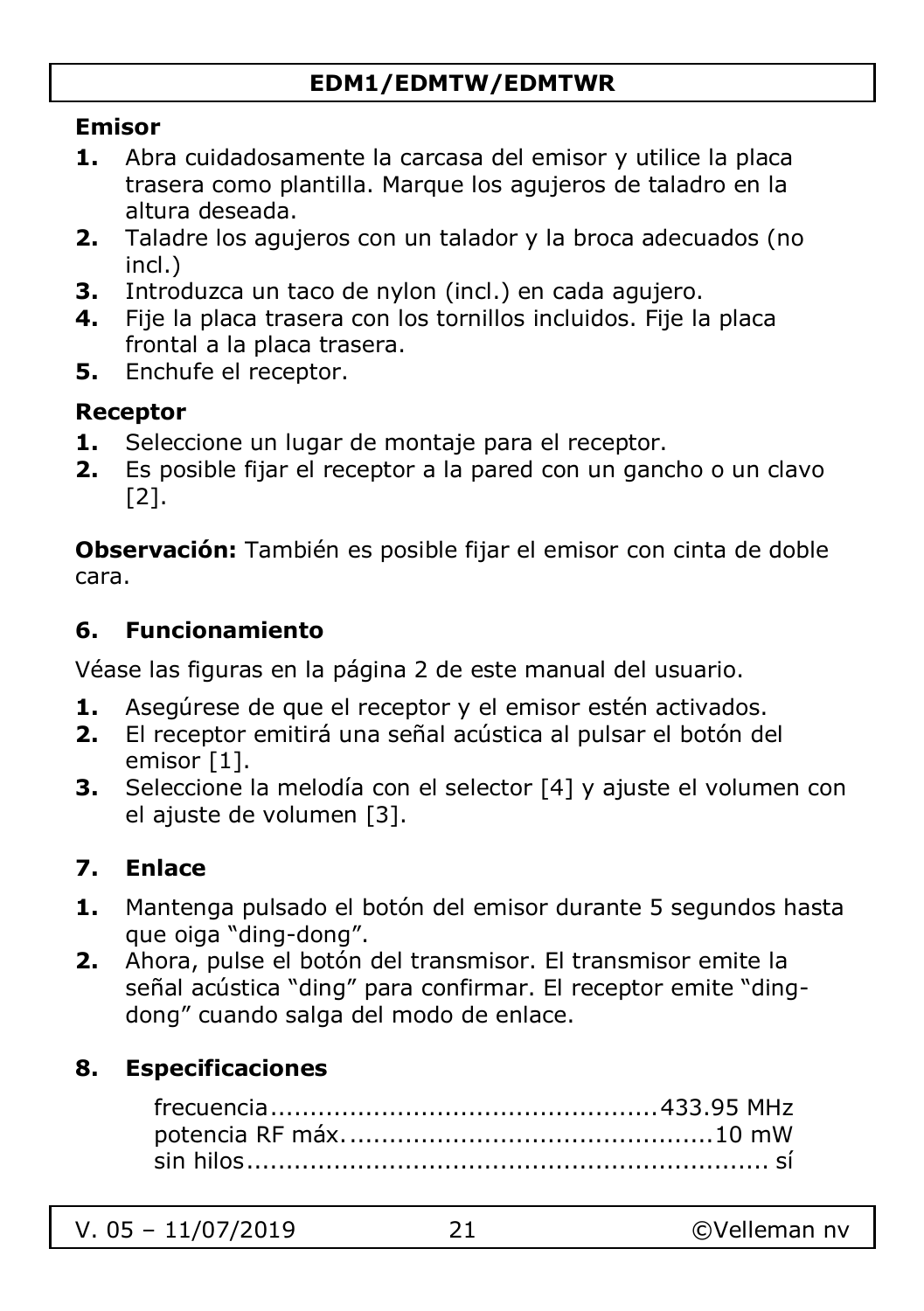### **Emisor**

- **1.** Abra cuidadosamente la carcasa del emisor y utilice la placa trasera como plantilla. Marque los agujeros de taladro en la altura deseada.
- **2.** Taladre los agujeros con un talador y la broca adecuados (no incl.)
- **3.** Introduzca un taco de nylon (incl.) en cada agujero.
- **4.** Fije la placa trasera con los tornillos incluidos. Fije la placa frontal a la placa trasera.
- **5.** Enchufe el receptor.

### **Receptor**

- **1.** Seleccione un lugar de montaje para el receptor.
- **2.** Es posible fijar el receptor a la pared con un gancho o un clavo [2].

**Observación:** También es posible fijar el emisor con cinta de doble cara.

### **6. Funcionamiento**

Véase las figuras en la página 2 de este manual del usuario.

- **1.** Asegúrese de que el receptor y el emisor estén activados.
- **2.** El receptor emitirá una señal acústica al pulsar el botón del emisor [1].
- **3.** Seleccione la melodía con el selector [4] y ajuste el volumen con el ajuste de volumen [3].

# **7. Enlace**

- **1.** Mantenga pulsado el botón del emisor durante 5 segundos hasta que oiga "ding-dong".
- **2.** Ahora, pulse el botón del transmisor. El transmisor emite la señal acústica "ding" para confirmar. El receptor emite "dingdong" cuando salga del modo de enlace.

### **8. Especificaciones**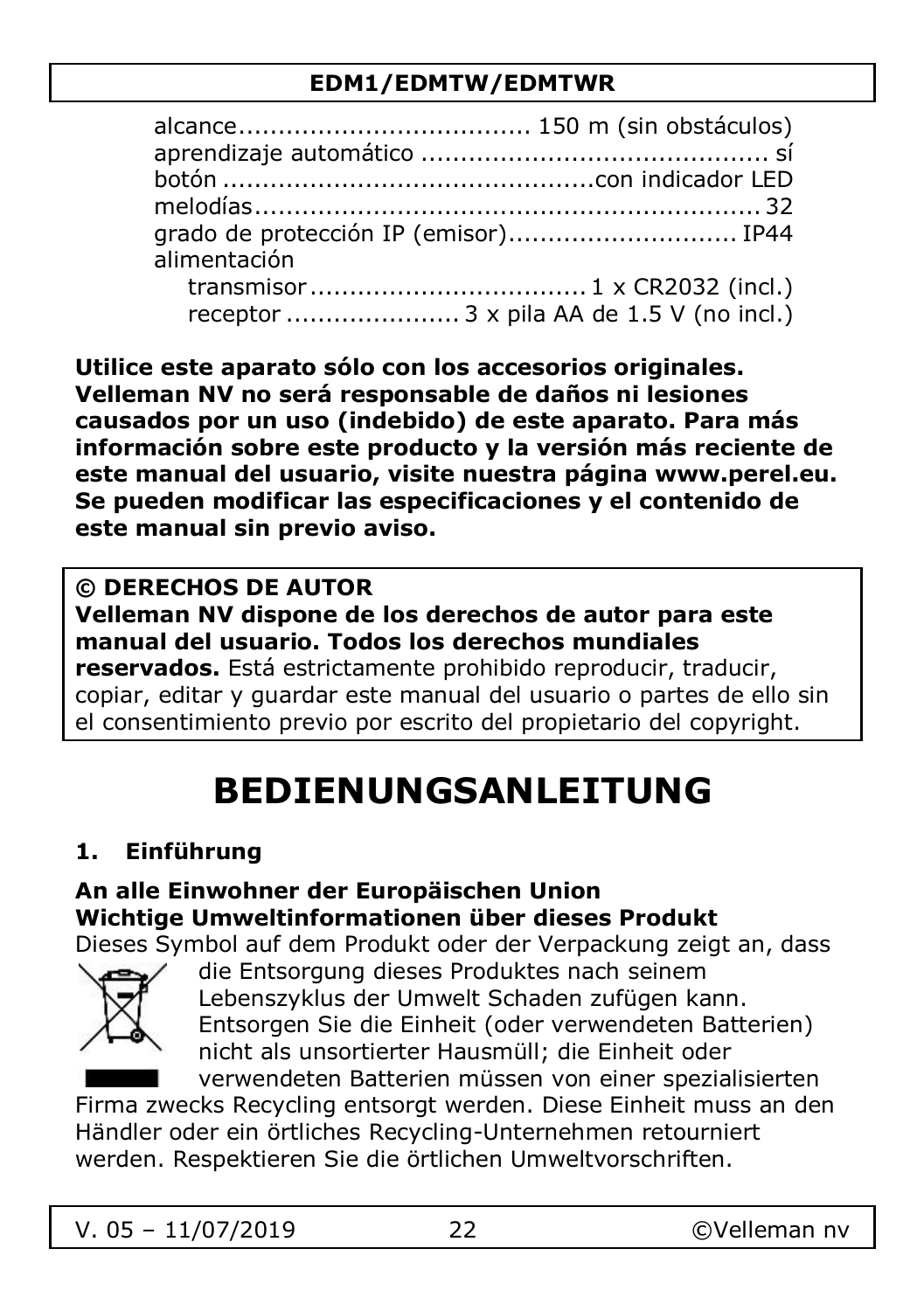| grado de protección IP (emisor) IP44      |  |
|-------------------------------------------|--|
| alimentación                              |  |
|                                           |  |
| receptor  3 x pila AA de 1.5 V (no incl.) |  |

**Utilice este aparato sólo con los accesorios originales. Velleman NV no será responsable de daños ni lesiones causados por un uso (indebido) de este aparato. Para más información sobre este producto y la versión más reciente de este manual del usuario, visite nuestra página www.perel.eu. Se pueden modificar las especificaciones y el contenido de este manual sin previo aviso.**

### **© DERECHOS DE AUTOR**

**Velleman NV dispone de los derechos de autor para este manual del usuario. Todos los derechos mundiales reservados.** Está estrictamente prohibido reproducir, traducir, copiar, editar y guardar este manual del usuario o partes de ello sin el consentimiento previo por escrito del propietario del copyright.

# **BEDIENUNGSANLEITUNG**

### <span id="page-21-0"></span>**1. Einführung**

# **An alle Einwohner der Europäischen Union Wichtige Umweltinformationen über dieses Produkt**

Dieses Symbol auf dem Produkt oder der Verpackung zeigt an, dass



die Entsorgung dieses Produktes nach seinem Lebenszyklus der Umwelt Schaden zufügen kann. Entsorgen Sie die Einheit (oder verwendeten Batterien) nicht als unsortierter Hausmüll; die Einheit oder verwendeten Batterien müssen von einer spezialisierten

Firma zwecks Recycling entsorgt werden. Diese Einheit muss an den Händler oder ein örtliches Recycling-Unternehmen retourniert werden. Respektieren Sie die örtlichen Umweltvorschriften.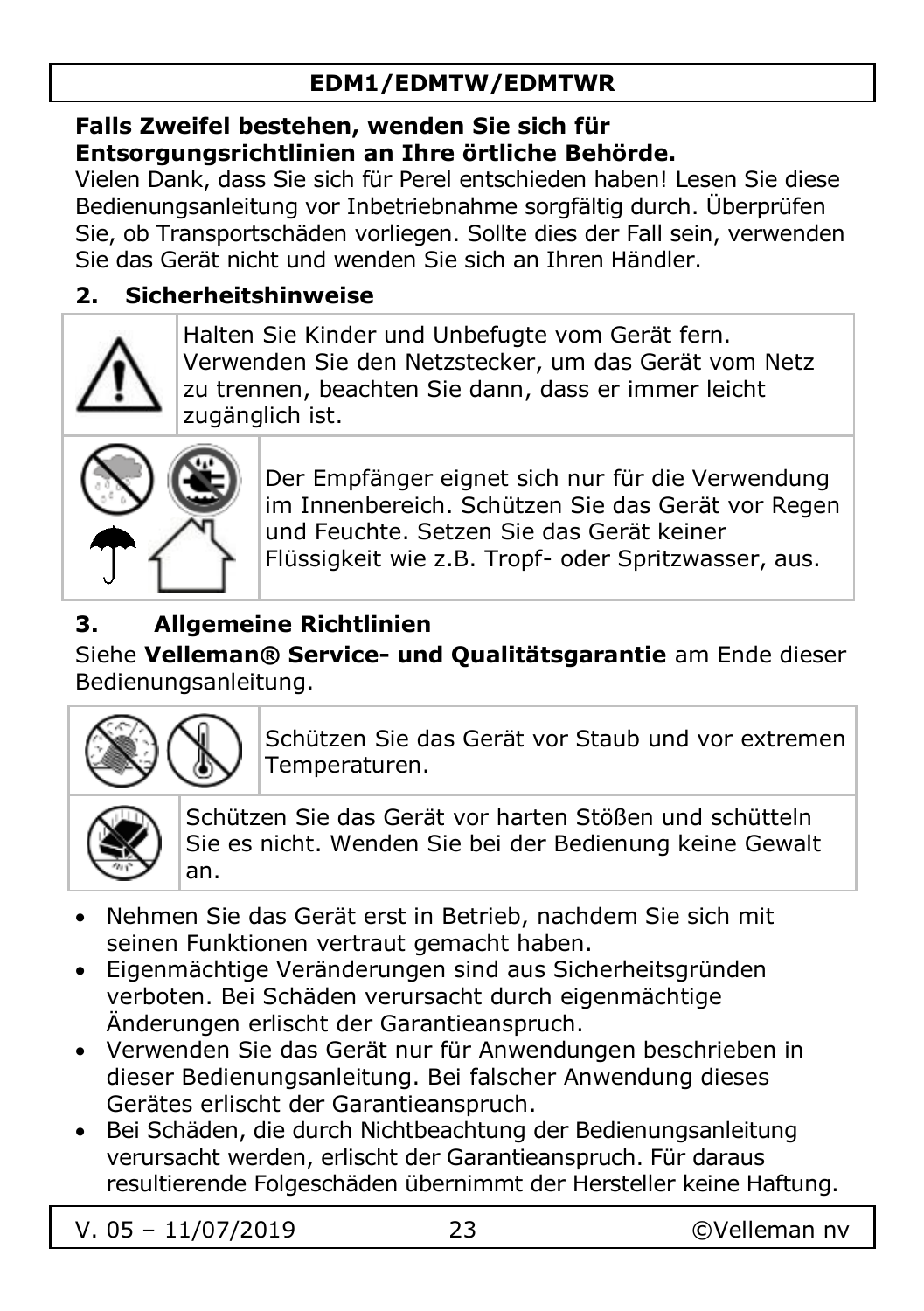### **Falls Zweifel bestehen, wenden Sie sich für Entsorgungsrichtlinien an Ihre örtliche Behörde.**

Vielen Dank, dass Sie sich für Perel entschieden haben! Lesen Sie diese Bedienungsanleitung vor Inbetriebnahme sorgfältig durch. Überprüfen Sie, ob Transportschäden vorliegen. Sollte dies der Fall sein, verwenden Sie das Gerät nicht und wenden Sie sich an Ihren Händler.

### **2. Sicherheitshinweise**



Halten Sie Kinder und Unbefugte vom Gerät fern. Verwenden Sie den Netzstecker, um das Gerät vom Netz zu trennen, beachten Sie dann, dass er immer leicht zugänglich ist.



Der Empfänger eignet sich nur für die Verwendung im Innenbereich. Schützen Sie das Gerät vor Regen und Feuchte. Setzen Sie das Gerät keiner Flüssigkeit wie z.B. Tropf- oder Spritzwasser, aus.

# **3. Allgemeine Richtlinien**

Siehe **Velleman® Service- und Qualitätsgarantie** am Ende dieser Bedienungsanleitung.



Schützen Sie das Gerät vor Staub und vor extremen Temperaturen.



Schützen Sie das Gerät vor harten Stößen und schütteln Sie es nicht. Wenden Sie bei der Bedienung keine Gewalt an.

- Nehmen Sie das Gerät erst in Betrieb, nachdem Sie sich mit seinen Funktionen vertraut gemacht haben.
- Eigenmächtige Veränderungen sind aus Sicherheitsgründen verboten. Bei Schäden verursacht durch eigenmächtige Änderungen erlischt der Garantieanspruch.
- Verwenden Sie das Gerät nur für Anwendungen beschrieben in dieser Bedienungsanleitung. Bei falscher Anwendung dieses Gerätes erlischt der Garantieanspruch.
- Bei Schäden, die durch Nichtbeachtung der Bedienungsanleitung verursacht werden, erlischt der Garantieanspruch. Für daraus resultierende Folgeschäden übernimmt der Hersteller keine Haftung.

V. 05 – 11/07/2019 23 ©Velleman nv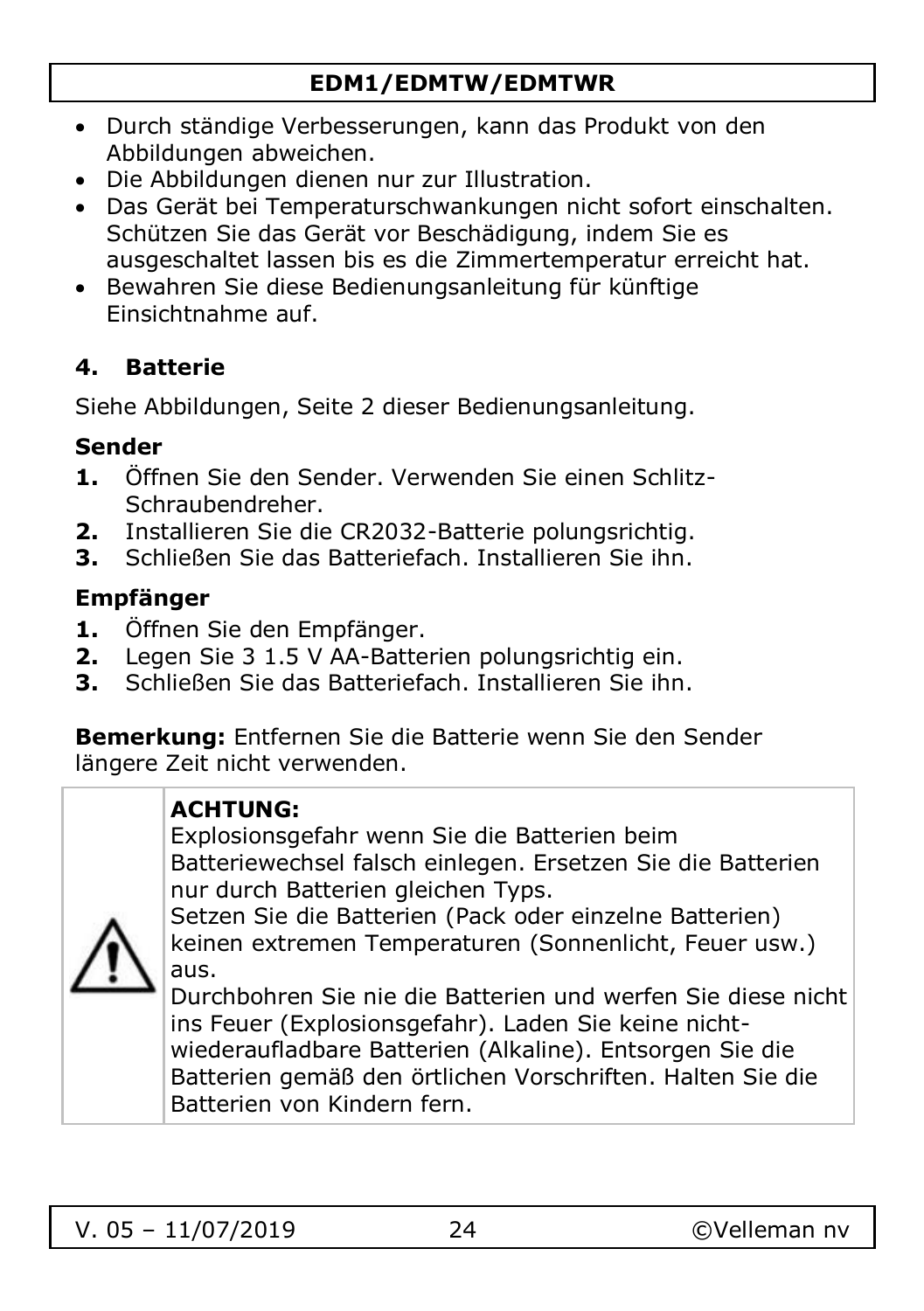- Durch ständige Verbesserungen, kann das Produkt von den Abbildungen abweichen.
- Die Abbildungen dienen nur zur Illustration.
- Das Gerät bei Temperaturschwankungen nicht sofort einschalten. Schützen Sie das Gerät vor Beschädigung, indem Sie es ausgeschaltet lassen bis es die Zimmertemperatur erreicht hat.
- Bewahren Sie diese Bedienungsanleitung für künftige Einsichtnahme auf.

### **4. Batterie**

Siehe Abbildungen, Seite 2 dieser Bedienungsanleitung.

### **Sender**

- **1.** Öffnen Sie den Sender. Verwenden Sie einen Schlitz-Schraubendreher.
- **2.** Installieren Sie die CR2032-Batterie polungsrichtig.
- **3.** Schließen Sie das Batteriefach. Installieren Sie ihn.

### **Empfänger**

- 1. Öffnen Sie den Empfänger.<br>2. Legen Sie 3 1.5 V AA-Batte
- **2.** Legen Sie 3 1.5 V AA-Batterien polungsrichtig ein.
- **3.** Schließen Sie das Batteriefach. Installieren Sie ihn.

**Bemerkung:** Entfernen Sie die Batterie wenn Sie den Sender längere Zeit nicht verwenden.

### **ACHTUNG:**

Explosionsgefahr wenn Sie die Batterien beim Batteriewechsel falsch einlegen. Ersetzen Sie die Batterien nur durch Batterien gleichen Typs.

Setzen Sie die Batterien (Pack oder einzelne Batterien) keinen extremen Temperaturen (Sonnenlicht, Feuer usw.) aus.

Durchbohren Sie nie die Batterien und werfen Sie diese nicht ins Feuer (Explosionsgefahr). Laden Sie keine nichtwiederaufladbare Batterien (Alkaline). Entsorgen Sie die Batterien gemäß den örtlichen Vorschriften. Halten Sie die Batterien von Kindern fern.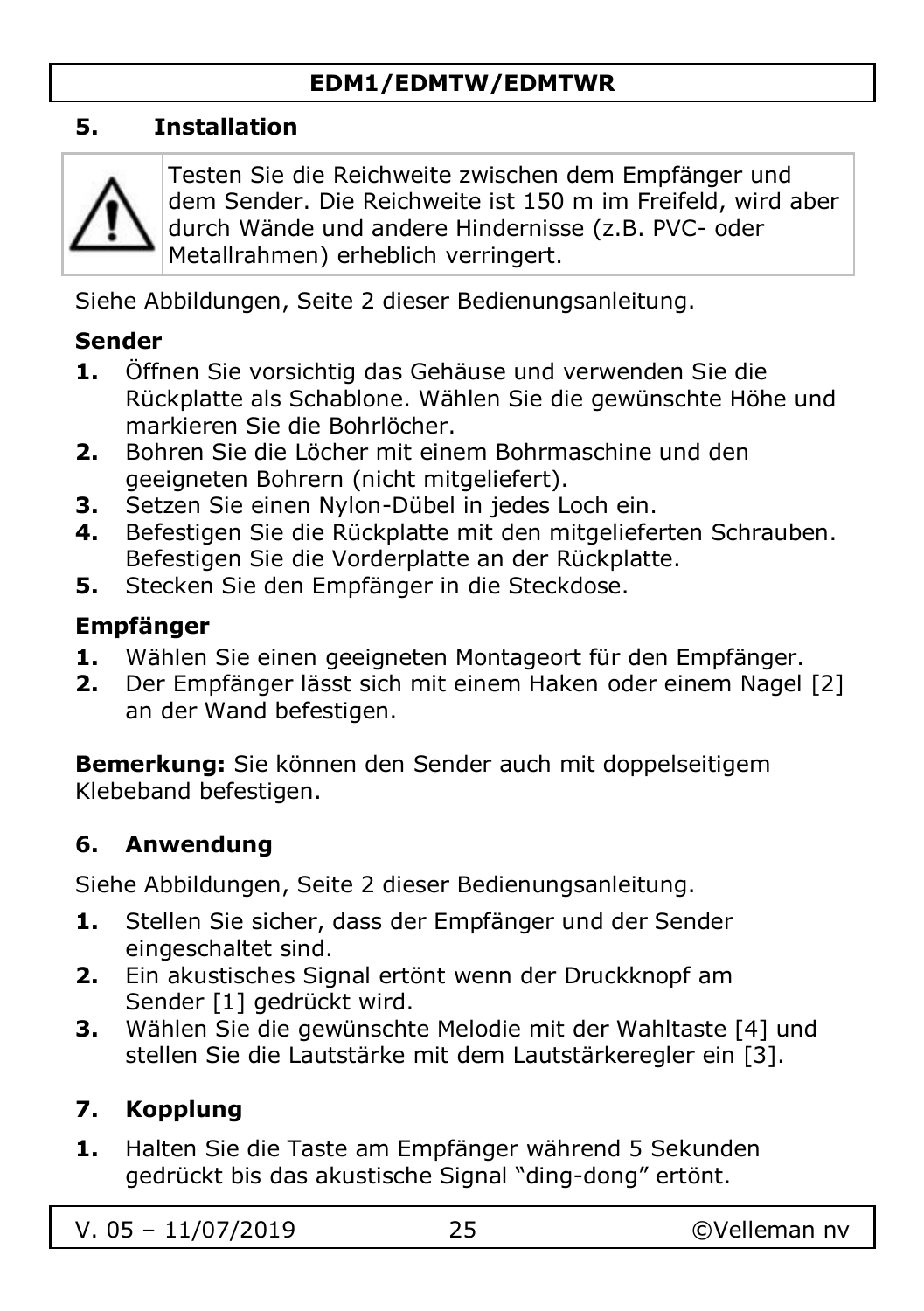### **5. Installation**



Testen Sie die Reichweite zwischen dem Empfänger und dem Sender. Die Reichweite ist 150 m im Freifeld, wird aber durch Wände und andere Hindernisse (z.B. PVC- oder Metallrahmen) erheblich verringert.

Siehe Abbildungen, Seite 2 dieser Bedienungsanleitung.

### **Sender**

- **1.** Öffnen Sie vorsichtig das Gehäuse und verwenden Sie die Rückplatte als Schablone. Wählen Sie die gewünschte Höhe und markieren Sie die Bohrlöcher.
- **2.** Bohren Sie die Löcher mit einem Bohrmaschine und den geeigneten Bohrern (nicht mitgeliefert).
- **3.** Setzen Sie einen Nylon-Dübel in jedes Loch ein.
- **4.** Befestigen Sie die Rückplatte mit den mitgelieferten Schrauben. Befestigen Sie die Vorderplatte an der Rückplatte.
- **5.** Stecken Sie den Empfänger in die Steckdose.

### **Empfänger**

- **1.** Wählen Sie einen geeigneten Montageort für den Empfänger.
- **2.** Der Empfänger lässt sich mit einem Haken oder einem Nagel [2] an der Wand befestigen.

**Bemerkung:** Sie können den Sender auch mit doppelseitigem Klebeband befestigen.

### **6. Anwendung**

Siehe Abbildungen, Seite 2 dieser Bedienungsanleitung.

- **1.** Stellen Sie sicher, dass der Empfänger und der Sender eingeschaltet sind.
- **2.** Ein akustisches Signal ertönt wenn der Druckknopf am Sender [1] gedrückt wird.
- **3.** Wählen Sie die gewünschte Melodie mit der Wahltaste [4] und stellen Sie die Lautstärke mit dem Lautstärkeregler ein [3].

### **7. Kopplung**

**1.** Halten Sie die Taste am Empfänger während 5 Sekunden gedrückt bis das akustische Signal "ding-dong" ertönt.

V. 05 – 11/07/2019 25 ©Velleman nv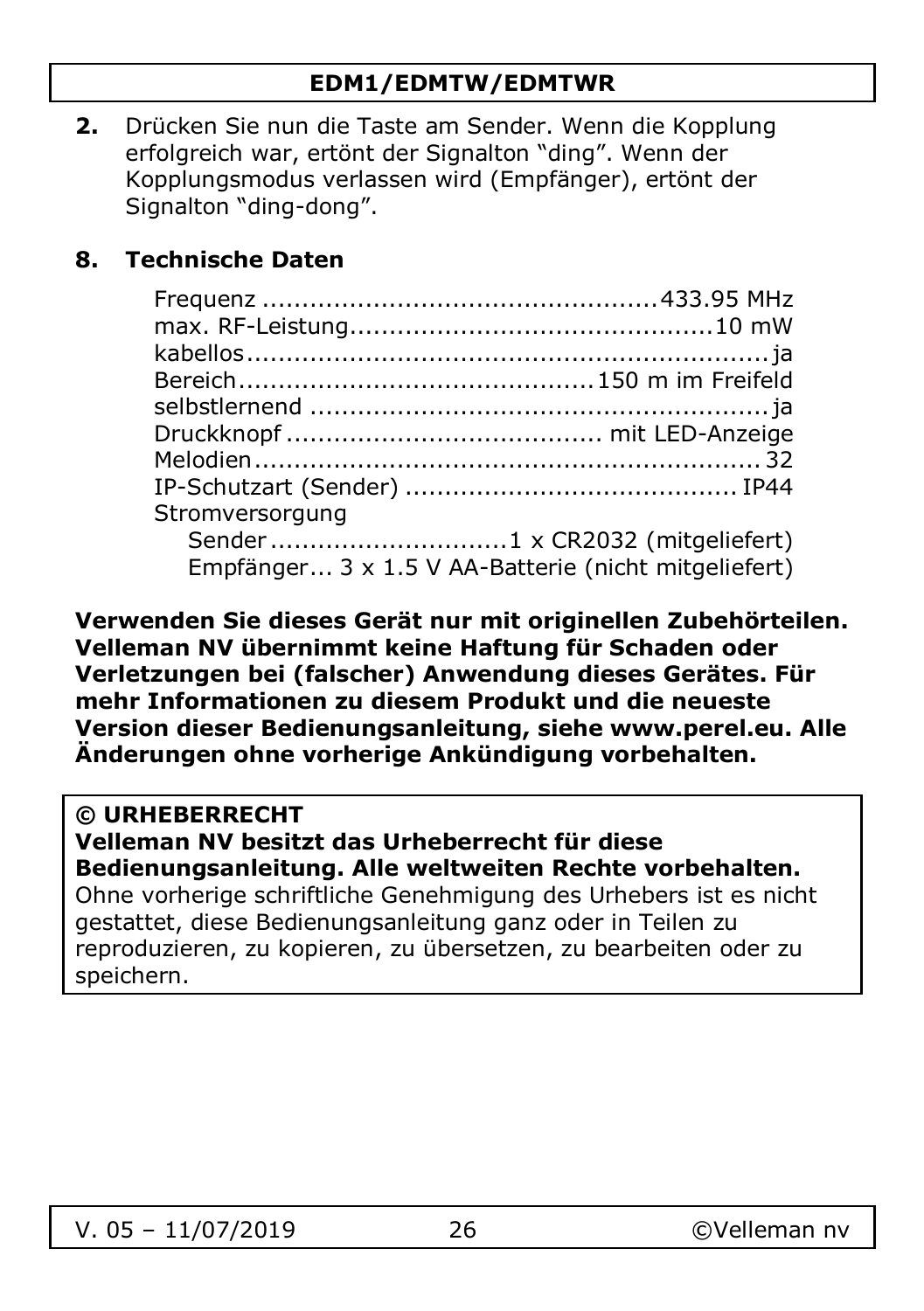**2.** Drücken Sie nun die Taste am Sender. Wenn die Kopplung erfolgreich war, ertönt der Signalton "ding". Wenn der Kopplungsmodus verlassen wird (Empfänger), ertönt der Signalton "ding-dong".

### **8. Technische Daten**

| Stromversorgung |                                                      |
|-----------------|------------------------------------------------------|
|                 |                                                      |
|                 | Empfänger 3 x 1.5 V AA-Batterie (nicht mitgeliefert) |

**Verwenden Sie dieses Gerät nur mit originellen Zubehörteilen. Velleman NV übernimmt keine Haftung für Schaden oder Verletzungen bei (falscher) Anwendung dieses Gerätes. Für mehr Informationen zu diesem Produkt und die neueste Version dieser Bedienungsanleitung, siehe www.perel.eu. Alle Änderungen ohne vorherige Ankündigung vorbehalten.**

### **© URHEBERRECHT**

**Velleman NV besitzt das Urheberrecht für diese Bedienungsanleitung. Alle weltweiten Rechte vorbehalten.** 

Ohne vorherige schriftliche Genehmigung des Urhebers ist es nicht gestattet, diese Bedienungsanleitung ganz oder in Teilen zu reproduzieren, zu kopieren, zu übersetzen, zu bearbeiten oder zu speichern.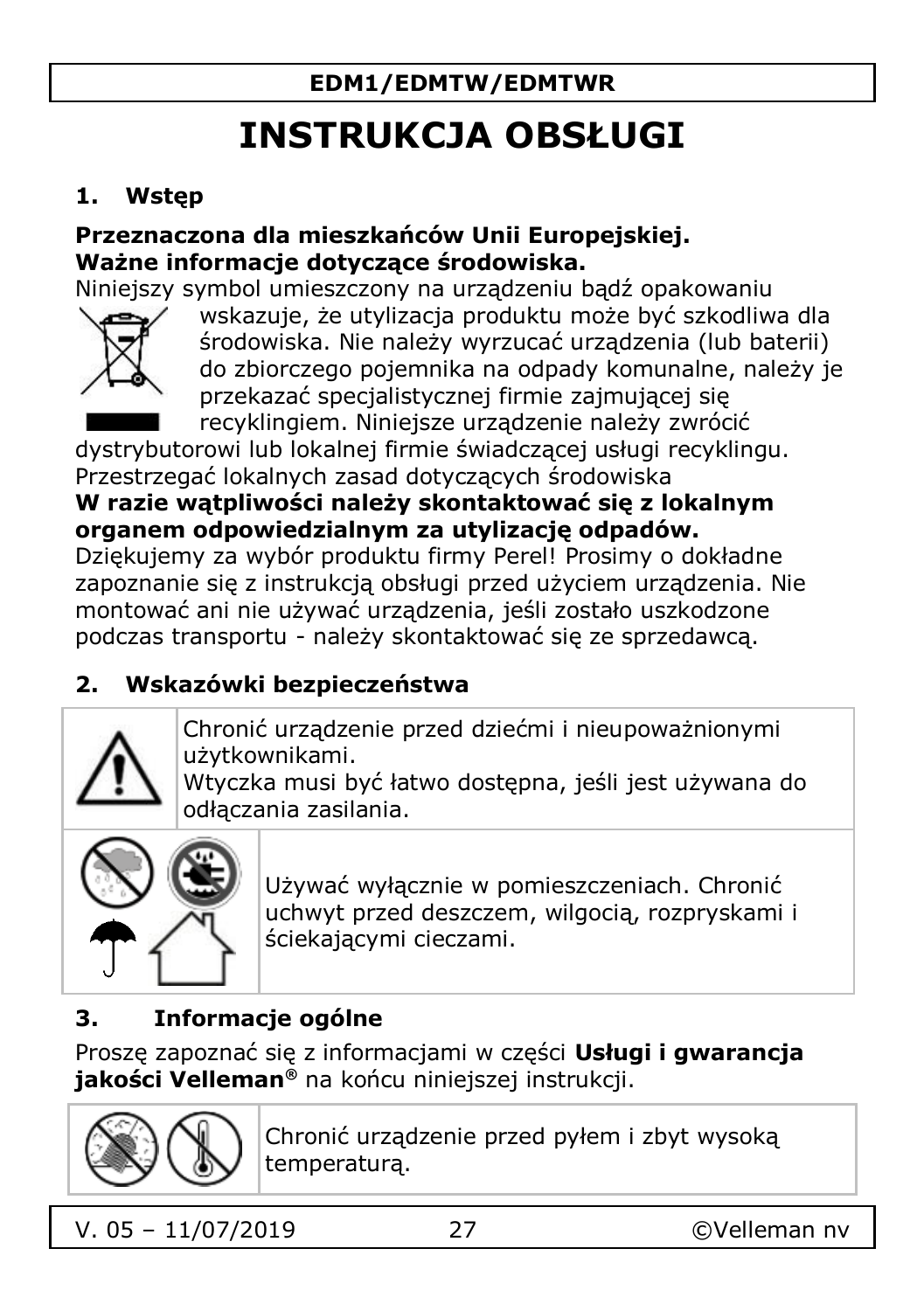# **INSTRUKCJA OBSŁUGI**

### <span id="page-26-0"></span>**1. Wstęp**

### **Przeznaczona dla mieszkańców Unii Europejskiej. Ważne informacje dotyczące środowiska.**

Niniejszy symbol umieszczony na urządzeniu bądź opakowaniu



wskazuje, że utylizacja produktu może być szkodliwa dla środowiska. Nie należy wyrzucać urządzenia (lub baterii) do zbiorczego pojemnika na odpady komunalne, należy je przekazać specjalistycznej firmie zajmującej się recyklingiem. Niniejsze urządzenie należy zwrócić

dystrybutorowi lub lokalnej firmie świadczącej usługi recyklingu. Przestrzegać lokalnych zasad dotyczących środowiska

**W razie wątpliwości należy skontaktować się z lokalnym organem odpowiedzialnym za utylizację odpadów.**

Dziękujemy za wybór produktu firmy Perel! Prosimy o dokładne zapoznanie się z instrukcją obsługi przed użyciem urządzenia. Nie montować ani nie używać urządzenia, jeśli zostało uszkodzone podczas transportu - należy skontaktować się ze sprzedawcą.

# **2. Wskazówki bezpieczeństwa**



Chronić urządzenie przed dziećmi i nieupoważnionymi użytkownikami.

Wtyczka musi być łatwo dostępna, jeśli jest używana do odłączania zasilania.



Używać wyłącznie w pomieszczeniach. Chronić uchwyt przed deszczem, wilgocią, rozpryskami i ściekającymi cieczami.

# **3. Informacje ogólne**

Proszę zapoznać się z informacjami w części **Usługi i gwarancja jakości Velleman®** na końcu niniejszej instrukcji.



Chronić urządzenie przed pyłem i zbyt wysoką temperaturą.

V. 05 – 11/07/2019 27 ©Velleman nv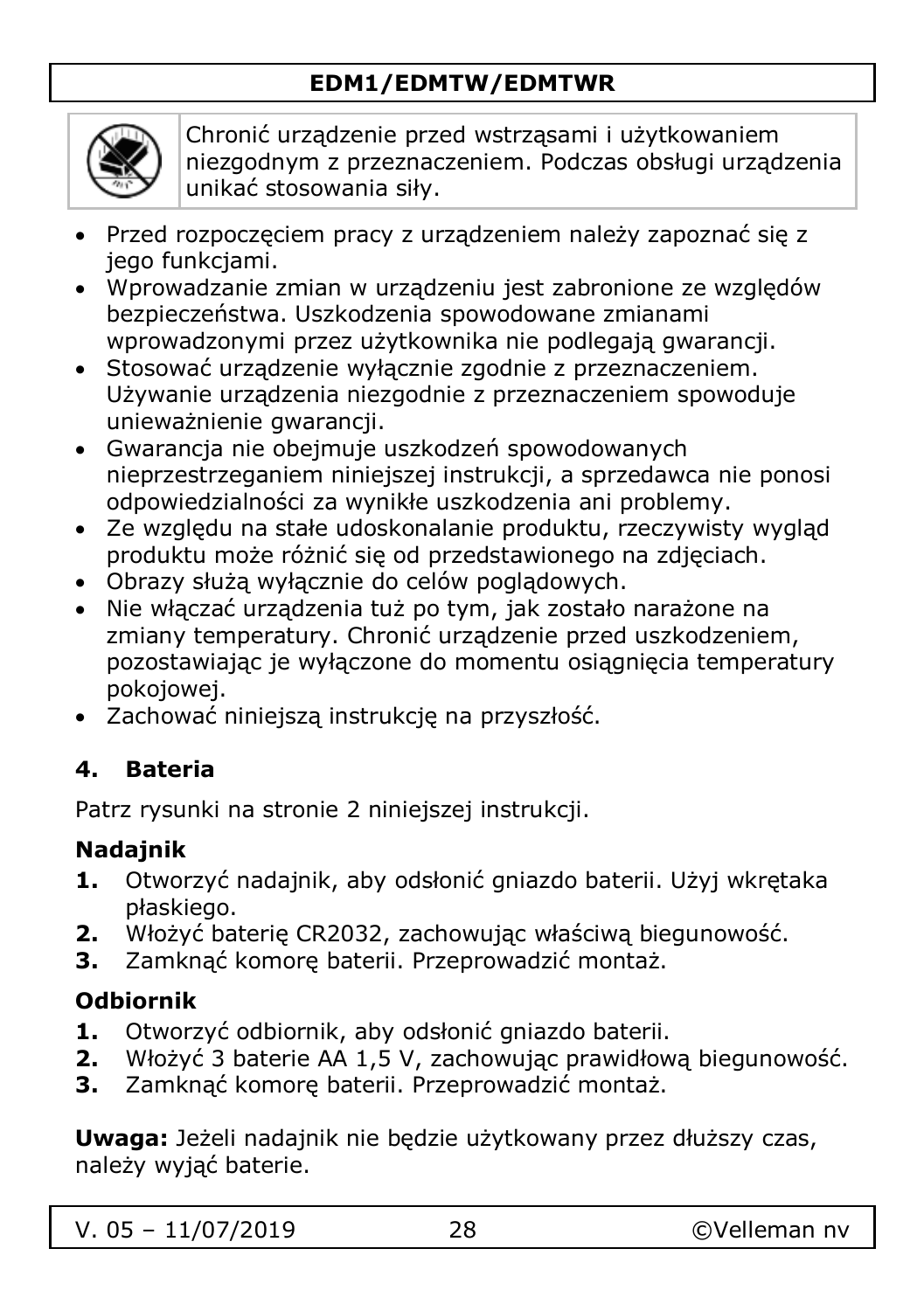

Chronić urządzenie przed wstrząsami i użytkowaniem niezgodnym z przeznaczeniem. Podczas obsługi urządzenia unikać stosowania siły.

- Przed rozpoczęciem pracy z urządzeniem należy zapoznać się z jego funkcjami.
- Wprowadzanie zmian w urządzeniu jest zabronione ze względów bezpieczeństwa. Uszkodzenia spowodowane zmianami wprowadzonymi przez użytkownika nie podlegają gwarancji.
- Stosować urządzenie wyłącznie zgodnie z przeznaczeniem. Używanie urządzenia niezgodnie z przeznaczeniem spowoduje unieważnienie gwarancji.
- Gwarancja nie obejmuje uszkodzeń spowodowanych nieprzestrzeganiem niniejszej instrukcji, a sprzedawca nie ponosi odpowiedzialności za wynikłe uszkodzenia ani problemy.
- Ze względu na stałe udoskonalanie produktu, rzeczywisty wygląd produktu może różnić się od przedstawionego na zdjęciach.
- Obrazy służą wyłącznie do celów poglądowych.
- Nie włączać urządzenia tuż po tym, jak zostało narażone na zmiany temperatury. Chronić urządzenie przed uszkodzeniem, pozostawiając je wyłączone do momentu osiągnięcia temperatury pokojowej.
- Zachować niniejszą instrukcję na przyszłość.

### **4. Bateria**

Patrz rysunki na stronie 2 niniejszej instrukcji.

### **Nadajnik**

- **1.** Otworzyć nadajnik, aby odsłonić gniazdo baterii. Użyj wkrętaka płaskiego.
- **2.** Włożyć baterię CR2032, zachowując właściwą biegunowość.
- **3.** Zamknąć komorę baterii. Przeprowadzić montaż.

### **Odbiornik**

- **1.** Otworzyć odbiornik, aby odsłonić gniazdo baterii.<br>2. Włożyć 3 baterie AA 1.5 V. zachowując prawidłow
- **2.** Włożyć 3 baterie AA 1,5 V, zachowując prawidłową biegunowość.
- **3.** Zamknąć komorę baterii. Przeprowadzić montaż.

**Uwaga:** Jeżeli nadajnik nie będzie użytkowany przez dłuższy czas, należy wyjąć baterie.

| $V. 05 - 11/07/2019$ | 28 | ©Velleman nv |
|----------------------|----|--------------|
|----------------------|----|--------------|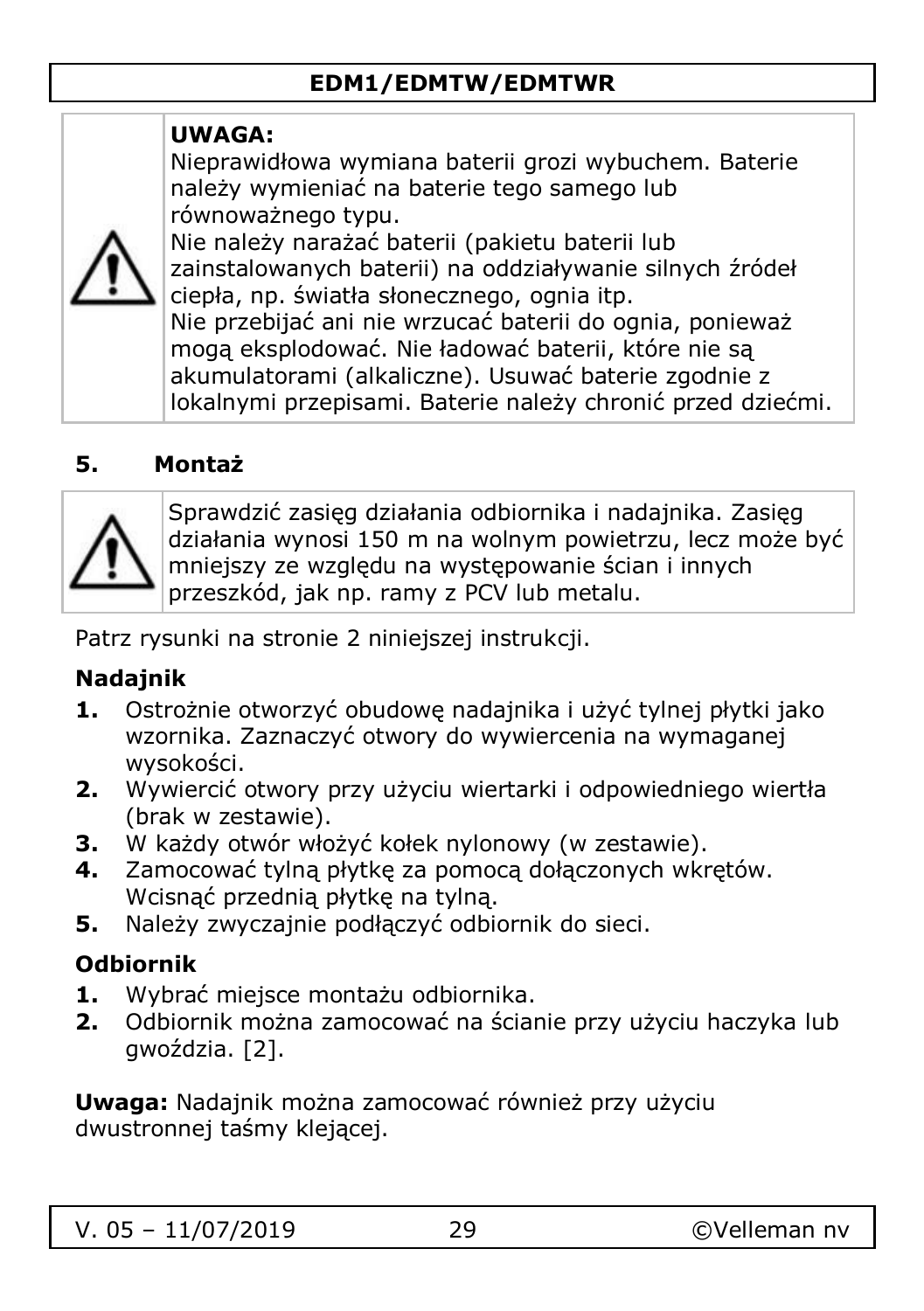### **UWAGA:**

Nieprawidłowa wymiana baterii grozi wybuchem. Baterie należy wymieniać na baterie tego samego lub równoważnego typu.

Nie należy narażać baterii (pakietu baterii lub zainstalowanych baterii) na oddziaływanie silnych źródeł ciepła, np. światła słonecznego, ognia itp. Nie przebijać ani nie wrzucać baterii do ognia, ponieważ mogą eksplodować. Nie ładować baterii, które nie są akumulatorami (alkaliczne). Usuwać baterie zgodnie z lokalnymi przepisami. Baterie należy chronić przed dziećmi.

### **5. Montaż**



Sprawdzić zasięg działania odbiornika i nadajnika. Zasięg działania wynosi 150 m na wolnym powietrzu, lecz może być mniejszy ze względu na występowanie ścian i innych przeszkód, jak np. ramy z PCV lub metalu.

Patrz rysunki na stronie 2 niniejszej instrukcji.

# **Nadajnik**

- **1.** Ostrożnie otworzyć obudowę nadajnika i użyć tylnej płytki jako wzornika. Zaznaczyć otwory do wywiercenia na wymaganej wysokości.
- **2.** Wywiercić otwory przy użyciu wiertarki i odpowiedniego wiertła (brak w zestawie).
- **3.** W każdy otwór włożyć kołek nylonowy (w zestawie).
- **4.** Zamocować tylną płytkę za pomocą dołączonych wkrętów. Wcisnąć przednią płytkę na tylną.
- **5.** Należy zwyczajnie podłączyć odbiornik do sieci.

# **Odbiornik**

- 1. Wybrać miejsce montażu odbiornika.
- **2.** Odbiornik można zamocować na ścianie przy użyciu haczyka lub gwoździa. [2].

**Uwaga:** Nadajnik można zamocować również przy użyciu dwustronnej taśmy klejącej.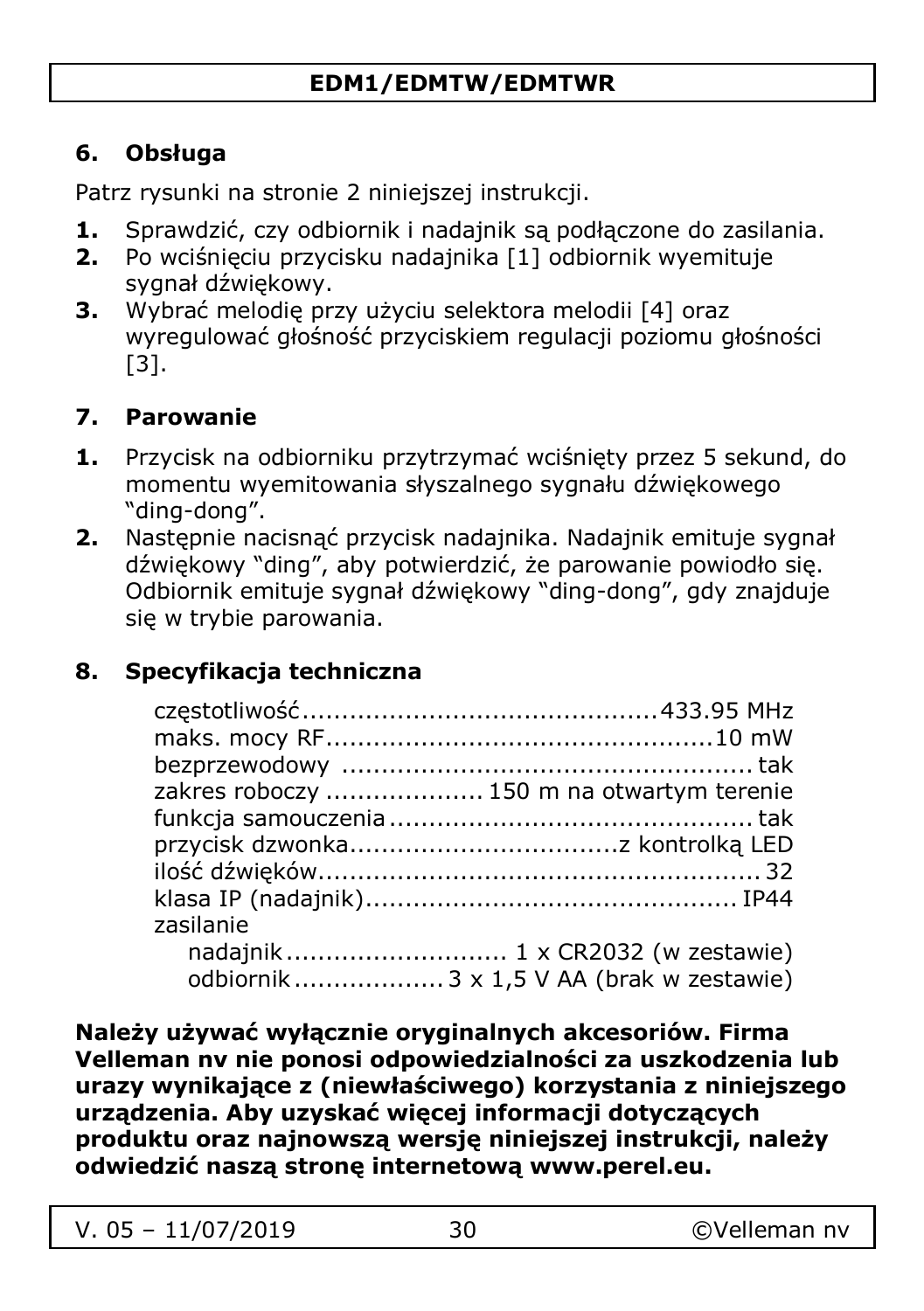### **6. Obsługa**

Patrz rysunki na stronie 2 niniejszej instrukcji.

- 1. Sprawdzić, czy odbiornik i nadajnik są podłączone do zasilania.<br>2. Po wciśniecju przycisku nadajnika [1] odbiornik wyemituje
- **2.** Po wciśnięciu przycisku nadajnika [1] odbiornik wyemituje sygnał dźwiekowy.
- **3.** Wybrać melodię przy użyciu selektora melodii [4] oraz wyregulować głośność przyciskiem regulacji poziomu głośności [3].

### **7. Parowanie**

- **1.** Przycisk na odbiorniku przytrzymać wciśnięty przez 5 sekund, do momentu wyemitowania słyszalnego sygnału dźwiękowego "ding-dong".
- **2.** Następnie nacisnąć przycisk nadajnika. Nadajnik emituje sygnał dźwiękowy "ding", aby potwierdzić, że parowanie powiodło się. Odbiornik emituje sygnał dźwiękowy "ding-dong", gdy znajduje się w trybie parowania.

### **8. Specyfikacja techniczna**

| zakres roboczy  150 m na otwartym terenie |                                          |
|-------------------------------------------|------------------------------------------|
|                                           |                                          |
|                                           |                                          |
|                                           |                                          |
|                                           |                                          |
| zasilanie                                 |                                          |
|                                           | nadainik 1 x CR2032 (w zestawie)         |
|                                           | odbiornik 3 x 1,5 V AA (brak w zestawie) |

**Należy używać wyłącznie oryginalnych akcesoriów. Firma Velleman nv nie ponosi odpowiedzialności za uszkodzenia lub urazy wynikające z (niewłaściwego) korzystania z niniejszego urządzenia. Aby uzyskać więcej informacji dotyczących produktu oraz najnowszą wersję niniejszej instrukcji, należy odwiedzić naszą stronę internetową www.perel.eu.**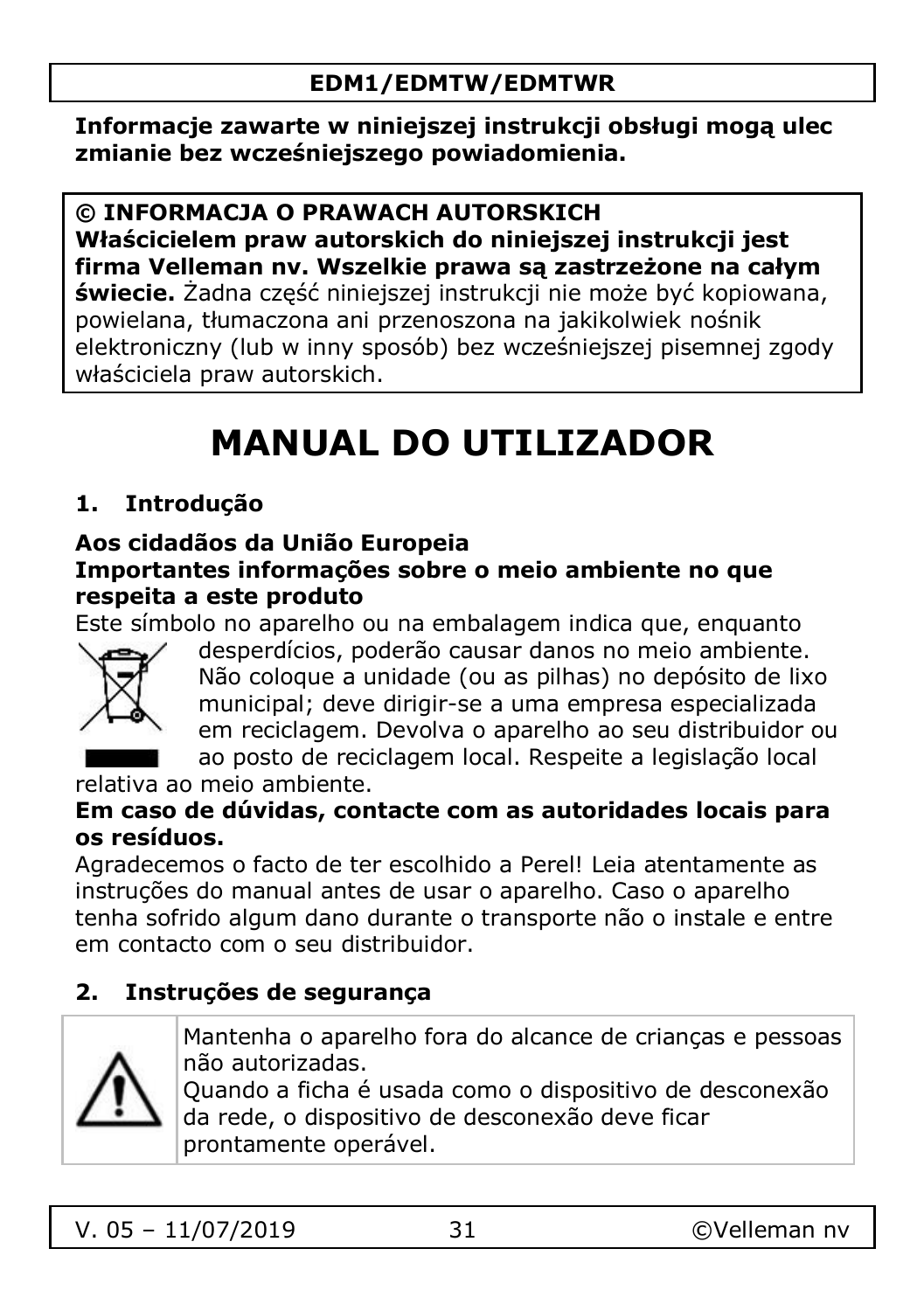**Informacje zawarte w niniejszej instrukcji obsługi mogą ulec zmianie bez wcześniejszego powiadomienia.**

### **© INFORMACJA O PRAWACH AUTORSKICH**

**Właścicielem praw autorskich do niniejszej instrukcji jest firma Velleman nv. Wszelkie prawa są zastrzeżone na całym świecie.** Żadna część niniejszej instrukcji nie może być kopiowana, powielana, tłumaczona ani przenoszona na jakikolwiek nośnik elektroniczny (lub w inny sposób) bez wcześniejszej pisemnej zgody właściciela praw autorskich.

# **MANUAL DO UTILIZADOR**

### <span id="page-30-0"></span>**1. Introdução**

### **Aos cidadãos da União Europeia Importantes informações sobre o meio ambiente no que respeita a este produto**

Este símbolo no aparelho ou na embalagem indica que, enquanto



desperdícios, poderão causar danos no meio ambiente. Não coloque a unidade (ou as pilhas) no depósito de lixo municipal; deve dirigir-se a uma empresa especializada em reciclagem. Devolva o aparelho ao seu distribuidor ou ao posto de reciclagem local. Respeite a legislação local

relativa ao meio ambiente.

### **Em caso de dúvidas, contacte com as autoridades locais para os resíduos.**

Agradecemos o facto de ter escolhido a Perel! Leia atentamente as instruções do manual antes de usar o aparelho. Caso o aparelho tenha sofrido algum dano durante o transporte não o instale e entre em contacto com o seu distribuidor.

### **2. Instruções de segurança**



Mantenha o aparelho fora do alcance de crianças e pessoas não autorizadas.

Quando a ficha é usada como o dispositivo de desconexão da rede, o dispositivo de desconexão deve ficar prontamente operável.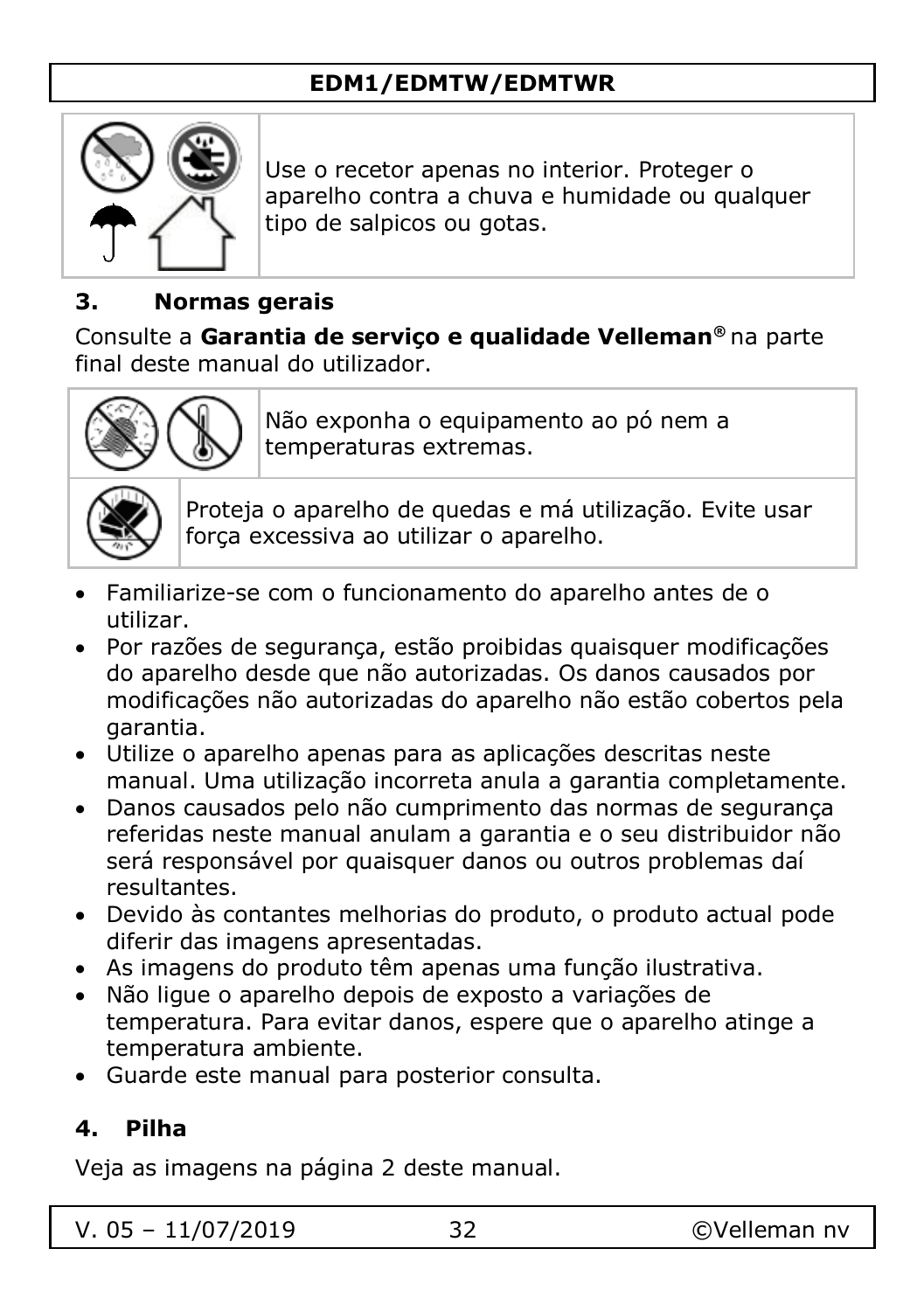

Use o recetor apenas no interior. Proteger o aparelho contra a chuva e humidade ou qualquer tipo de salpicos ou gotas.

### **3. Normas gerais**

Consulte a **Garantia de serviço e qualidade Velleman®** na parte final deste manual do utilizador.



Não exponha o equipamento ao pó nem a temperaturas extremas.



Proteja o aparelho de quedas e má utilização. Evite usar força excessiva ao utilizar o aparelho.

- Familiarize-se com o funcionamento do aparelho antes de o utilizar.
- Por razões de segurança, estão proibidas quaisquer modificações do aparelho desde que não autorizadas. Os danos causados por modificações não autorizadas do aparelho não estão cobertos pela garantia.
- Utilize o aparelho apenas para as aplicações descritas neste manual. Uma utilização incorreta anula a garantia completamente.
- Danos causados pelo não cumprimento das normas de segurança referidas neste manual anulam a garantia e o seu distribuidor não será responsável por quaisquer danos ou outros problemas daí resultantes.
- Devido às contantes melhorias do produto, o produto actual pode diferir das imagens apresentadas.
- As imagens do produto têm apenas uma função ilustrativa.
- Não ligue o aparelho depois de exposto a variações de temperatura. Para evitar danos, espere que o aparelho atinge a temperatura ambiente.
- Guarde este manual para posterior consulta.

### **4. Pilha**

Veja as imagens na página 2 deste manual.

V. 05 – 11/07/2019 32 ©Velleman nv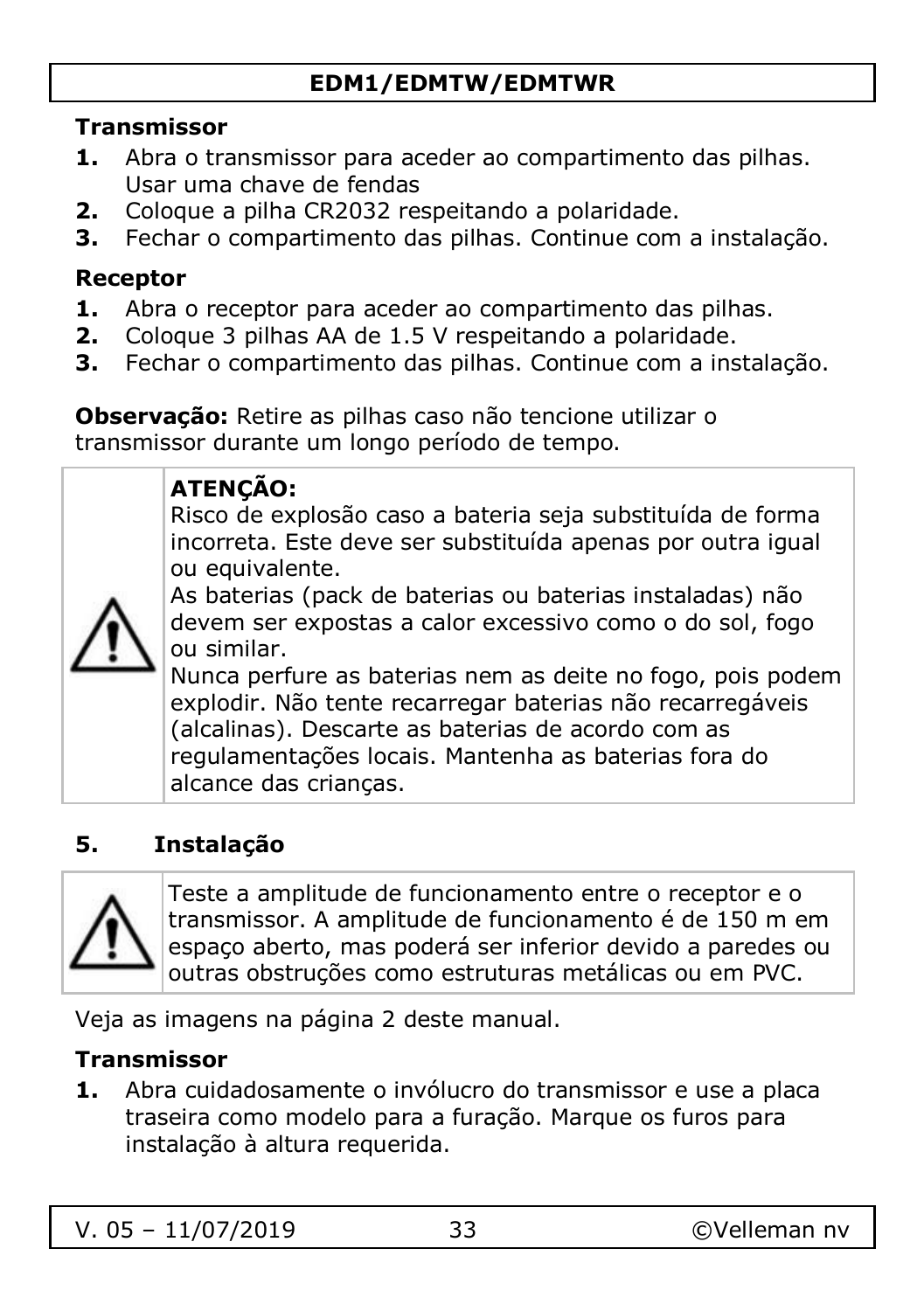### **Transmissor**

- **1.** Abra o transmissor para aceder ao compartimento das pilhas. Usar uma chave de fendas
- **2.** Coloque a pilha CR2032 respeitando a polaridade.
- **3.** Fechar o compartimento das pilhas. Continue com a instalação.

### **Receptor**

- **1.** Abra o receptor para aceder ao compartimento das pilhas.
- **2.** Coloque 3 pilhas AA de 1.5 V respeitando a polaridade.
- **3.** Fechar o compartimento das pilhas. Continue com a instalação.

**Observação:** Retire as pilhas caso não tencione utilizar o transmissor durante um longo período de tempo.

# **ATENÇÃO:**

Risco de explosão caso a bateria seja substituída de forma incorreta. Este deve ser substituída apenas por outra igual ou equivalente.



As baterias (pack de baterias ou baterias instaladas) não devem ser expostas a calor excessivo como o do sol, fogo ou similar.

Nunca perfure as baterias nem as deite no fogo, pois podem explodir. Não tente recarregar baterias não recarregáveis (alcalinas). Descarte as baterias de acordo com as regulamentações locais. Mantenha as baterias fora do alcance das crianças.

### **5. Instalação**



Teste a amplitude de funcionamento entre o receptor e o transmissor. A amplitude de funcionamento é de 150 m em espaço aberto, mas poderá ser inferior devido a paredes ou outras obstruções como estruturas metálicas ou em PVC.

Veja as imagens na página 2 deste manual.

### **Transmissor**

**1.** Abra cuidadosamente o invólucro do transmissor e use a placa traseira como modelo para a furação. Marque os furos para instalação à altura requerida.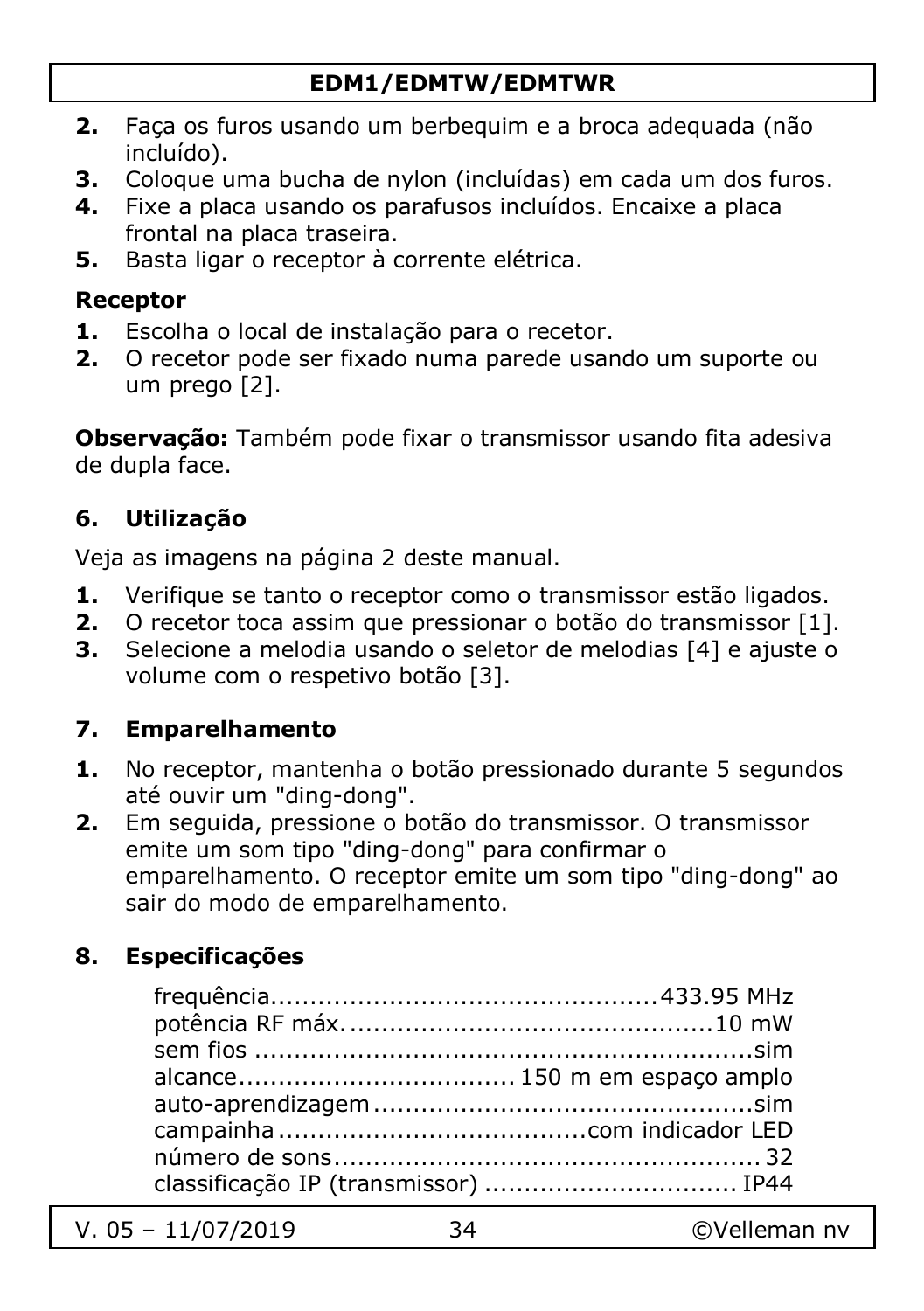- **2.** Faça os furos usando um berbequim e a broca adequada (não incluído).
- **3.** Coloque uma bucha de nylon (incluídas) em cada um dos furos.
- **4.** Fixe a placa usando os parafusos incluídos. Encaixe a placa frontal na placa traseira.
- **5.** Basta ligar o receptor à corrente elétrica.

### **Receptor**

- **1.** Escolha o local de instalação para o recetor.<br>**2.** O recetor pode ser fixado numa parede usar
- **2.** O recetor pode ser fixado numa parede usando um suporte ou um prego [2].

**Observação:** Também pode fixar o transmissor usando fita adesiva de dupla face.

### **6. Utilização**

Veja as imagens na página 2 deste manual.

- **1.** Verifique se tanto o receptor como o transmissor estão ligados.
- **2.** O recetor toca assim que pressionar o botão do transmissor [1].<br>**3.** Selecione a melodia usando o seletor de melodias [4] e ajuste o
- **3.** Selecione a melodia usando o seletor de melodias [4] e ajuste o volume com o respetivo botão [3].

### **7. Emparelhamento**

- **1.** No receptor, mantenha o botão pressionado durante 5 segundos até ouvir um "ding-dong".
- **2.** Em seguida, pressione o botão do transmissor. O transmissor emite um som tipo "ding-dong" para confirmar o emparelhamento. O receptor emite um som tipo "ding-dong" ao sair do modo de emparelhamento.

# **8. Especificações**

| classificação IP (transmissor)  IP44 |
|--------------------------------------|
|                                      |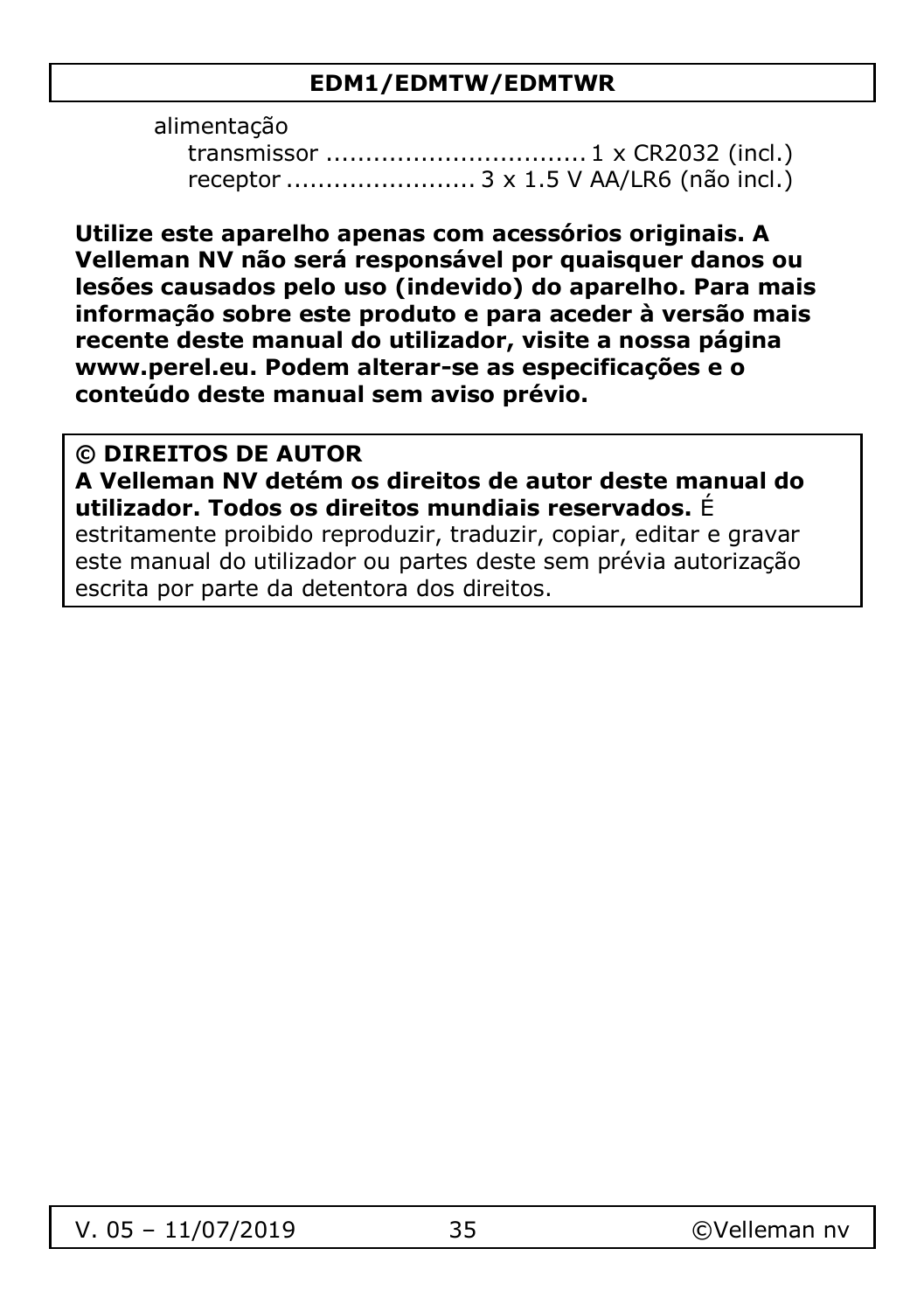alimentação transmissor ................................. 1 x CR2032 (incl.) receptor ........................ 3 x 1.5 V AA/LR6 (não incl.)

**Utilize este aparelho apenas com acessórios originais. A Velleman NV não será responsável por quaisquer danos ou lesões causados pelo uso (indevido) do aparelho. Para mais informação sobre este produto e para aceder à versão mais recente deste manual do utilizador, visite a nossa página www.perel.eu. Podem alterar-se as especificações e o conteúdo deste manual sem aviso prévio.**

### **© DIREITOS DE AUTOR**

**A Velleman NV detém os direitos de autor deste manual do utilizador. Todos os direitos mundiais reservados.** É

estritamente proibido reproduzir, traduzir, copiar, editar e gravar este manual do utilizador ou partes deste sem prévia autorização escrita por parte da detentora dos direitos.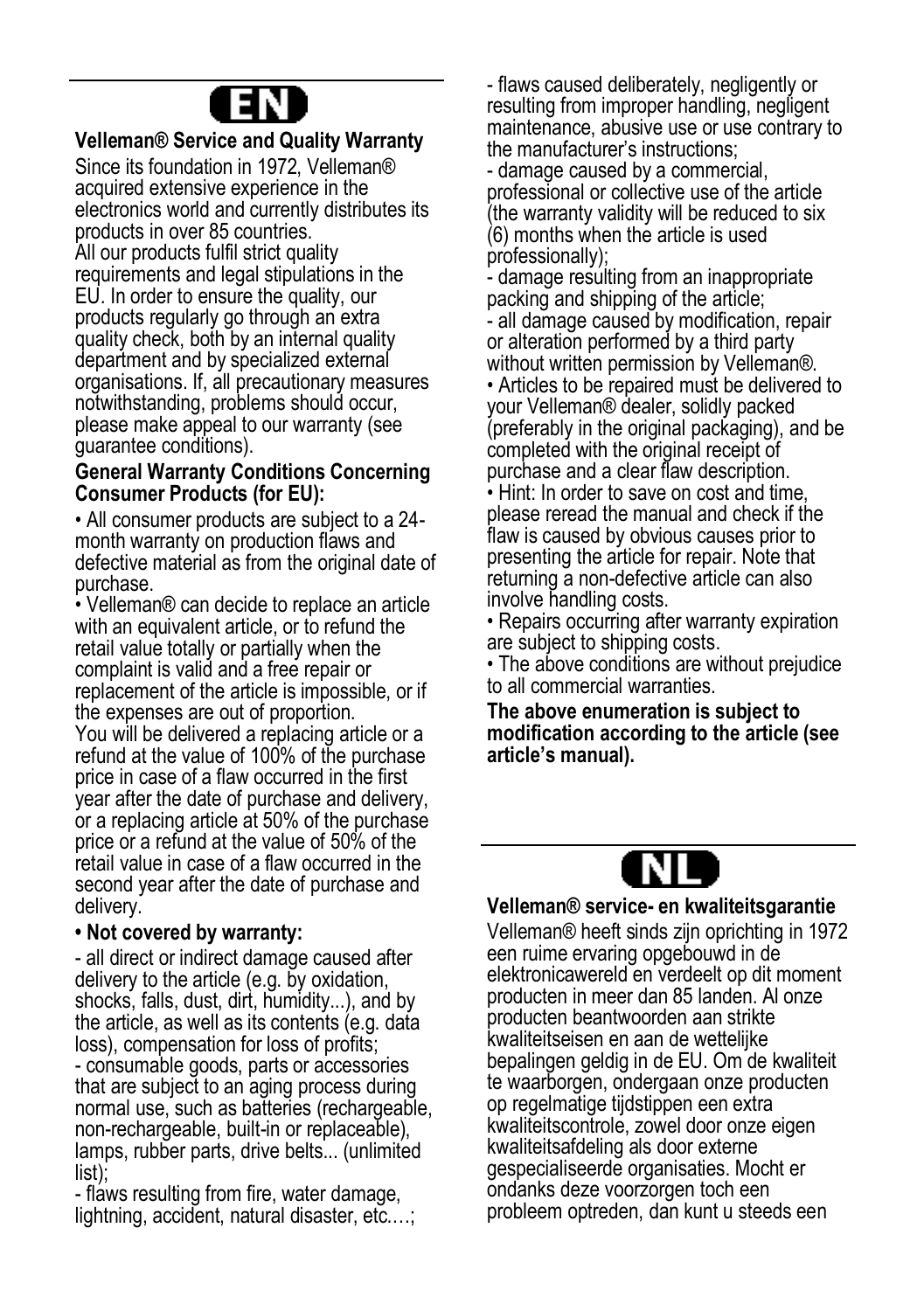

### **Velleman® Service and Quality Warranty**

Since its foundation in 1972, Velleman® acquired extensive experience in the electronics world and currently distributes its products in over 85 countries. All our products fulfil strict quality requirements and legal stipulations in the EU. In order to ensure the quality, our products regularly go through an extra quality check, both by an internal quality department and by specialized external organisations. If, all precautionary measures notwithstanding, problems should occur, please make appeal to our warranty (see guarantee conditions).

#### **General Warranty Conditions Concerning Consumer Products (for EU):**

• All consumer products are subject to a 24 month warranty on production flaws and defective material as from the original date of purchase.

• Velleman® can decide to replace an article with an equivalent article, or to refund the retail value totally or partially when the complaint is valid and a free repair or replacement of the article is impossible, or if the expenses are out of proportion. You will be delivered a replacing article or a refund at the value of 100% of the purchase price in case of a flaw occurred in the first year after the date of purchase and delivery, or a replacing article at 50% of the purchase price or a refund at the value of 50% of the retail value in case of a flaw occurred in the second year after the date of purchase and delivery.

#### **• Not covered by warranty:**

- all direct or indirect damage caused after delivery to the article (e.g. by oxidation, shocks, falls, dust, dirt, humidity...), and by the article, as well as its contents (e.g. data loss), compensation for loss of profits;

- consumable goods, parts or accessories that are subject to an aging process during normal use, such as batteries (rechargeable, non-rechargeable, built-in or replaceable), lamps, rubber parts, drive belts... (unlimited liet);

- flaws resulting from fire, water damage, lightning, accident, natural disaster, etc.…;

- flaws caused deliberately, negligently or resulting from improper handling, negligent maintenance, abusive use or use contrary to the manufacturer's instructions;

- damage caused by a commercial, professional or collective use of the article (the warranty validity will be reduced to six (6) months when the article is used professionally);

- damage resulting from an inappropriate packing and shipping of the article; - all damage caused by modification, repair

or alteration performed by a third party without written permission by Velleman®.

• Articles to be repaired must be delivered to your Velleman® dealer, solidly packed (preferably in the original packaging), and be completed with the original receipt of purchase and a clear flaw description.

• Hint: In order to save on cost and time, please reread the manual and check if the flaw is caused by obvious causes prior to presenting the article for repair. Note that returning a non-defective article can also involve handling costs.

• Repairs occurring after warranty expiration are subject to shipping costs.

• The above conditions are without prejudice to all commercial warranties.

**The above enumeration is subject to modification according to the article (see article's manual).**



### **Velleman® service- en kwaliteitsgarantie**

Velleman® heeft sinds zijn oprichting in 1972 een ruime ervaring opgebouwd in de elektronicawereld en verdeelt op dit moment producten in meer dan 85 landen. Al onze producten beantwoorden aan strikte kwaliteitseisen en aan de wettelijke bepalingen geldig in de EU. Om de kwaliteit te waarborgen, ondergaan onze producten op regelmatige tijdstippen een extra kwaliteitscontrole, zowel door onze eigen kwaliteitsafdeling als door externe gespecialiseerde organisaties. Mocht er ondanks deze voorzorgen toch een probleem optreden, dan kunt u steeds een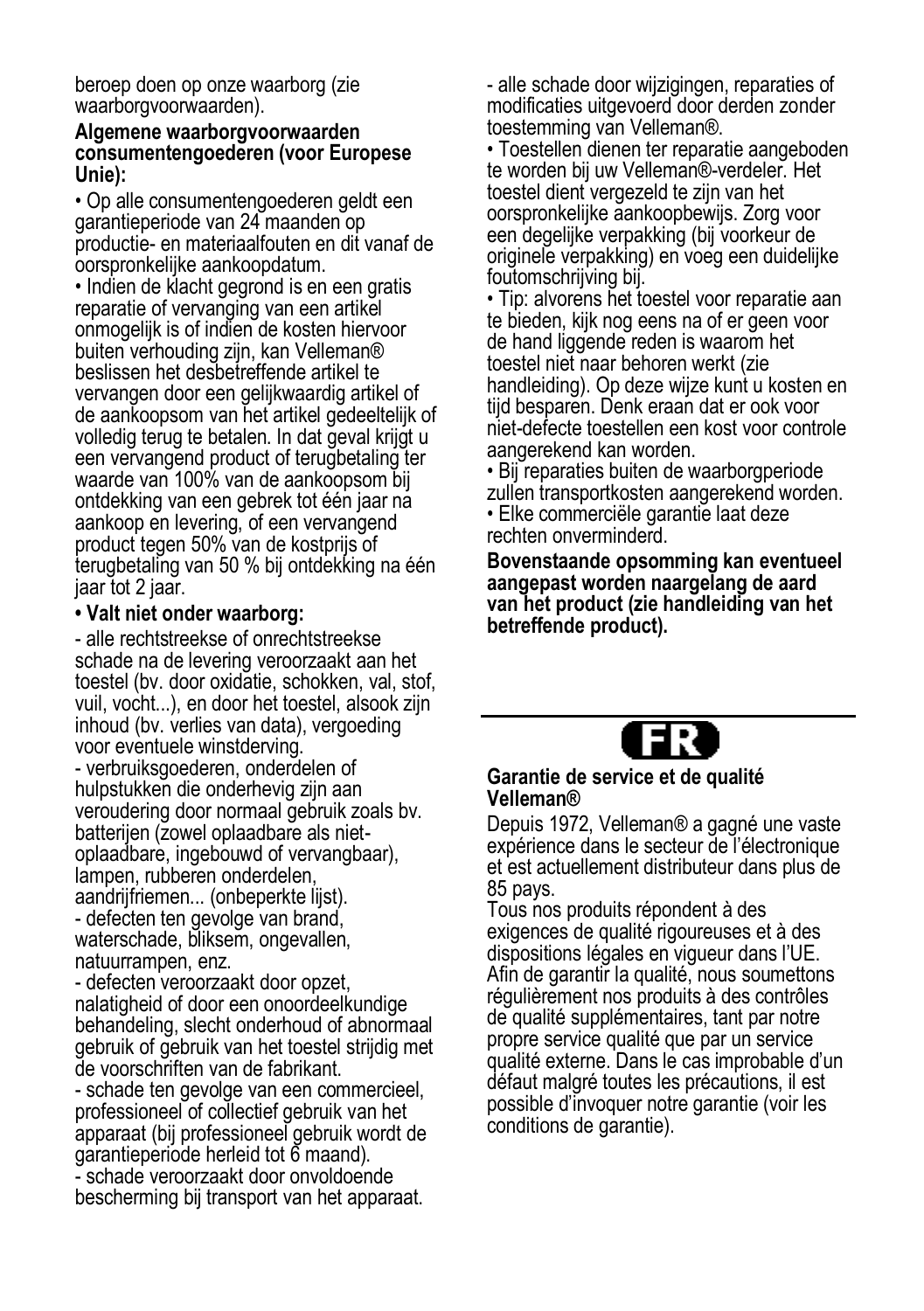beroep doen op onze waarborg (zie waarborgvoorwaarden).

#### **Algemene waarborgvoorwaarden consumentengoederen (voor Europese Unie):**

• Op alle consumentengoederen geldt een garantieperiode van 24 maanden op productie- en materiaalfouten en dit vanaf de oorspronkelijke aankoopdatum.

• Indien de klacht gegrond is en een gratis reparatie of vervanging van een artikel onmogelijk is of indien de kosten hiervoor buiten verhouding zijn, kan Velleman® beslissen het desbetreffende artikel te vervangen door een gelijkwaardig artikel of de aankoopsom van het artikel gedeeltelijk of volledig terug te betalen. In dat geval krijgt u een vervangend product of terugbetaling ter waarde van 100% van de aankoopsom bij ontdekking van een gebrek tot één jaar na aankoop en levering, of een vervangend product tegen 50% van de kostprijs of terugbetaling van 50 % bij ontdekking na één jaar tot 2 jaar.

### **• Valt niet onder waarborg:**

- alle rechtstreekse of onrechtstreekse schade na de levering veroorzaakt aan het toestel (bv. door oxidatie, schokken, val, stof, vuil, vocht...), en door het toestel, alsook zijn. inhoud (bv. verlies van data), vergoeding voor eventuele winstderving. - verbruiksgoederen, onderdelen of hulpstukken die onderhevig zijn aan

veroudering door normaal gebruik zoals bv. batterijen (zowel oplaadbare als nietoplaadbare, ingebouwd of vervangbaar), lampen, rubberen onderdelen aandrijfriemen... (onbeperkte lijst).

- defecten ten gevolge van brand, waterschade, bliksem, ongevallen, natuurrampen, enz.

- defecten veroorzaakt door opzet, nalatigheid of door een onoordeelkundige behandeling, slecht onderhoud of abnormaal gebruik of gebruik van het toestel strijdig met de voorschriften van de fabrikant.

- schade ten gevolge van een commercieel, professioneel of collectief gebruik van het apparaat (bij professioneel gebruik wordt de garantieperiode herleid tot 6 maand). - schade veroorzaakt door onvoldoende bescherming bij transport van het apparaat.

- alle schade door wijzigingen, reparaties of modificaties uitgevoerd door derden zonder toestemming van Velleman®.

• Toestellen dienen ter reparatie aangeboden te worden bij uw Velleman®-verdeler. Het toestel dient vergezeld te zijn van het oorspronkelijke aankoopbewijs. Zorg voor een degelijke verpakking (bij voorkeur de originele verpakking) en voeg een duidelijke foutomschrijving bij.

• Tip: alvorens het toestel voor reparatie aan te bieden, kijk nog eens na of er geen voor de hand liggende reden is waarom het toestel niet naar behoren werkt (zie handleiding). Op deze wijze kunt u kosten en tijd besparen. Denk eraan dat er ook voor niet-defecte toestellen een kost voor controle aangerekend kan worden.

• Bij reparaties buiten de waarborgperiode zullen transportkosten aangerekend worden. • Elke commerciële garantie laat deze rechten onverminderd.

**Bovenstaande opsomming kan eventueel aangepast worden naargelang de aard van het product (zie handleiding van het betreffende product).**



#### **Garantie de service et de qualité Velleman®**

Depuis 1972, Velleman® a gagné une vaste expérience dans le secteur de l'électronique et est actuellement distributeur dans plus de 85 pays.

Tous nos produits répondent à des exigences de qualité rigoureuses et à des dispositions légales en vigueur dans l'UE. Afin de garantir la qualité, nous soumettons régulièrement nos produits à des contrôles de qualité supplémentaires, tant par notre propre service qualité que par un service qualité externe. Dans le cas improbable d'un défaut malgré toutes les précautions, il est possible d'invoquer notre garantie (voir les conditions de garantie).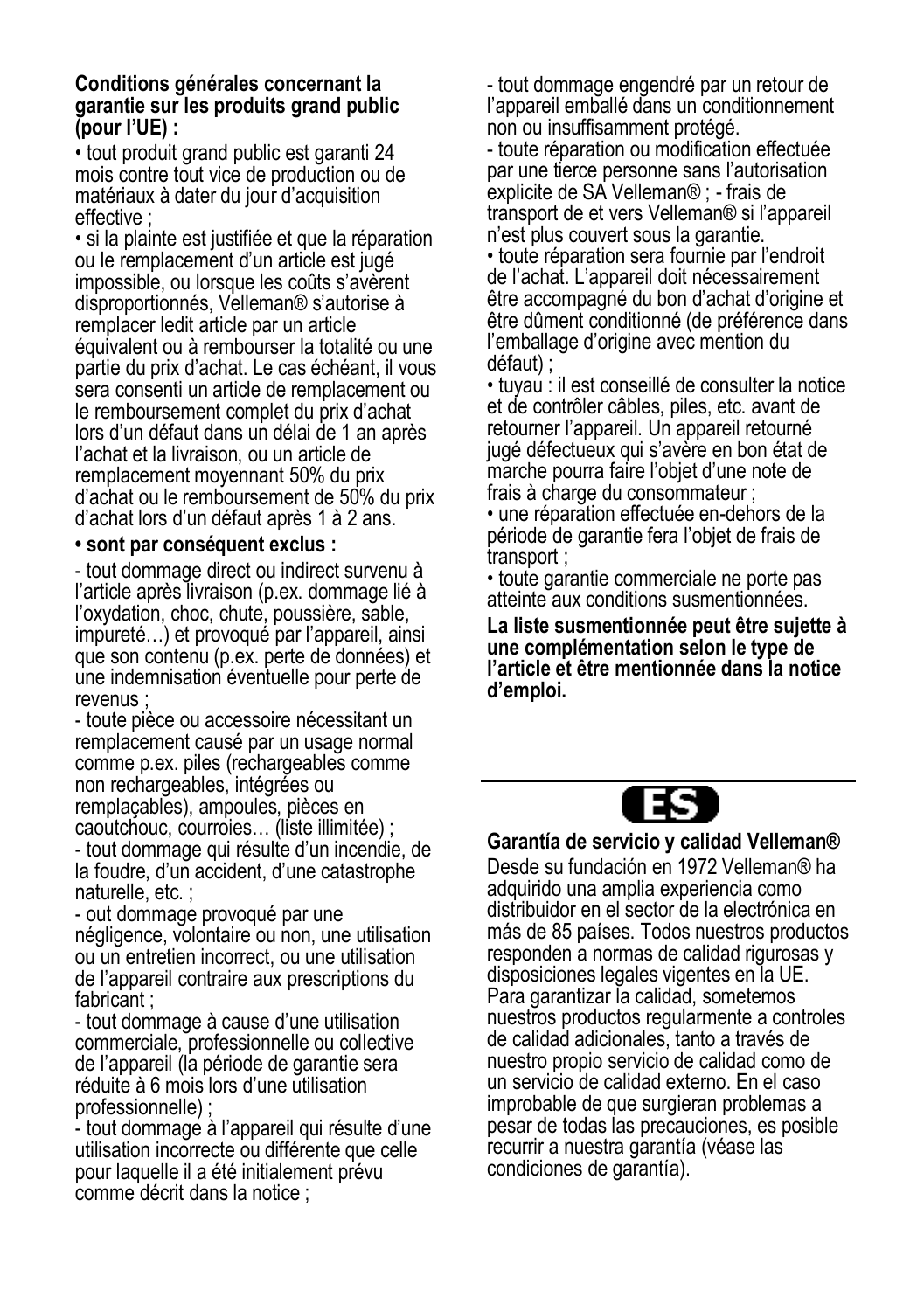#### **Conditions générales concernant la garantie sur les produits grand public (pour l'UE) :**

• tout produit grand public est garanti 24 mois contre tout vice de production ou de matériaux à dater du jour d'acquisition effective ;

• si la plainte est justifiée et que la réparation ou le remplacement d'un article est jugé impossible, ou lorsque les coûts s'avèrent disproportionnés, Velleman® s'autorise à remplacer ledit article par un article équivalent ou à rembourser la totalité ou une partie du prix d'achat. Le cas échéant, il vous sera consenti un article de remplacement ou le remboursement complet du prix d'achat lors d'un défaut dans un délai de 1 an après l'achat et la livraison, ou un article de remplacement moyennant 50% du prix d'achat ou le remboursement de 50% du prix d'achat lors d'un défaut après 1 à 2 ans.

### **• sont par conséquent exclus :**

- tout dommage direct ou indirect survenu à l'article après livraison (p.ex. dommage lié à l'oxydation, choc, chute, poussière, sable, impureté…) et provoqué par l'appareil, ainsi que son contenu (p.ex. perte de données) et une indemnisation éventuelle pour perte de revenus ;

- toute pièce ou accessoire nécessitant un remplacement causé par un usage normal comme p.ex. piles (rechargeables comme non rechargeables, intégrées ou remplaçables), ampoules, pièces en caoutchouc, courroies… (liste illimitée) ; - tout dommage qui résulte d'un incendie, de la foudre, d'un accident, d'une catastrophe naturelle, etc. ;

- out dommage provoqué par une négligence, volontaire ou non, une utilisation ou un entretien incorrect, ou une utilisation de l'appareil contraire aux prescriptions du fabricant ;

- tout dommage à cause d'une utilisation commerciale, professionnelle ou collective de l'appareil (la période de garantie sera réduite à 6 mois lors d'une utilisation professionnelle) ;

- tout dommage à l'appareil qui résulte d'une utilisation incorrecte ou différente que celle pour laquelle il a été initialement prévu comme décrit dans la notice ;

- tout dommage engendré par un retour de l'appareil emballé dans un conditionnement non ou insuffisamment protégé.

- toute réparation ou modification effectuée par une tierce personne sans l'autorisation explicite de SA Velleman® ; - frais de transport de et vers Velleman® si l'appareil n'est plus couvert sous la garantie.

• toute réparation sera fournie par l'endroit de l'achat. L'appareil doit nécessairement être accompagné du bon d'achat d'origine et être dûment conditionné (de préférence dans l'emballage d'origine avec mention du défaut) ;

• tuyau : il est conseillé de consulter la notice et de contrôler câbles, piles, etc. avant de retourner l'appareil. Un appareil retourné jugé défectueux qui s'avère en bon état de marche pourra faire l'objet d'une note de frais à charge du consommateur ;

• une réparation effectuée en-dehors de la période de garantie fera l'objet de frais de transport ;

• toute garantie commerciale ne porte pas atteinte aux conditions susmentionnées.

**La liste susmentionnée peut être sujette à une complémentation selon le type de l'article et être mentionnée dans la notice d'emploi.**



### **Garantía de servicio y calidad Velleman®**

Desde su fundación en 1972 Velleman® ha adquirido una amplia experiencia como distribuidor en el sector de la electrónica en más de 85 países. Todos nuestros productos responden a normas de calidad rigurosas y disposiciones legales vigentes en la UE. Para garantizar la calidad, sometemos nuestros productos regularmente a controles de calidad adicionales, tanto a través de nuestro propio servicio de calidad como de un servicio de calidad externo. En el caso improbable de que surgieran problemas a pesar de todas las precauciones, es posible recurrir a nuestra garantía (véase las condiciones de garantía).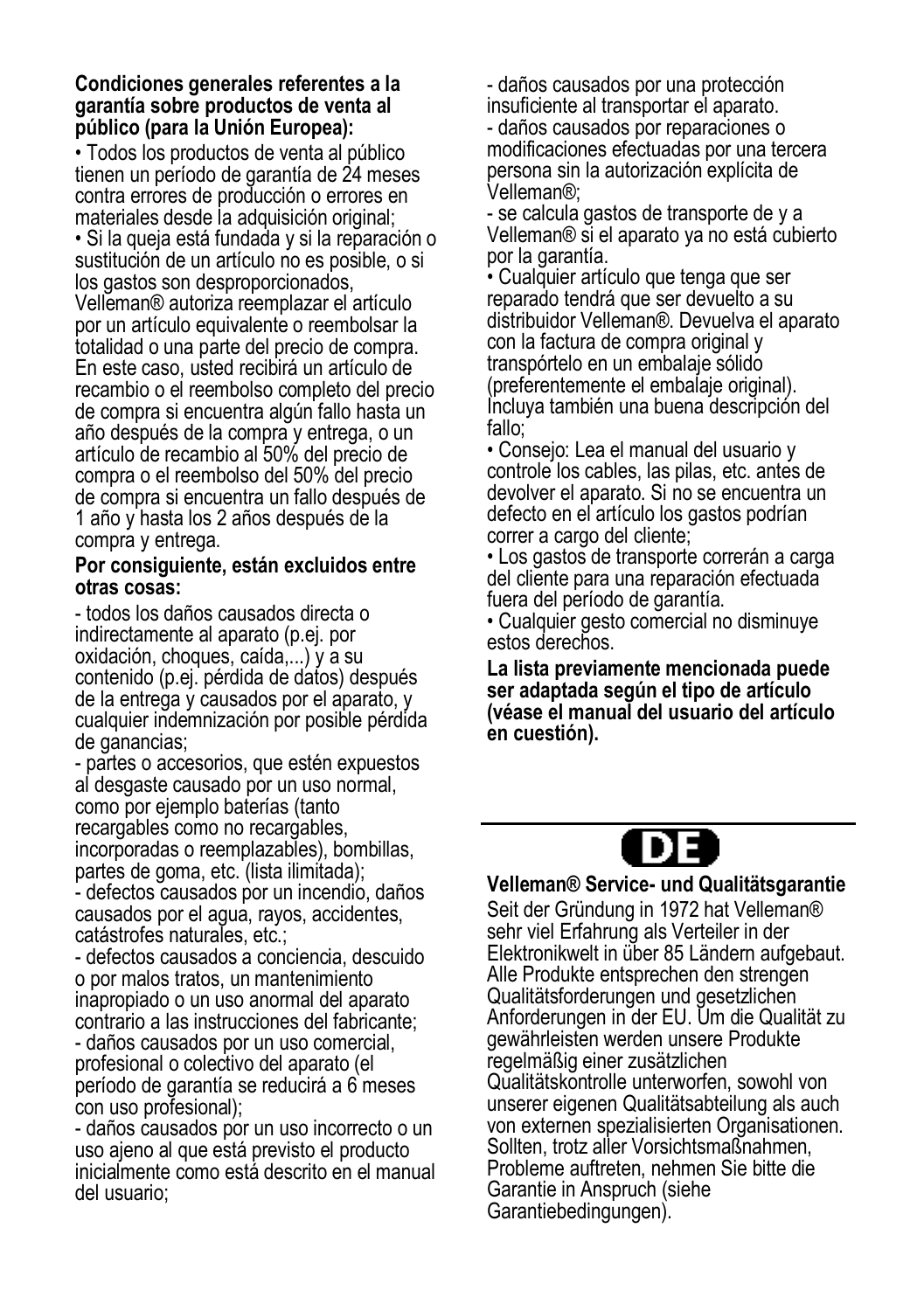#### **Condiciones generales referentes a la garantía sobre productos de venta al público (para la Unión Europea):**

• Todos los productos de venta al público tienen un período de garantía de 24 meses contra errores de producción o errores en materiales desde la adquisición original; • Si la queja está fundada y si la reparación o sustitución de un artículo no es posible, o si los gastos son desproporcionados, Velleman® autoriza reemplazar el artículo por un artículo equivalente o reembolsar la totalidad o una parte del precio de compra. En este caso, usted recibirá un artículo de recambio o el reembolso completo del precio de compra si encuentra algún fallo hasta un año después de la compra y entrega, o un artículo de recambio al 50% del precio de compra o el reembolso del 50% del precio de compra si encuentra un fallo después de 1 año y hasta los 2 años después de la compra y entrega.

#### **Por consiguiente, están excluidos entre otras cosas:**

- todos los daños causados directa o indirectamente al aparato (p.ej. por oxidación, choques, caída,...) y a su contenido (p.ej. pérdida de datos) después de la entrega y causados por el aparato, y cualquier indemnización por posible pérdida de ganancias;

- partes o accesorios, que estén expuestos al desgaste causado por un uso normal, como por ejemplo baterías (tanto recargables como no recargables, incorporadas o reemplazables), bombillas, partes de goma, etc. (lista ilimitada); - defectos causados por un incendio, daños causados por el agua, rayos, accidentes, catástrofes naturales, etc.;

- defectos causados a conciencia, descuido o por malos tratos, un mantenimiento inapropiado o un uso anormal del aparato contrario a las instrucciones del fabricante; - daños causados por un uso comercial, profesional o colectivo del aparato (el período de garantía se reducirá a 6 meses con uso profesional);

- daños causados por un uso incorrecto o un uso ajeno al que está previsto el producto inicialmente como está descrito en el manual del usuario;

- daños causados por una protección insuficiente al transportar el aparato.

- daños causados por reparaciones o modificaciones efectuadas por una tercera persona sin la autorización explícita de Velleman®;

- se calcula gastos de transporte de y a Velleman® si el aparato ya no está cubierto por la garantía.

• Cualquier artículo que tenga que ser reparado tendrá que ser devuelto a su distribuidor Velleman®. Devuelva el aparato con la factura de compra original y transpórtelo en un embalaje sólido (preferentemente el embalaje original). Incluya también una buena descripción del fallo;

• Consejo: Lea el manual del usuario y controle los cables, las pilas, etc. antes de devolver el aparato. Si no se encuentra un defecto en el artículo los gastos podrían correr a cargo del cliente;

• Los gastos de transporte correrán a carga del cliente para una reparación efectuada fuera del período de garantía.

• Cualquier gesto comercial no disminuye estos derechos.

**La lista previamente mencionada puede ser adaptada según el tipo de artículo (véase el manual del usuario del artículo en cuestión).**

### **Velleman® Service- und Qualitätsgarantie**

Seit der Gründung in 1972 hat Velleman® sehr viel Erfahrung als Verteiler in der Elektronikwelt in über 85 Ländern aufgebaut. Alle Produkte entsprechen den strengen Qualitätsforderungen und gesetzlichen Anforderungen in der EU. Um die Qualität zu gewährleisten werden unsere Produkte regelmäßig einer zusätzlichen Qualitätskontrolle unterworfen, sowohl von unserer eigenen Qualitätsabteilung als auch von externen spezialisierten Organisationen. Sollten, trotz aller Vorsichtsmaßnahmen, Probleme auftreten, nehmen Sie bitte die Garantie in Anspruch (siehe Garantiebedingungen).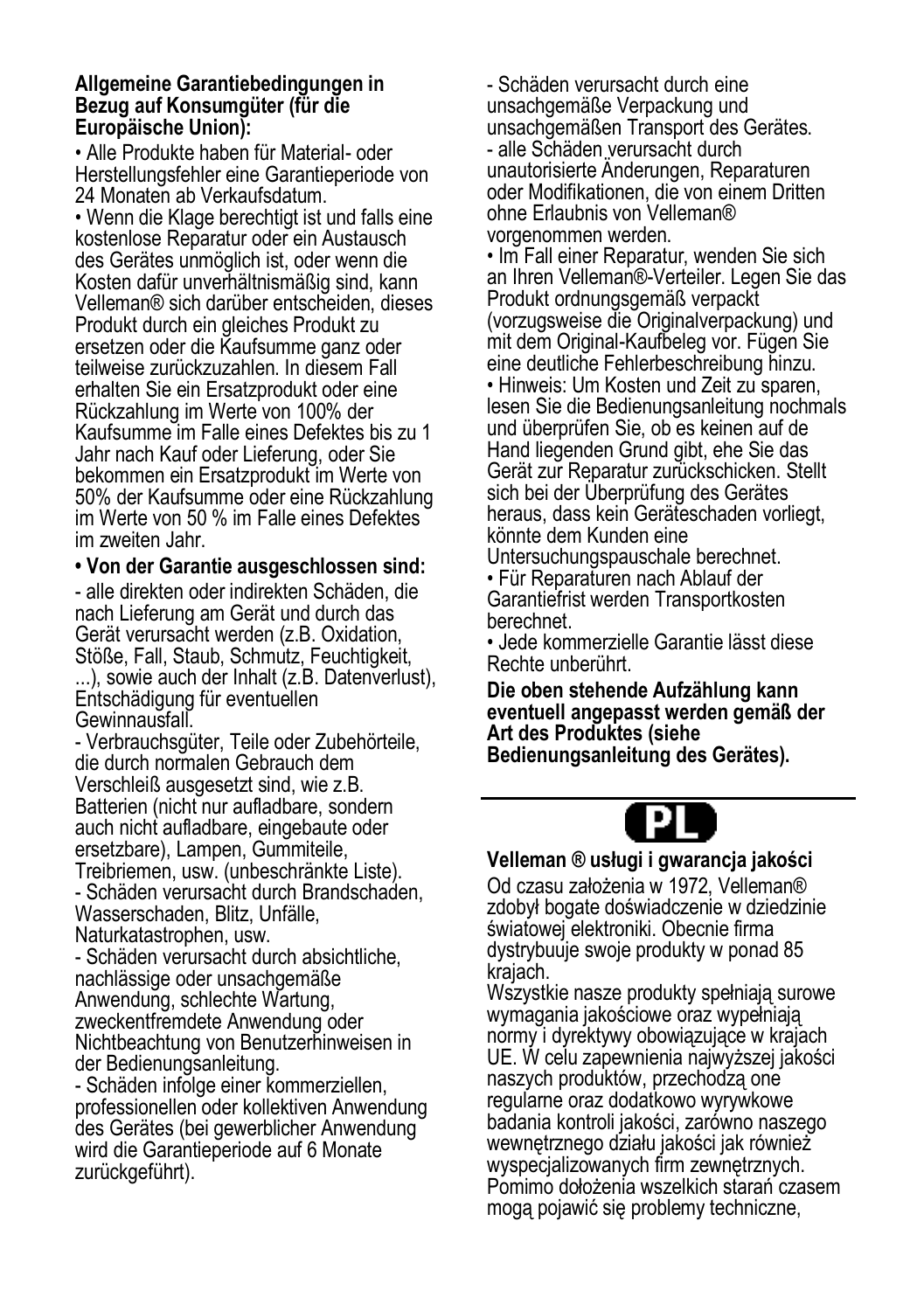#### **Allgemeine Garantiebedingungen in Bezug auf Konsumgüter (für die Europäische Union):**

• Alle Produkte haben für Material- oder Herstellungsfehler eine Garantieperiode von 24 Monaten ab Verkaufsdatum.

• Wenn die Klage berechtigt ist und falls eine kostenlose Reparatur oder ein Austausch des Gerätes unmöglich ist, oder wenn die Kosten dafür unverhältnismäßig sind, kann Velleman® sich darüber entscheiden, dieses Produkt durch ein gleiches Produkt zu ersetzen oder die Kaufsumme ganz oder teilweise zurückzuzahlen. In diesem Fall erhalten Sie ein Ersatzprodukt oder eine Rückzahlung im Werte von 100% der Kaufsumme im Falle eines Defektes bis zu 1 Jahr nach Kauf oder Lieferung, oder Sie bekommen ein Ersatzprodukt im Werte von 50% der Kaufsumme oder eine Rückzahlung im Werte von 50 % im Falle eines Defektes im zweiten Jahr.

**• Von der Garantie ausgeschlossen sind:** - alle direkten oder indirekten Schäden, die

nach Lieferung am Gerät und durch das Gerät verursacht werden (z.B. Oxidation, Stöße, Fall, Staub, Schmutz, Feuchtigkeit, ...), sowie auch der Inhalt (z.B. Datenverlust), Entschädigung für eventuellen Gewinnausfall.

- Verbrauchsgüter, Teile oder Zubehörteile, die durch normalen Gebrauch dem Verschleiß ausgesetzt sind, wie z.B. Batterien (nicht nur aufladbare, sondern auch nicht aufladbare, eingebaute oder ersetzhare), Lampen, Gummiteile Treibriemen, usw. (unbeschränkte Liste). - Schäden verursacht durch Brandschaden, Wasserschaden, Blitz, Unfälle,

Naturkatastrophen, usw.

- Schäden verursacht durch absichtliche, nachlässige oder unsachgemäße Anwendung, schlechte Wartung, zweckentfremdete Anwendung oder Nichtbeachtung von Benutzerhinweisen in der Bedienungsanleitung.

- Schäden infolge einer kommerziellen, professionellen oder kollektiven Anwendung des Gerätes (bei gewerblicher Anwendung wird die Garantieperiode auf 6 Monate zurückgeführt).

- Schäden verursacht durch eine unsachgemäße Verpackung und unsachgemäßen Transport des Gerätes. - alle Schäden von rescht durch unautorisierte Änderungen, Reparaturen oder Modifikationen, die von einem Dritten ohne Erlaubnis von Velleman® vorgenommen werden.

• Im Fall einer Reparatur, wenden Sie sich an Ihren Velleman®-Verteiler. Legen Sie das Produkt ordnungsgemäß verpackt (vorzugsweise die Originalverpackung) und mit dem Original-Kaufbeleg vor. Fügen Sie eine deutliche Fehlerbeschreibung hinzu.

• Hinweis: Um Kosten und Zeit zu sparen, lesen Sie die Bedienungsanleitung nochmals und überprüfen Sie, ob es keinen auf de Hand liegenden Grund gibt, ehe Sie das Gerät zur Reparatur zurückschicken. Stellt sich bei der Überprüfung des Gerätes heraus, dass kein Geräteschaden vorliegt, könnte dem Kunden eine

Untersuchungspauschale berechnet. • Für Reparaturen nach Ablauf der Garantiefrist werden Transportkosten berechnet.

• Jede kommerzielle Garantie lässt diese Rechte unberührt.

**Die oben stehende Aufzählung kann eventuell angepasst werden gemäß der Art des Produktes (siehe Bedienungsanleitung des Gerätes).**



### **Velleman ® usługi i gwarancja jakości**

Od czasu założenia w 1972, Velleman® zdobył bogate doświadczenie w dziedzinie światowej elektroniki. Obecnie firma dystrybuuje swoje produkty w ponad 85 krajach.

Wszystkie nasze produkty spełniają surowe wymagania jakościowe oraz wypełniają normy i dyrektywy obowiązujące w krajach UE. W celu zapewnienia najwyższej jakości naszych produktów, przechodzą one regularne oraz dodatkowo wyrywkowe badania kontroli jakości, zarówno naszego wewnętrznego działu jakości jak również wyspecjalizowanych firm zewnętrznych. Pomimo dołożenia wszelkich starań czasem mogą pojawić się problemy techniczne,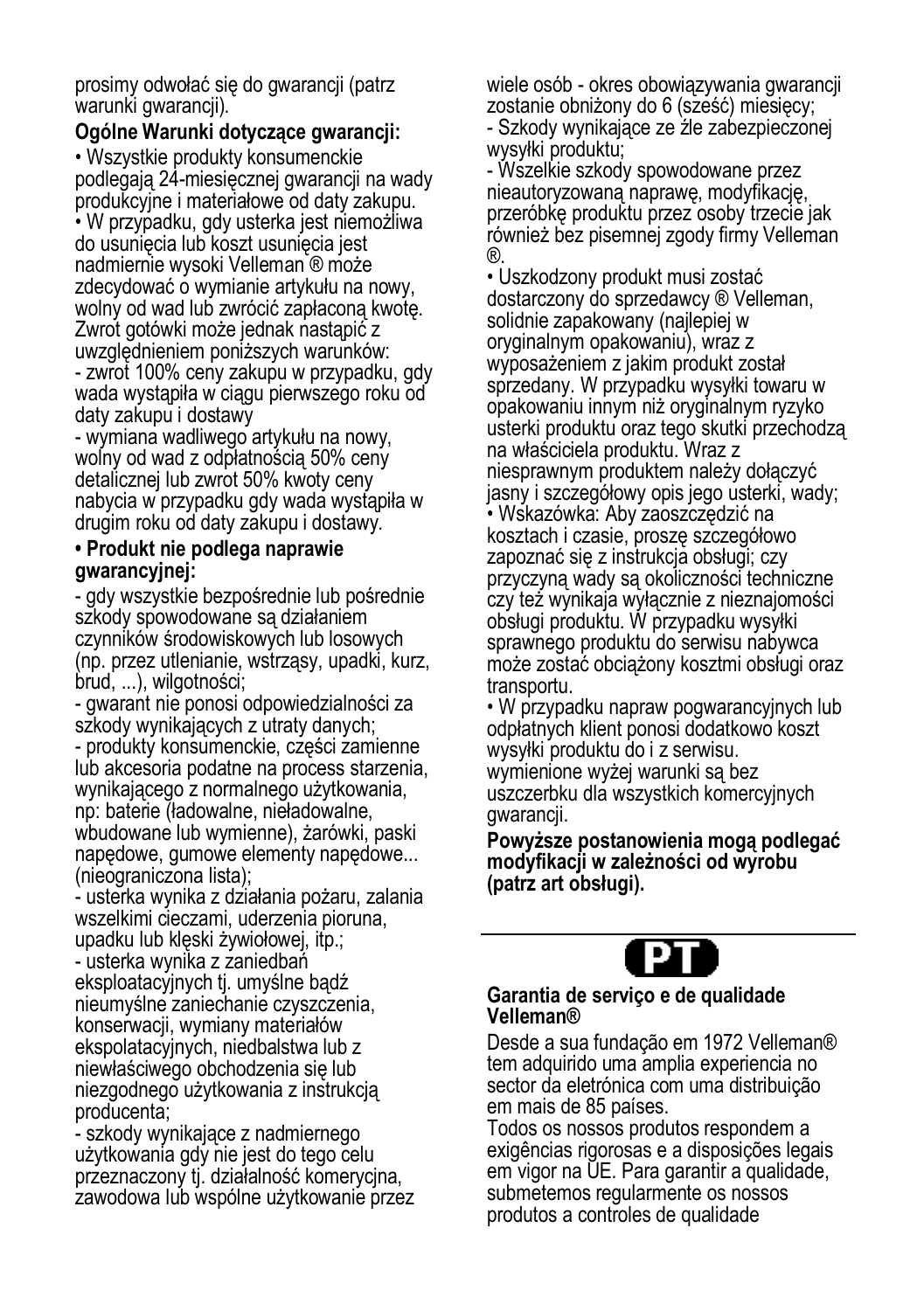prosimy odwołać się do gwarancji (patrz warunki gwarancji).

### **Ogólne Warunki dotyczące gwarancji:**

• Wszystkie produkty konsumenckie podlegają 24-miesięcznej gwarancji na wady produkcyjne i materiałowe od daty zakupu. • W przypadku, gdy usterka jest niemożliwa do usunięcia lub koszt usunięcia jest nadmiernie wysoki Velleman ® może zdecydować o wymianie artykułu na nowy, wolny od wad lub zwrócić zapłaconą kwotę. Zwrot gotówki może jednak nastąpić z uwzględnieniem poniższych warunków: - zwrot 100% ceny zakupu w przypadku, gdy wada wystąpiła w ciągu pierwszego roku od daty zakupu i dostawy

- wymiana wadliwego artykułu na nowy, wolny od wad z odpłatnością 50% ceny detalicznej lub zwrot 50% kwoty ceny nabycia w przypadku gdy wada wystąpiła w drugim roku od daty zakupu i dostawy.

#### **• Produkt nie podlega naprawie gwarancyjnej:**

- gdy wszystkie bezpośrednie lub pośrednie szkody spowodowane są działaniem czynników środowiskowych lub losowych (np. przez utlenianie, wstrząsy, upadki, kurz, brud, ...), wilgotności;

- gwarant nie ponosi odpowiedzialności za szkody wynikających z utraty danych; - produkty konsumenckie, części zamienne lub akcesoria podatne na process starzenia, wynikającego z normalnego użytkowania, np: baterie (ładowalne, nieładowalne, wbudowane lub wymienne), żarówki, paski napedowe, gumowe elementy napedowe... (nieograniczona lista);

- usterka wynika z działania pożaru, zalania wszelkimi cieczami, uderzenia pioruna, upadku lub klęski żywiołowej, itp.; - usterka wynika z zaniedbań eksploatacyjnych tj. umyślne bądź nieumyślne zaniechanie czyszczenia, konserwacji, wymiany materiałów ekspolatacyjnych, niedbalstwa lub z niewłaściwego obchodzenia się lub niezgodnego użytkowania z instrukcją producenta;

- szkody wynikające z nadmiernego użytkowania gdy nie jest do tego celu przeznaczony tj. działalność komerycjna, zawodowa lub wspólne użytkowanie przez

wiele osób - okres obowiązywania gwarancji zostanie obniżony do 6 (sześć) miesięcy;

- Szkody wynikające ze źle zabezpieczonej wysyłki produktu;

- Wszelkie szkody spowodowane przez nieautoryzowaną naprawę, modyfikację, przeróbkę produktu przez osoby trzecie jak również bez pisemnej zgody firmy Velleman ®.

• Uszkodzony produkt musi zostać dostarczony do sprzedawcy ® Velleman, solidnie zapakowany (najlepiej w oryginalnym opakowaniu), wraz z wyposażeniem z jakim produkt został sprzedany. W przypadku wysyłki towaru w opakowaniu innym niż oryginalnym ryzyko usterki produktu oraz tego skutki przechodzą na właściciela produktu. Wraz z niesprawnym produktem należy dołączyć jasny i szczegółowy opis jego usterki, wady; • Wskazówka: Aby zaoszczędzić na kosztach i czasie, proszę szczegółowo zapoznać się z instrukcja obsługi; czy przyczyną wady są okoliczności techniczne czy też wynikaja wyłącznie z nieznajomości obsługi produktu. W przypadku wysyłki sprawnego produktu do serwisu nabywca może zostać obciążony kosztmi obsługi oraz transportu.

• W przypadku napraw pogwarancyjnych lub odpłatnych klient ponosi dodatkowo koszt wysyłki produktu do i z serwisu.

wymienione wyżej warunki są bez uszczerbku dla wszystkich komercyjnych gwarancii.

**Powyższe postanowienia mogą podlegać modyfikacji w zależności od wyrobu (patrz art obsługi).**



#### **Garantia de serviço e de qualidade Velleman®**

Desde a sua fundação em 1972 Velleman® tem adquirido uma amplia experiencia no sector da eletrónica com uma distribuição em mais de 85 países.

Todos os nossos produtos respondem a exigências rigorosas e a disposições legais em vigor na UE. Para garantir a qualidade, submetemos regularmente os nossos produtos a controles de qualidade